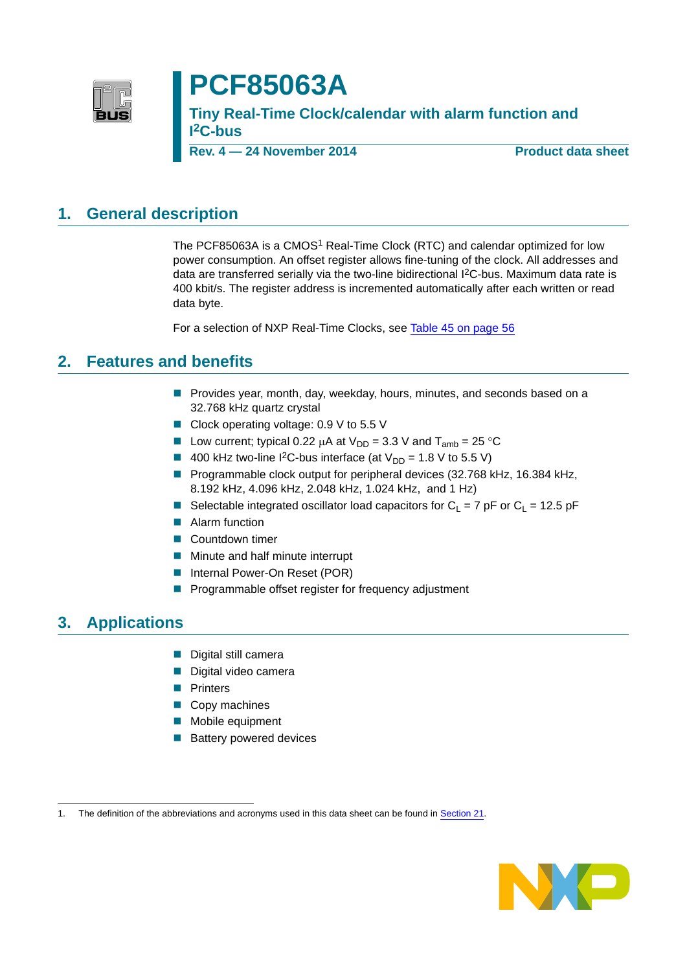

# **PCF85063A**

**Tiny Real-Time Clock/calendar with alarm function and I 2C-bus**

**Rev. 4 — 24 November 2014 Product data sheet**

#### <span id="page-0-0"></span>**1. General description**

The PCF85063A is a CMOS<sup>1</sup> Real-Time Clock (RTC) and calendar optimized for low power consumption. An offset register allows fine-tuning of the clock. All addresses and data are transferred serially via the two-line bidirectional I2C-bus. Maximum data rate is 400 kbit/s. The register address is incremented automatically after each written or read data byte.

For a selection of NXP Real-Time Clocks, see [Table 45 on page 56](#page-55-0)

#### <span id="page-0-1"></span>**2. Features and benefits**

- **Provides year, month, day, weekday, hours, minutes, and seconds based on a** 32.768 kHz quartz crystal
- Clock operating voltage: 0.9 V to 5.5 V
- Low current; typical 0.22  $\mu$ A at  $V_{DD} = 3.3$  V and  $T_{amb} = 25$  °C
- 400 kHz two-line I<sup>2</sup>C-bus interface (at  $V_{DD} = 1.8$  V to 5.5 V)
- Programmable clock output for peripheral devices (32.768 kHz, 16.384 kHz, 8.192 kHz, 4.096 kHz, 2.048 kHz, 1.024 kHz, and 1 Hz)
- Selectable integrated oscillator load capacitors for C<sub>L</sub> = 7 pF or C<sub>L</sub> = 12.5 pF
- **Alarm function**
- **Countdown timer**
- **Minute and half minute interrupt**
- **Internal Power-On Reset (POR)**
- Programmable offset register for frequency adjustment

#### <span id="page-0-2"></span>**3. Applications**

- Digital still camera
- Digital video camera
- **Printers**
- Copy machines
- **Mobile equipment**
- Battery powered devices

<sup>1.</sup> The definition of the abbreviations and acronyms used in this data sheet can be found in [Section 21.](#page-57-0)

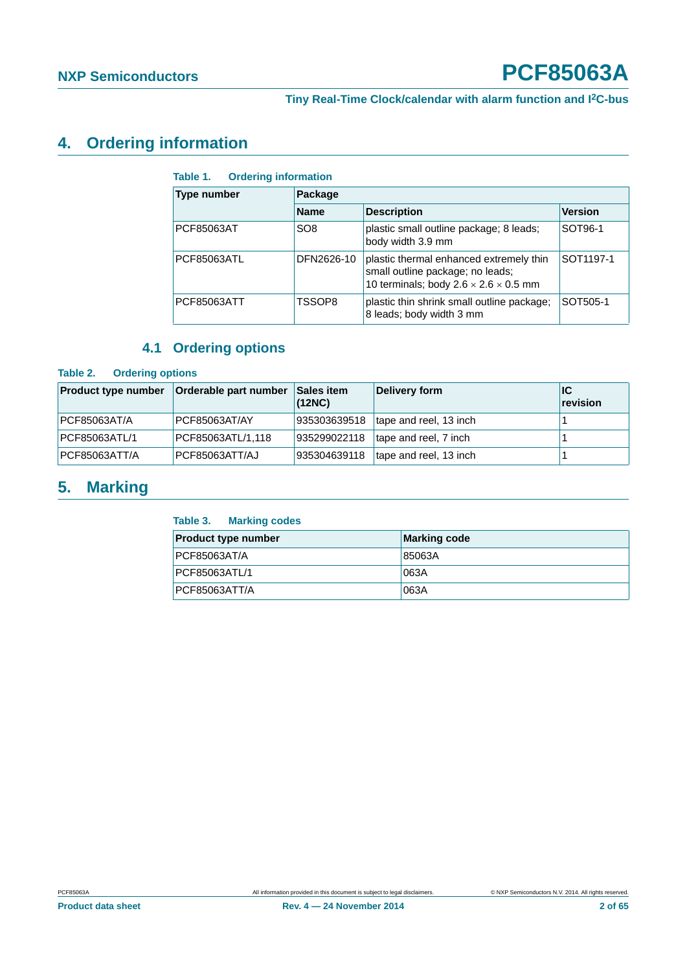#### <span id="page-1-3"></span>**4. Ordering information**

#### <span id="page-1-0"></span>**Table 1. Ordering information**

| <b>Type number</b> | Package         |                                                                                                                                  |           |  |  |  |
|--------------------|-----------------|----------------------------------------------------------------------------------------------------------------------------------|-----------|--|--|--|
|                    | <b>Name</b>     | <b>Description</b>                                                                                                               |           |  |  |  |
| PCF85063AT         | SO <sub>8</sub> | plastic small outline package; 8 leads;<br>body width 3.9 mm                                                                     | SOT96-1   |  |  |  |
| PCF85063ATL        | DFN2626-10      | plastic thermal enhanced extremely thin<br>small outline package; no leads;<br>10 terminals; body $2.6 \times 2.6 \times 0.5$ mm | SOT1197-1 |  |  |  |
| PCF85063ATT        | TSSOP8          | plastic thin shrink small outline package;<br>8 leads; body width 3 mm                                                           | SOT505-1  |  |  |  |

#### **4.1 Ordering options**

#### <span id="page-1-4"></span><span id="page-1-1"></span>**Table 2. Ordering options**

| <b>Product type number</b> | Orderable part number | <b>Sales item</b><br>(12NC) | Delivery form          | ∣IC<br>revision |
|----------------------------|-----------------------|-----------------------------|------------------------|-----------------|
| PCF85063AT/A               | PCF85063AT/AY         | 935303639518                | tape and reel, 13 inch |                 |
| <b>PCF85063ATL/1</b>       | PCF85063ATL/1,118     | 935299022118                | tape and reel, 7 inch  |                 |
| <b>PCF85063ATT/A</b>       | PCF85063ATT/AJ        | 935304639118                | tape and reel, 13 inch |                 |

#### <span id="page-1-5"></span>**5. Marking**

#### <span id="page-1-2"></span>**Table 3. Marking codes**

| <b>Product type number</b> | <b>Marking code</b> |
|----------------------------|---------------------|
| <b>PCF85063AT/A</b>        | 85063A              |
| <b>PCF85063ATL/1</b>       | 063A                |
| <b>PCF85063ATT/A</b>       | 063A                |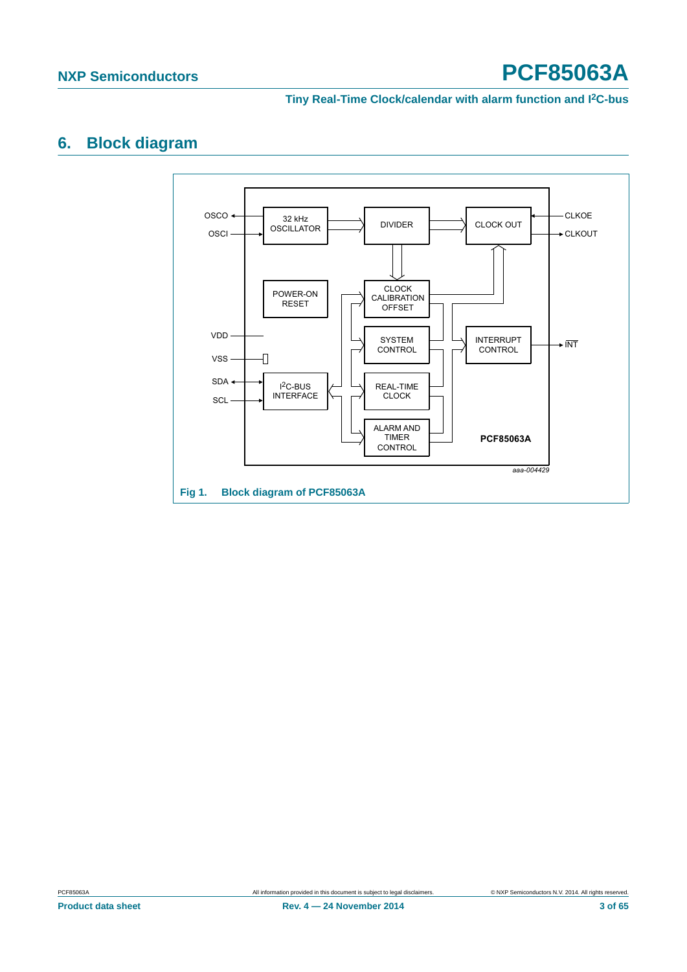**Tiny Real-Time Clock/calendar with alarm function and I2C-bus**

#### <span id="page-2-1"></span>**6. Block diagram**

<span id="page-2-0"></span>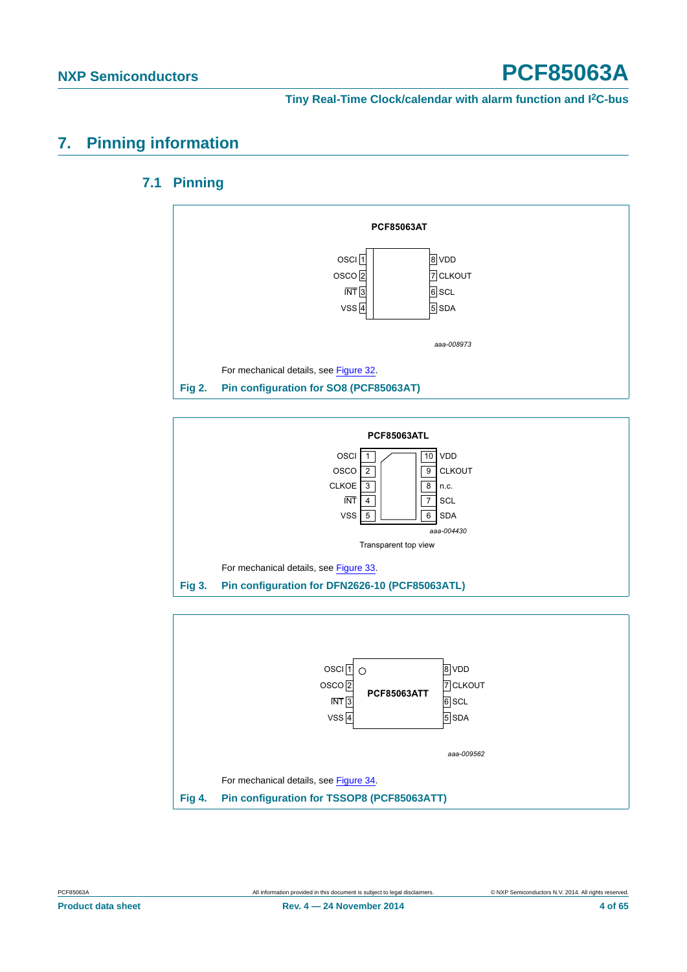#### <span id="page-3-4"></span><span id="page-3-3"></span>**7. Pinning information**

#### **7.1 Pinning**



<span id="page-3-0"></span>

<span id="page-3-2"></span><span id="page-3-1"></span>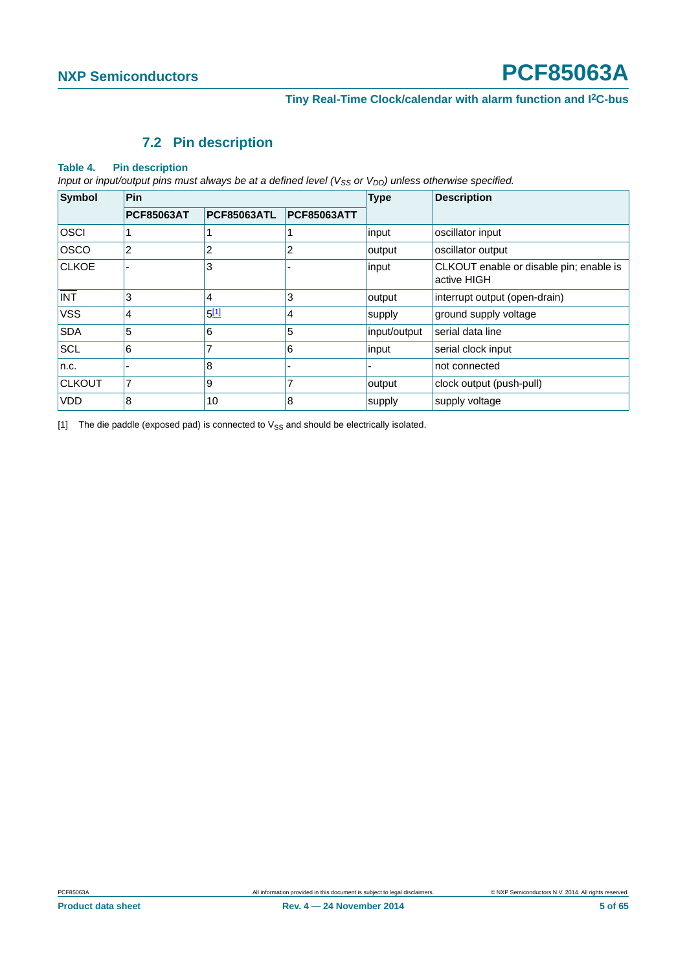#### **7.2 Pin description**

#### <span id="page-4-2"></span><span id="page-4-1"></span>**Table 4. Pin description**

*Input or input/output pins must always be at a defined level (V<sub>SS</sub> or V<sub>DD</sub>) unless otherwise specified.* 

| <b>Symbol</b> | <b>Pin</b>        |                    |                    | <b>Type</b>  | <b>Description</b>                                     |  |
|---------------|-------------------|--------------------|--------------------|--------------|--------------------------------------------------------|--|
|               | <b>PCF85063AT</b> | <b>PCF85063ATL</b> | <b>PCF85063ATT</b> |              |                                                        |  |
| <b>OSCI</b>   |                   |                    |                    | input        | oscillator input                                       |  |
| <b>OSCO</b>   | 2                 | 2                  | 2                  | output       | oscillator output                                      |  |
| <b>CLKOE</b>  |                   | 3                  |                    | input        | CLKOUT enable or disable pin; enable is<br>active HIGH |  |
| <b>INT</b>    | 3                 | 4                  | 3                  | output       | interrupt output (open-drain)                          |  |
| <b>VSS</b>    | 4                 | 5[1]               | 4                  | supply       | ground supply voltage                                  |  |
| <b>SDA</b>    | 5                 | 6                  | 5                  | input/output | serial data line                                       |  |
| <b>SCL</b>    | 6                 | 7                  | 6                  | input        | serial clock input                                     |  |
| n.c.          |                   | 8                  | ۰                  |              | not connected                                          |  |
| <b>CLKOUT</b> | 7                 | 9                  | 7                  | output       | clock output (push-pull)                               |  |
| <b>VDD</b>    | 8                 | 10                 | 8                  | supply       | supply voltage                                         |  |

<span id="page-4-0"></span>[1] The die paddle (exposed pad) is connected to  $V_{SS}$  and should be electrically isolated.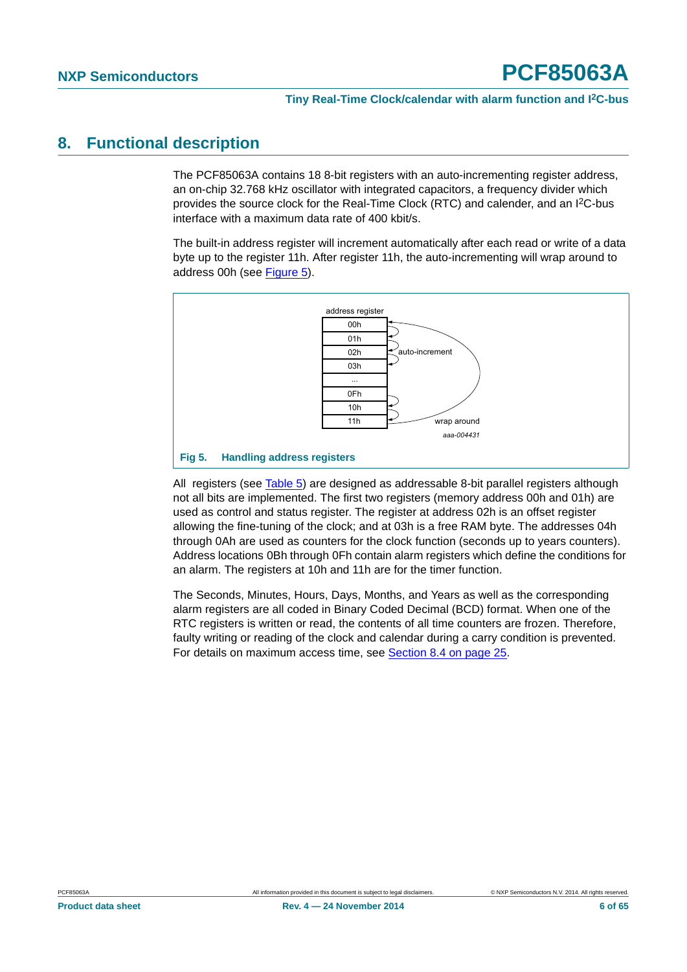#### <span id="page-5-1"></span>**8. Functional description**

The PCF85063A contains 18 8-bit registers with an auto-incrementing register address, an on-chip 32.768 kHz oscillator with integrated capacitors, a frequency divider which provides the source clock for the Real-Time Clock (RTC) and calender, and an I2C-bus interface with a maximum data rate of 400 kbit/s.

The built-in address register will increment automatically after each read or write of a data byte up to the register 11h. After register 11h, the auto-incrementing will wrap around to address 00h (see [Figure 5\)](#page-5-0).



<span id="page-5-0"></span>All registers (see [Table 5](#page-6-0)) are designed as addressable 8-bit parallel registers although not all bits are implemented. The first two registers (memory address 00h and 01h) are used as control and status register. The register at address 02h is an offset register allowing the fine-tuning of the clock; and at 03h is a free RAM byte. The addresses 04h through 0Ah are used as counters for the clock function (seconds up to years counters). Address locations 0Bh through 0Fh contain alarm registers which define the conditions for an alarm. The registers at 10h and 11h are for the timer function.

The Seconds, Minutes, Hours, Days, Months, and Years as well as the corresponding alarm registers are all coded in Binary Coded Decimal (BCD) format. When one of the RTC registers is written or read, the contents of all time counters are frozen. Therefore, faulty writing or reading of the clock and calendar during a carry condition is prevented. For details on maximum access time, see [Section 8.4 on page 25](#page-24-0).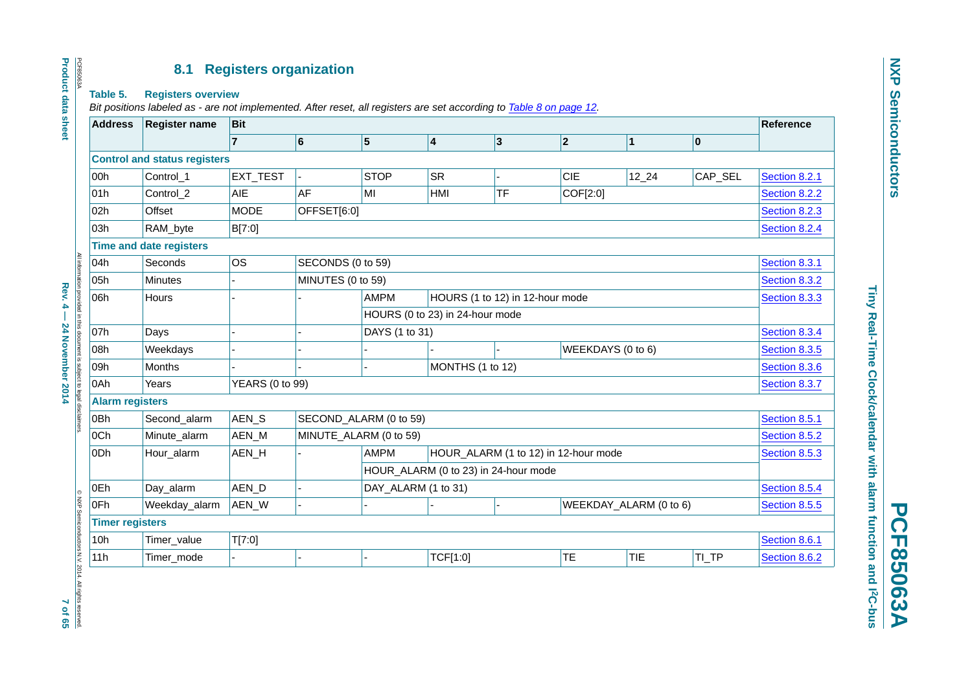#### **8.1 Registers organization**

#### **Table 5. Registers overview**

PCF85063A

PCF85063A

**Product data sheet**

**Product data sheet** 

*Bit positions labeled as - are not implemented. After reset, all registers are set according to Table [8 on page](#page-11-0) 12.*

| <b>Address</b>         | <b>Register name</b>                | <b>Bit</b>             |                   |                                 |                         |                                      |                        | Reference    |               |               |
|------------------------|-------------------------------------|------------------------|-------------------|---------------------------------|-------------------------|--------------------------------------|------------------------|--------------|---------------|---------------|
|                        |                                     | $\overline{7}$         | $6\overline{6}$   | $\vert$ 5                       | $\overline{\mathbf{4}}$ | $ 3\rangle$                          | 2                      | $\mathbf{1}$ | $ 0\rangle$   |               |
|                        | <b>Control and status registers</b> |                        |                   |                                 |                         |                                      |                        |              |               |               |
| 00h                    | Control_1                           | EXT_TEST               |                   | <b>STOP</b>                     | <b>SR</b>               |                                      | <b>CIE</b>             | $12 - 24$    | CAP_SEL       | Section 8.2.1 |
| 01h                    | Control_2                           | AIE                    | <b>AF</b>         | MI                              | HMI                     | <b>TF</b>                            | COF[2:0]               |              |               | Section 8.2.2 |
| 02h                    | Offset                              | <b>MODE</b>            | OFFSET[6:0]       |                                 |                         |                                      |                        |              |               | Section 8.2.3 |
| 03h                    | RAM_byte                            | B[7:0]                 |                   |                                 |                         |                                      |                        |              |               | Section 8.2.4 |
|                        | <b>Time and date registers</b>      |                        |                   |                                 |                         |                                      |                        |              |               |               |
| 04h                    | Seconds                             | <b>OS</b>              |                   | SECONDS (0 to 59)               |                         |                                      |                        |              | Section 8.3.1 |               |
| 05h                    | Minutes                             |                        | MINUTES (0 to 59) |                                 |                         |                                      |                        |              |               | Section 8.3.2 |
| 06h                    | Hours                               |                        |                   | <b>AMPM</b>                     |                         | HOURS (1 to 12) in 12-hour mode      |                        |              |               | Section 8.3.3 |
|                        |                                     |                        |                   | HOURS (0 to 23) in 24-hour mode |                         |                                      |                        |              |               |               |
| 07h                    | Days                                |                        |                   | DAYS (1 to 31)                  |                         |                                      |                        |              |               | Section 8.3.4 |
| 08h                    | Weekdays                            |                        |                   |                                 |                         |                                      | WEEKDAYS (0 to 6)      |              |               | Section 8.3.5 |
| 09h                    | Months                              |                        |                   | MONTHS (1 to 12)                |                         |                                      |                        |              | Section 8.3.6 |               |
| 0Ah                    | Years                               | <b>YEARS (0 to 99)</b> |                   |                                 |                         |                                      |                        |              |               | Section 8.3.7 |
| <b>Alarm registers</b> |                                     |                        |                   |                                 |                         |                                      |                        |              |               |               |
| 0Bh                    | Second_alarm                        | AEN_S                  |                   | SECOND_ALARM (0 to 59)          |                         |                                      |                        |              |               | Section 8.5.1 |
| 0Ch                    | Minute_alarm                        | AEN_M                  |                   | MINUTE_ALARM (0 to 59)          |                         |                                      |                        |              |               | Section 8.5.2 |
| 0Dh                    | Hour_alarm                          | AEN_H                  |                   | <b>AMPM</b>                     |                         | HOUR_ALARM (1 to 12) in 12-hour mode |                        |              |               | Section 8.5.3 |
|                        |                                     |                        |                   |                                 |                         | HOUR_ALARM (0 to 23) in 24-hour mode |                        |              |               |               |
| 0Eh                    | Day_alarm                           | AEN_D                  |                   | DAY_ALARM (1 to 31)             |                         |                                      |                        |              |               | Section 8.5.4 |
| 0Fh                    | Weekday_alarm                       | AEN_W                  |                   |                                 |                         |                                      | WEEKDAY_ALARM (0 to 6) |              |               | Section 8.5.5 |
| <b>Timer registers</b> |                                     |                        |                   |                                 |                         |                                      |                        |              |               |               |
| 10h                    | Timer_value                         | T[7:0]                 |                   |                                 |                         |                                      |                        |              |               | Section 8.6.1 |
| 11h                    | Timer_mode                          |                        |                   |                                 | TCF[1:0]                |                                      | <b>TE</b>              | <b>TIE</b>   | TI_TP         | Section 8.6.2 |

**PCF85063A**

**PCF85063A** 

<span id="page-6-1"></span>Rev. 4 — 24 November 2014 7 of 65**7 of 657 and 7 of 65** 

<span id="page-6-0"></span>Rev. 4 - 24 November 2014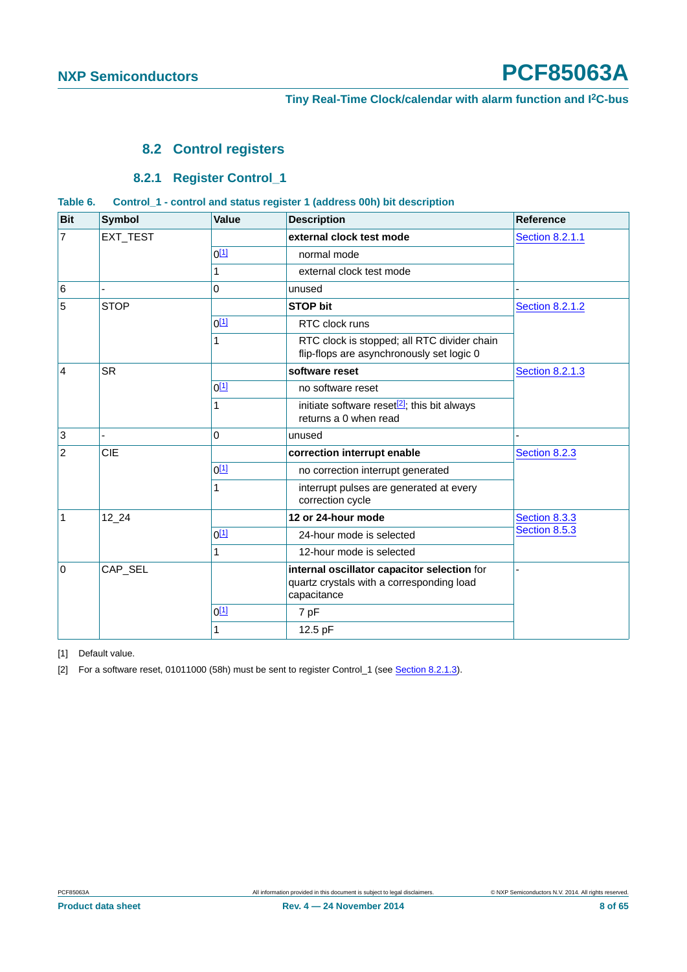#### <span id="page-7-0"></span>**8.2 Control registers**

#### **8.2.1 Register Control\_1**

<span id="page-7-5"></span><span id="page-7-4"></span><span id="page-7-3"></span>

| Table 6. |  |  | Control_1 - control and status register 1 (address 00h) bit description |  |
|----------|--|--|-------------------------------------------------------------------------|--|
|----------|--|--|-------------------------------------------------------------------------|--|

| <b>Bit</b>     | <b>Symbol</b> | <b>Value</b>     | <b>Description</b>                                                                                      | <b>Reference</b>       |
|----------------|---------------|------------------|---------------------------------------------------------------------------------------------------------|------------------------|
| $\overline{7}$ | EXT_TEST      |                  | external clock test mode                                                                                | <b>Section 8.2.1.1</b> |
|                |               | $0^{[1]}$        | normal mode                                                                                             |                        |
|                |               | 1                | external clock test mode                                                                                |                        |
| $\,6\,$        |               | 0                | unused                                                                                                  |                        |
| 5              | <b>STOP</b>   |                  | <b>STOP bit</b>                                                                                         | <b>Section 8.2.1.2</b> |
|                |               | $0^{[1]}$        | RTC clock runs                                                                                          |                        |
|                |               | 1                | RTC clock is stopped; all RTC divider chain<br>flip-flops are asynchronously set logic 0                |                        |
| $\overline{4}$ | <b>SR</b>     |                  | software reset                                                                                          | <b>Section 8.2.1.3</b> |
|                |               | $0^{[1]}$        | no software reset                                                                                       |                        |
|                |               | 1                | initiate software reset <sup>[2]</sup> ; this bit always<br>returns a 0 when read                       |                        |
| $\mathbf{3}$   |               | 0                | unused                                                                                                  |                        |
| $\overline{2}$ | CIE           |                  | correction interrupt enable                                                                             | Section 8.2.3          |
|                |               | $0^{[1]}$        | no correction interrupt generated                                                                       |                        |
|                |               | 1                | interrupt pulses are generated at every<br>correction cycle                                             |                        |
| $\mathbf{1}$   | 12 24         |                  | 12 or 24-hour mode                                                                                      | Section 8.3.3          |
|                |               | 0 <sup>[1]</sup> | 24-hour mode is selected                                                                                | Section 8.5.3          |
|                |               | 1                | 12-hour mode is selected                                                                                |                        |
| 0              | CAP_SEL       |                  | internal oscillator capacitor selection for<br>quartz crystals with a corresponding load<br>capacitance |                        |
|                |               | $0^{[1]}$        | 7 pF                                                                                                    |                        |
|                |               | 1                | 12.5 pF                                                                                                 |                        |

<span id="page-7-1"></span>[1] Default value.

<span id="page-7-2"></span>[2] For a software reset, 01011000 (58h) must be sent to register Control\_1 (see [Section 8.2.1.3](#page-11-1)).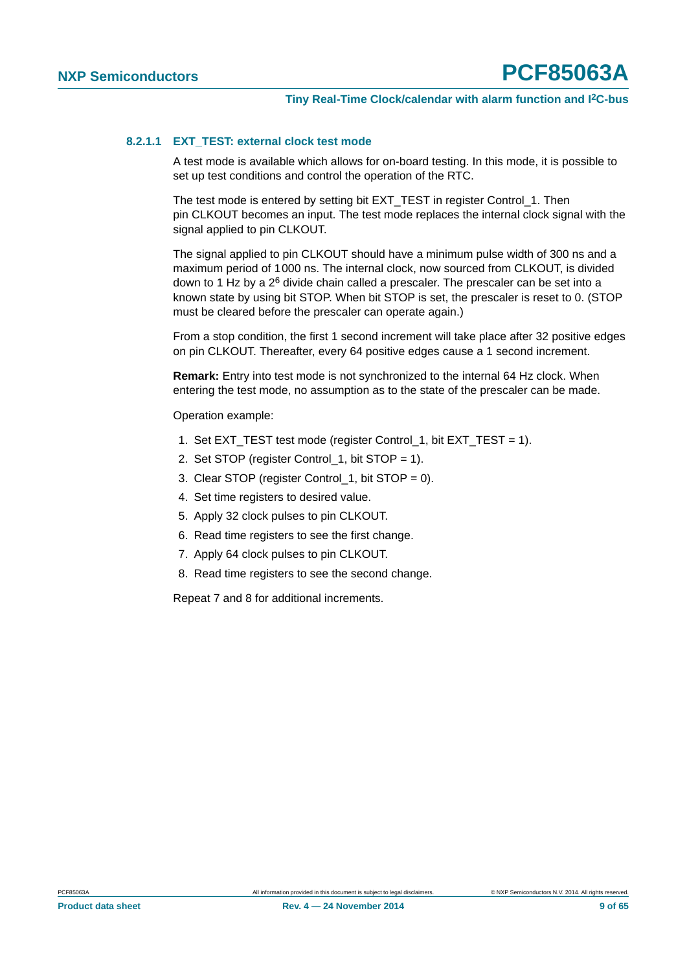#### <span id="page-8-0"></span>**8.2.1.1 EXT\_TEST: external clock test mode**

A test mode is available which allows for on-board testing. In this mode, it is possible to set up test conditions and control the operation of the RTC.

The test mode is entered by setting bit EXT\_TEST in register Control\_1. Then pin CLKOUT becomes an input. The test mode replaces the internal clock signal with the signal applied to pin CLKOUT.

The signal applied to pin CLKOUT should have a minimum pulse width of 300 ns and a maximum period of 1000 ns. The internal clock, now sourced from CLKOUT, is divided down to 1 Hz by a 2<sup>6</sup> divide chain called a prescaler. The prescaler can be set into a known state by using bit STOP. When bit STOP is set, the prescaler is reset to 0. (STOP must be cleared before the prescaler can operate again.)

From a stop condition, the first 1 second increment will take place after 32 positive edges on pin CLKOUT. Thereafter, every 64 positive edges cause a 1 second increment.

**Remark:** Entry into test mode is not synchronized to the internal 64 Hz clock. When entering the test mode, no assumption as to the state of the prescaler can be made.

Operation example:

- 1. Set EXT\_TEST test mode (register Control 1, bit EXT\_TEST = 1).
- 2. Set STOP (register Control\_1, bit STOP = 1).
- 3. Clear STOP (register Control 1, bit STOP =  $0$ ).
- 4. Set time registers to desired value.
- 5. Apply 32 clock pulses to pin CLKOUT.
- 6. Read time registers to see the first change.
- 7. Apply 64 clock pulses to pin CLKOUT.
- 8. Read time registers to see the second change.

Repeat 7 and 8 for additional increments.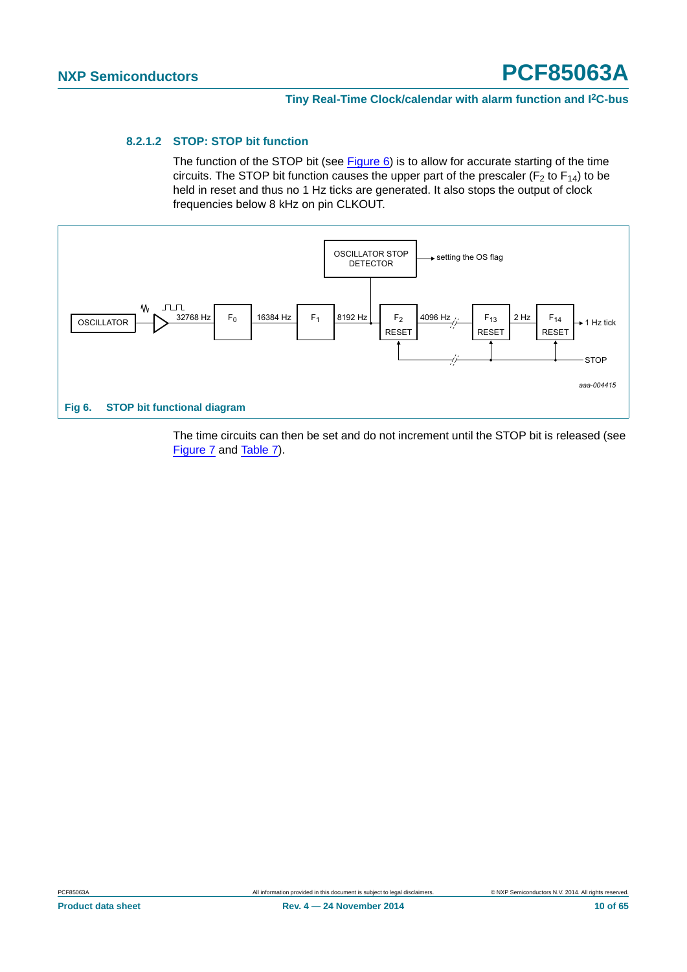#### <span id="page-9-0"></span>**8.2.1.2 STOP: STOP bit function**

The function of the STOP bit (see Figure  $6$ ) is to allow for accurate starting of the time circuits. The STOP bit function causes the upper part of the prescaler ( $F_2$  to  $F_{14}$ ) to be held in reset and thus no 1 Hz ticks are generated. It also stops the output of clock frequencies below 8 kHz on pin CLKOUT.



<span id="page-9-1"></span>The time circuits can then be set and do not increment until the STOP bit is released (see [Figure 7](#page-10-0) and [Table 7](#page-10-1)).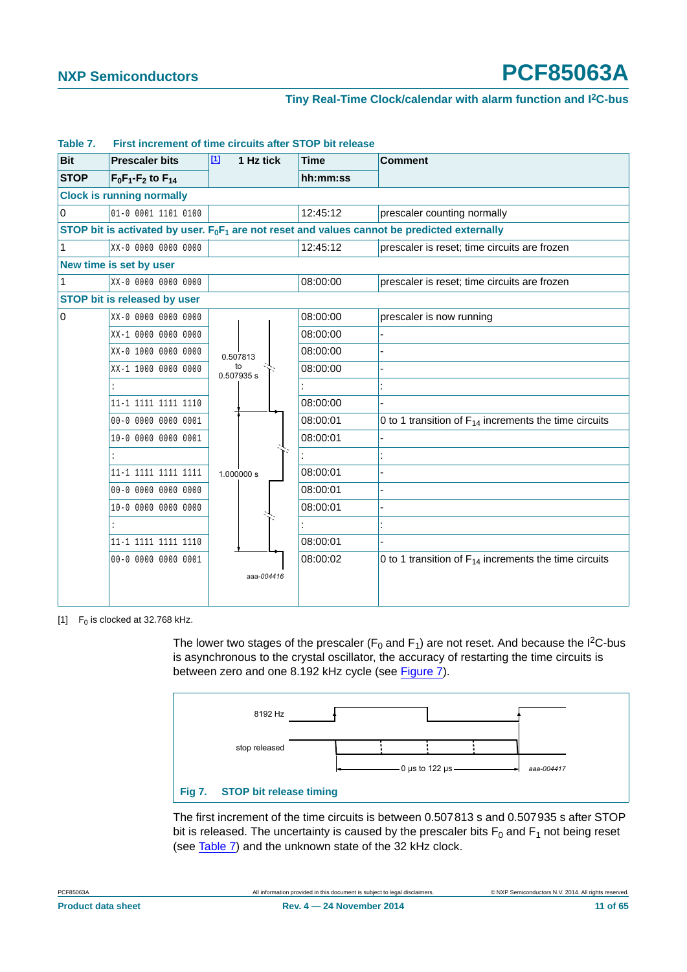| <b>Bit</b>  | <b>Prescaler bits</b>               | $[1]$<br>1 Hz tick | <b>Time</b> | <b>Comment</b>                                                                                  |  |  |  |
|-------------|-------------------------------------|--------------------|-------------|-------------------------------------------------------------------------------------------------|--|--|--|
| <b>STOP</b> | $F_0F_1-F_2$ to $F_{14}$            |                    | hh:mm:ss    |                                                                                                 |  |  |  |
|             | <b>Clock is running normally</b>    |                    |             |                                                                                                 |  |  |  |
| $\mathbf 0$ | 01-0 0001 1101 0100                 |                    | 12:45:12    | prescaler counting normally                                                                     |  |  |  |
|             |                                     |                    |             | STOP bit is activated by user. $F_0F_1$ are not reset and values cannot be predicted externally |  |  |  |
| 1           | XX-0 0000 0000 0000                 |                    | 12:45:12    | prescaler is reset; time circuits are frozen                                                    |  |  |  |
|             | New time is set by user             |                    |             |                                                                                                 |  |  |  |
| 1           | XX-0 0000 0000 0000                 |                    | 08:00:00    | prescaler is reset; time circuits are frozen                                                    |  |  |  |
|             | <b>STOP bit is released by user</b> |                    |             |                                                                                                 |  |  |  |
| 0           | XX-0 0000 0000 0000                 |                    | 08:00:00    | prescaler is now running                                                                        |  |  |  |
|             | XX-1 0000 0000 0000                 |                    | 08:00:00    |                                                                                                 |  |  |  |
|             | XX-0 1000 0000 0000                 | 0.507813           | 08:00:00    |                                                                                                 |  |  |  |
|             | XX-1 1000 0000 0000                 | to<br>0.507935 s   | 08:00:00    |                                                                                                 |  |  |  |
|             | ÷                                   |                    |             |                                                                                                 |  |  |  |
|             | 11-1 1111 1111 1110                 |                    | 08:00:00    |                                                                                                 |  |  |  |
|             | 00-0 0000 0000 0001                 |                    | 08:00:01    | 0 to 1 transition of $F_{14}$ increments the time circuits                                      |  |  |  |
|             | 10-0 0000 0000 0001                 |                    | 08:00:01    |                                                                                                 |  |  |  |
|             | ÷                                   |                    |             |                                                                                                 |  |  |  |
|             | 11-1 1111 1111 1111                 | 1.000000 s         | 08:00:01    |                                                                                                 |  |  |  |
|             |                                     |                    | 08:00:01    |                                                                                                 |  |  |  |
|             | 10-0 0000 0000 0000                 |                    | 08:00:01    |                                                                                                 |  |  |  |
|             | ÷                                   |                    |             |                                                                                                 |  |  |  |
|             | 11-1 1111 1111 1110                 |                    | 08:00:01    |                                                                                                 |  |  |  |
|             | 00-0 0000 0000 0001                 |                    | 08:00:02    | 0 to 1 transition of $F_{14}$ increments the time circuits                                      |  |  |  |
|             |                                     | aaa-004416         |             |                                                                                                 |  |  |  |
|             |                                     |                    |             |                                                                                                 |  |  |  |

#### <span id="page-10-1"></span>**Table 7. First increment of time circuits after STOP bit release**

<span id="page-10-2"></span>[1]  $F_0$  is clocked at 32.768 kHz.

The lower two stages of the prescaler ( $F_0$  and  $F_1$ ) are not reset. And because the I<sup>2</sup>C-bus is asynchronous to the crystal oscillator, the accuracy of restarting the time circuits is between zero and one 8.192 kHz cycle (see [Figure 7](#page-10-0)).



<span id="page-10-0"></span>The first increment of the time circuits is between 0.507813 s and 0.507935 s after STOP bit is released. The uncertainty is caused by the prescaler bits  $F_0$  and  $F_1$  not being reset (see [Table 7\)](#page-10-1) and the unknown state of the 32 kHz clock.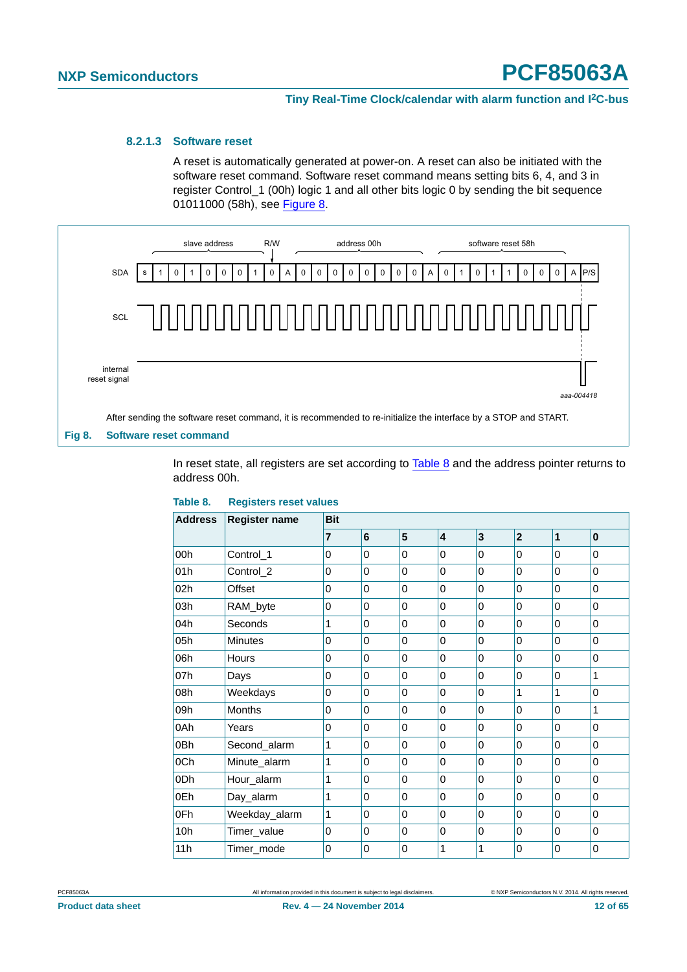#### <span id="page-11-1"></span>**8.2.1.3 Software reset**

<span id="page-11-0"></span>A reset is automatically generated at power-on. A reset can also be initiated with the software reset command. Software reset command means setting bits 6, 4, and 3 in register Control\_1 (00h) logic 1 and all other bits logic 0 by sending the bit sequence 01011000 (58h), see [Figure 8.](#page-11-2)



After sending the software reset command, it is recommended to re-initialize the interface by a STOP and START.

#### <span id="page-11-2"></span>**Fig 8. Software reset command**

In reset state, all registers are set according to [Table 8](#page-11-3) and the address pointer returns to address 00h.

| <b>Address</b> | <b>Register name</b> | <b>Bit</b>     |                |             |   |             |                |                |             |
|----------------|----------------------|----------------|----------------|-------------|---|-------------|----------------|----------------|-------------|
|                |                      | $\overline{7}$ | 6              | 5           | 4 | 3           | $\mathbf{2}$   | 1              | $\mathbf 0$ |
| 00h            | Control_1            | 0              | $\mathbf{0}$   | 0           | 0 | $\Omega$    | $\mathbf 0$    | $\mathbf{0}$   | $\Omega$    |
| 01h            | Control_2            | 0              | 0              | $\mathbf 0$ | 0 | $\mathbf 0$ | $\mathbf 0$    | $\overline{0}$ | $\Omega$    |
| 02h            | Offset               | 0              | $\Omega$       | 0           | 0 | 0           | $\mathbf 0$    | $\mathbf{0}$   | $\Omega$    |
| 03h            | RAM_byte             | 0              | 0              | 0           | 0 | 0           | $\mathbf 0$    | 0              | $\Omega$    |
| 04h            | Seconds              | 1              | 0              | 0           | 0 | 0           | $\mathbf 0$    | $\mathbf{0}$   | 0           |
| 05h            | Minutes              | 0              | $\mathbf{0}$   | 0           | 0 | $\mathbf 0$ | $\mathbf 0$    | $\overline{0}$ | $\Omega$    |
| 06h            | Hours                | 0              | 0              | $\mathbf 0$ | 0 | 0           | 0              | 0              | 0           |
| 07h            | Days                 | 0              | $\mathbf{0}$   | 0           | 0 | 0           | $\mathbf 0$    | $\mathbf{0}$   | 1           |
| 08h            | Weekdays             | 0              | 0              | $\mathbf 0$ | 0 | $\mathbf 0$ | 1              | 1              | 0           |
| 09h            | <b>Months</b>        | 0              | 0              | 0           | 0 | 0           | 0              | $\mathbf{0}$   | 1           |
| 0Ah            | Years                | 0              | $\mathbf{0}$   | 0           | 0 | 0           | $\mathbf 0$    | $\mathbf{0}$   | $\Omega$    |
| 0Bh            | Second_alarm         | 1              | 0              | 0           | 0 | 0           | $\mathbf 0$    | $\mathbf{0}$   | 0           |
| 0Ch            | Minute alarm         | 1              | 0              | $\mathbf 0$ | 0 | $\mathbf 0$ | $\mathbf 0$    | $\overline{0}$ | $\Omega$    |
| 0Dh            | Hour_alarm           | 1              | 0              | 0           | 0 | 0           | 0              | 0              | 0           |
| 0Eh            | Day_alarm            | 1              | $\overline{0}$ | $\mathbf 0$ | 0 | $\Omega$    | $\overline{0}$ | $\mathbf{0}$   | 0           |
| 0Fh            | Weekday_alarm        | 1              | 0              | 0           | 0 | 0           | $\Omega$       | 0              | 0           |
| 10h            | Timer_value          | 0              | $\mathbf{0}$   | 0           | 0 | 0           | $\mathbf 0$    | $\mathbf{0}$   | $\Omega$    |
| 11h            | Timer_mode           | 0              | 0              | 0           | 1 | 1           | 0              | 0              | 0           |

#### <span id="page-11-3"></span>**Table 8. Registers reset values**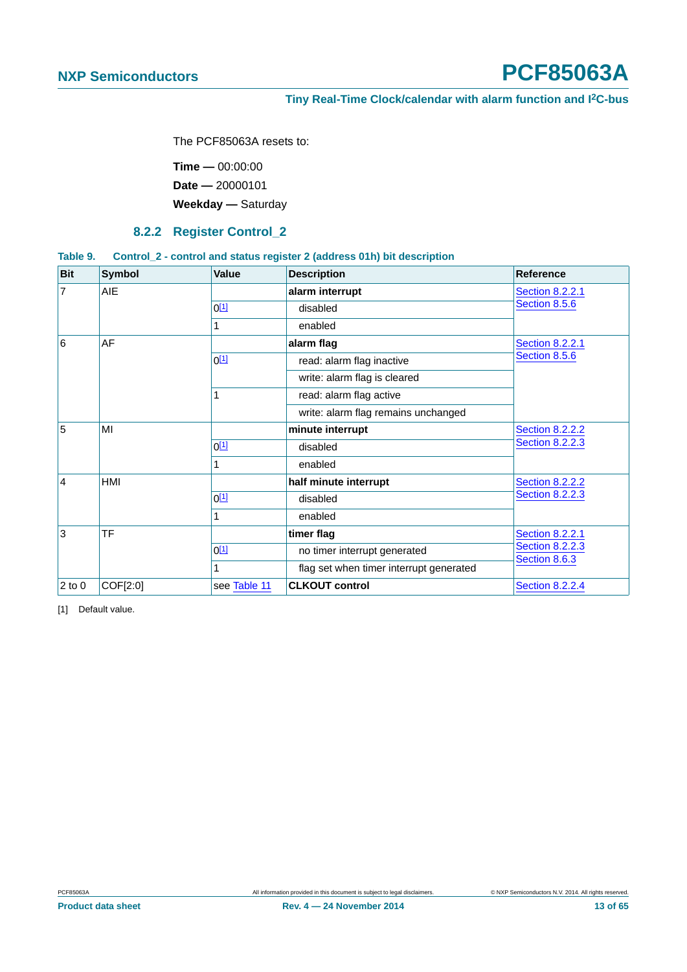#### <span id="page-12-0"></span>**Tiny Real-Time Clock/calendar with alarm function and I2C-bus**

The PCF85063A resets to:

**Time —** 00:00:00 **Date —** 20000101 **Weekday —** Saturday

#### **8.2.2 Register Control\_2**

#### <span id="page-12-3"></span><span id="page-12-2"></span>**Table 9. Control\_2 - control and status register 2 (address 01h) bit description**

| <b>Bit</b>         | <b>Symbol</b> | <b>Value</b> | <b>Description</b>                      | Reference                               |
|--------------------|---------------|--------------|-----------------------------------------|-----------------------------------------|
| 7                  | AIE.          |              | alarm interrupt                         | <b>Section 8.2.2.1</b>                  |
|                    |               | $0^{[1]}$    | disabled                                | Section 8.5.6                           |
|                    |               |              | enabled                                 |                                         |
| 6                  | AF            |              | alarm flag                              | <b>Section 8.2.2.1</b>                  |
|                    |               | $0^{[1]}$    | read: alarm flag inactive               | Section 8.5.6                           |
|                    |               |              | write: alarm flag is cleared            |                                         |
|                    |               |              | read: alarm flag active                 |                                         |
|                    |               |              | write: alarm flag remains unchanged     |                                         |
| 5                  | MI            |              | minute interrupt                        | <b>Section 8.2.2.2</b>                  |
|                    |               | $0^{[1]}$    | disabled                                | <b>Section 8.2.2.3</b>                  |
|                    |               |              | enabled                                 |                                         |
| $\overline{4}$     | <b>HMI</b>    |              | half minute interrupt                   | <b>Section 8.2.2.2</b>                  |
|                    |               | $0^{[1]}$    | disabled                                | <b>Section 8.2.2.3</b>                  |
|                    |               |              | enabled                                 |                                         |
| 3                  | <b>TF</b>     |              | timer flag                              | <b>Section 8.2.2.1</b>                  |
|                    |               | $0^{[1]}$    | no timer interrupt generated            | <b>Section 8.2.2.3</b><br>Section 8.6.3 |
|                    |               | 1            | flag set when timer interrupt generated |                                         |
| $ 2 \text{ to } 0$ | COF[2:0]      | see Table 11 | <b>CLKOUT control</b>                   | <b>Section 8.2.2.4</b>                  |

<span id="page-12-1"></span>[1] Default value.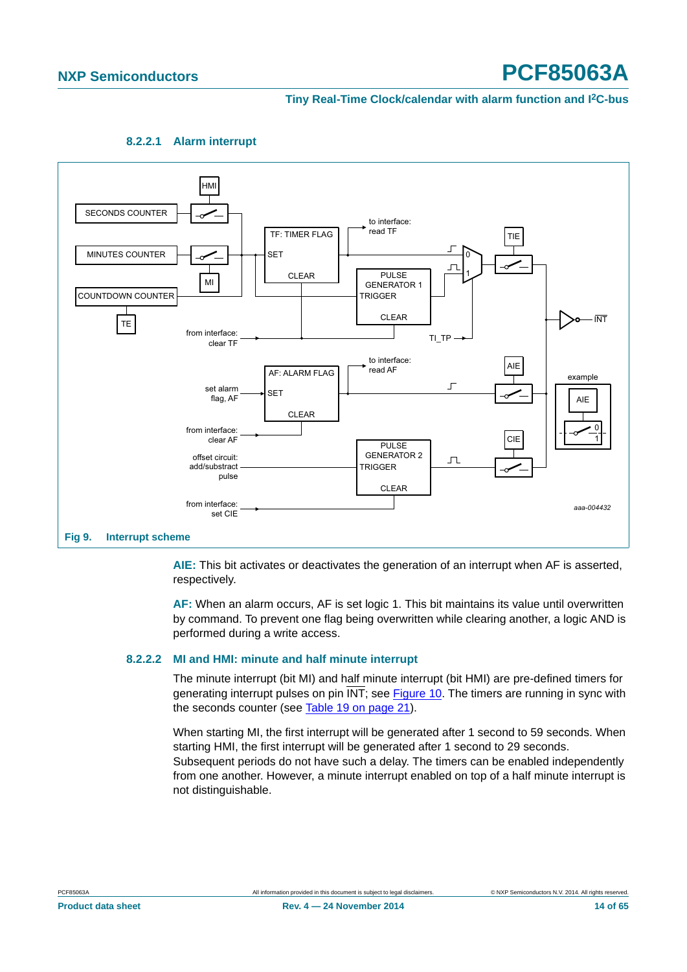#### **Tiny Real-Time Clock/calendar with alarm function and I2C-bus**



<span id="page-13-0"></span>

<span id="page-13-2"></span>**AIE:** This bit activates or deactivates the generation of an interrupt when AF is asserted, respectively.

**AF:** When an alarm occurs, AF is set logic 1. This bit maintains its value until overwritten by command. To prevent one flag being overwritten while clearing another, a logic AND is performed during a write access.

#### <span id="page-13-1"></span>**8.2.2.2 MI and HMI: minute and half minute interrupt**

The minute interrupt (bit MI) and half minute interrupt (bit HMI) are pre-defined timers for generating interrupt pulses on pin INT; see [Figure 10.](#page-14-1) The timers are running in sync with the seconds counter (see [Table 19 on page 21\)](#page-20-2).

When starting MI, the first interrupt will be generated after 1 second to 59 seconds. When starting HMI, the first interrupt will be generated after 1 second to 29 seconds. Subsequent periods do not have such a delay. The timers can be enabled independently from one another. However, a minute interrupt enabled on top of a half minute interrupt is not distinguishable.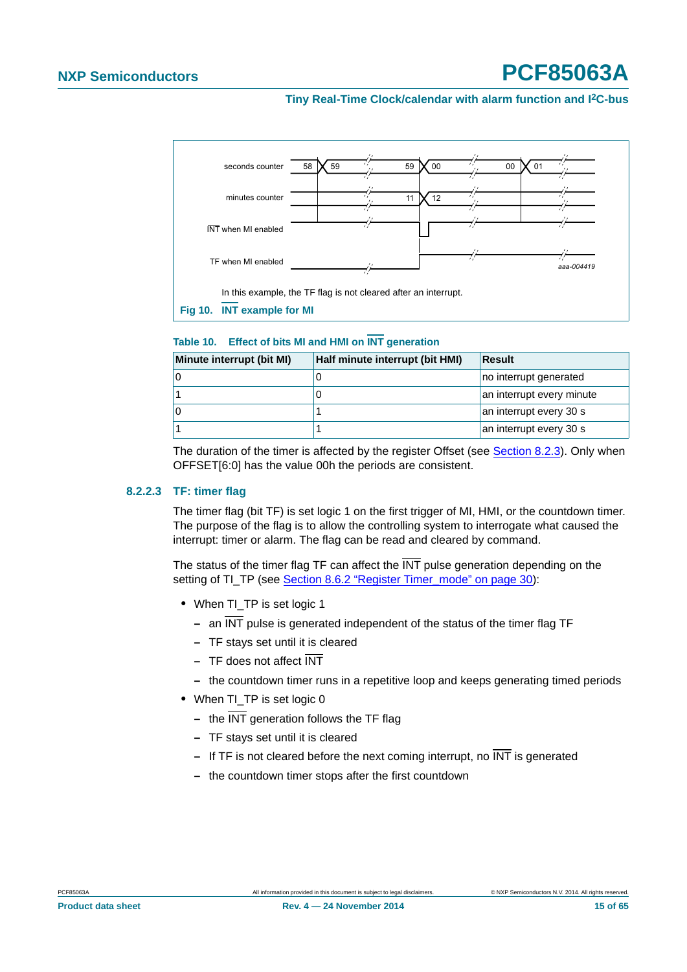#### **Tiny Real-Time Clock/calendar with alarm function and I2C-bus**



<span id="page-14-2"></span><span id="page-14-1"></span>**Table 10. Effect of bits MI and HMI on INT generation**

| Minute interrupt (bit MI) | Half minute interrupt (bit HMI) | Result                    |
|---------------------------|---------------------------------|---------------------------|
|                           |                                 | no interrupt generated    |
|                           |                                 | an interrupt every minute |
|                           |                                 | an interrupt every 30 s   |
|                           |                                 | an interrupt every 30 s   |

The duration of the timer is affected by the register Offset (see [Section 8.2.3\)](#page-16-1). Only when OFFSET[6:0] has the value 00h the periods are consistent.

#### <span id="page-14-0"></span>**8.2.2.3 TF: timer flag**

The timer flag (bit TF) is set logic 1 on the first trigger of MI, HMI, or the countdown timer. The purpose of the flag is to allow the controlling system to interrogate what caused the interrupt: timer or alarm. The flag can be read and cleared by command.

The status of the timer flag TF can affect the  $\overline{\text{INT}}$  pulse generation depending on the setting of TI\_TP (see [Section 8.6.2 "Register Timer\\_mode" on page 30\)](#page-29-2):

- When TI\_TP is set logic 1
	- **–** an INT pulse is generated independent of the status of the timer flag TF
	- **–** TF stays set until it is cleared
	- **–** TF does not affect INT
	- **–** the countdown timer runs in a repetitive loop and keeps generating timed periods
- When TI\_TP is set logic 0
	- **–** the INT generation follows the TF flag
	- **–** TF stays set until it is cleared
	- **–** If TF is not cleared before the next coming interrupt, no INT is generated
	- **–** the countdown timer stops after the first countdown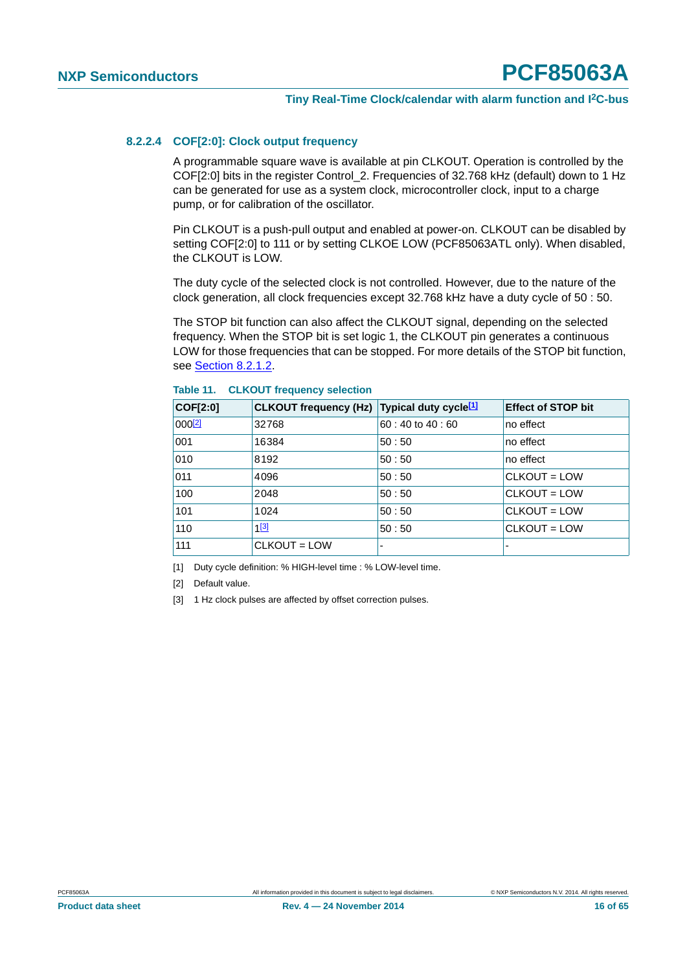#### <span id="page-15-1"></span>**8.2.2.4 COF[2:0]: Clock output frequency**

A programmable square wave is available at pin CLKOUT. Operation is controlled by the COF[2:0] bits in the register Control\_2. Frequencies of 32.768 kHz (default) down to 1 Hz can be generated for use as a system clock, microcontroller clock, input to a charge pump, or for calibration of the oscillator.

Pin CLKOUT is a push-pull output and enabled at power-on. CLKOUT can be disabled by setting COF[2:0] to 111 or by setting CLKOE LOW (PCF85063ATL only). When disabled, the CLKOUT is LOW.

The duty cycle of the selected clock is not controlled. However, due to the nature of the clock generation, all clock frequencies except 32.768 kHz have a duty cycle of 50 : 50.

The STOP bit function can also affect the CLKOUT signal, depending on the selected frequency. When the STOP bit is set logic 1, the CLKOUT pin generates a continuous LOW for those frequencies that can be stopped. For more details of the STOP bit function, see [Section 8.2.1.2.](#page-9-0)

| COF[2:0]    | CLKOUT frequency (Hz) Typical duty cycle <sup>[1]</sup> |                | <b>Effect of STOP bit</b> |
|-------------|---------------------------------------------------------|----------------|---------------------------|
| $000^{[2]}$ | 32768                                                   | 60:40 to 40:60 | no effect                 |
| 001         | 16384                                                   | 50:50          | no effect                 |
| 010         | 8192                                                    | 50:50          | no effect                 |
| 011         | 4096                                                    | 50:50          | $CLKOUT = LOW$            |
| 100         | 2048                                                    | 50:50          | $CLKOUT = LOW$            |
| 101         | 1024                                                    | 50:50          | $CLKOUT = LOW$            |
| 110         | $1^{[3]}$                                               | 50:50          | $CLKOUT = LOW$            |
| 111         | CLKOUT = LOW                                            | -              |                           |

<span id="page-15-0"></span>**Table 11. CLKOUT frequency selection**

<span id="page-15-2"></span>[1] Duty cycle definition: % HIGH-level time : % LOW-level time.

<span id="page-15-4"></span>[2] Default value.

<span id="page-15-3"></span>[3] 1 Hz clock pulses are affected by offset correction pulses.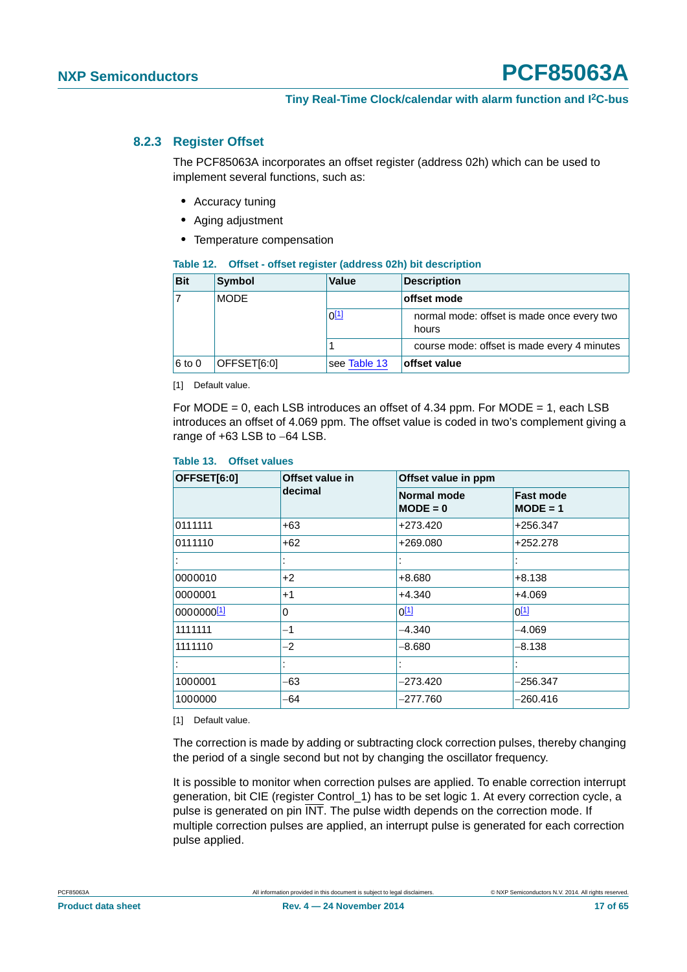#### <span id="page-16-1"></span>**8.2.3 Register Offset**

The PCF85063A incorporates an offset register (address 02h) which can be used to implement several functions, such as:

- <span id="page-16-0"></span>**•** Accuracy tuning
- **•** Aging adjustment
- **•** Temperature compensation

<span id="page-16-5"></span>

|  |  | Table 12. Offset - offset register (address 02h) bit description |
|--|--|------------------------------------------------------------------|
|--|--|------------------------------------------------------------------|

| <b>Bit</b> | Symbol      | Value        | <b>Description</b>                                  |  |
|------------|-------------|--------------|-----------------------------------------------------|--|
| 17         | <b>MODE</b> |              | offset mode                                         |  |
|            |             | $0^{[1]}$    | normal mode: offset is made once every two<br>hours |  |
|            |             |              | course mode: offset is made every 4 minutes         |  |
| $6$ to 0   | OFFSET[6:0] | see Table 13 | offset value                                        |  |

<span id="page-16-2"></span>[1] Default value.

For MODE = 0, each LSB introduces an offset of 4.34 ppm. For MODE = 1, each LSB introduces an offset of 4.069 ppm. The offset value is coded in two's complement giving a range of  $+63$  LSB to  $-64$  LSB.

#### <span id="page-16-3"></span>**Table 13. Offset values**

| OFFSET[6:0] | Offset value in | Offset value in ppm              |                                |  |
|-------------|-----------------|----------------------------------|--------------------------------|--|
| decimal     |                 | <b>Normal mode</b><br>$MODE = 0$ | <b>Fast mode</b><br>$MODE = 1$ |  |
| 0111111     | $+63$           | +273.420                         | +256.347                       |  |
| 0111110     | $+62$           | +269.080                         | +252.278                       |  |
|             |                 |                                  |                                |  |
| 0000010     | $+2$            | +8.680                           | $+8.138$                       |  |
| 0000001     | $+1$            | +4.340                           | $+4.069$                       |  |
| 0000000[1]  | $\Omega$        | $0^{[1]}$                        | $0^{[1]}$                      |  |
| 1111111     | $-1$            | $-4.340$                         | $-4.069$                       |  |
| 1111110     | $-2$            | $-8.680$                         | $-8.138$                       |  |
|             |                 |                                  |                                |  |
| 1000001     | -63             | $-273.420$                       | –256.347                       |  |
| 1000000     | -64             | $-277.760$                       | –260.416                       |  |

<span id="page-16-4"></span>[1] Default value.

The correction is made by adding or subtracting clock correction pulses, thereby changing the period of a single second but not by changing the oscillator frequency.

It is possible to monitor when correction pulses are applied. To enable correction interrupt generation, bit CIE (register Control\_1) has to be set logic 1. At every correction cycle, a pulse is generated on pin INT. The pulse width depends on the correction mode. If multiple correction pulses are applied, an interrupt pulse is generated for each correction pulse applied.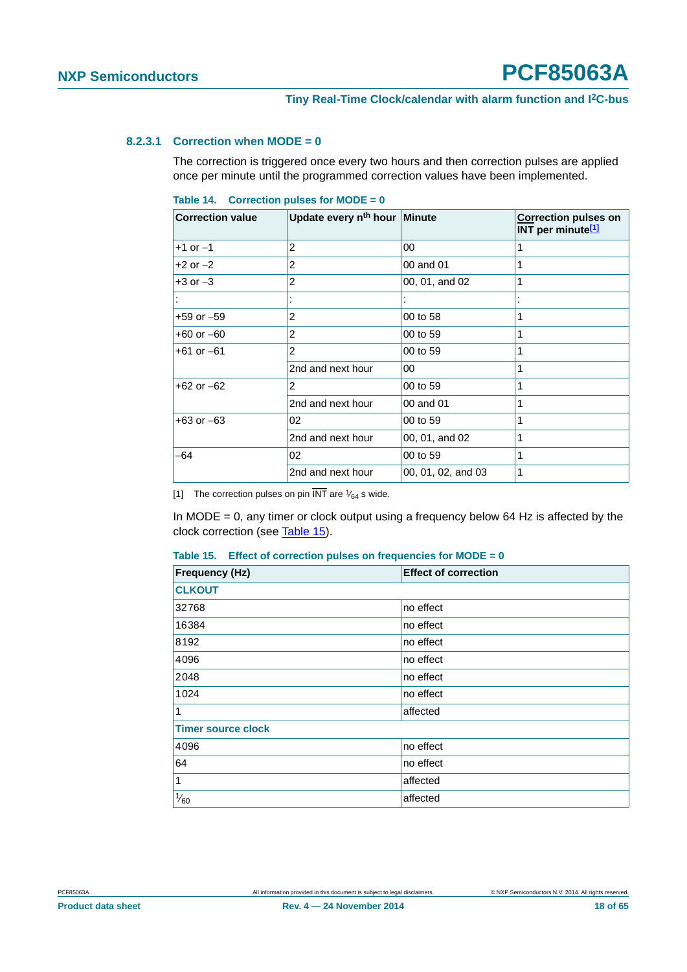#### <span id="page-17-3"></span>**8.2.3.1 Correction when MODE = 0**

The correction is triggered once every two hours and then correction pulses are applied once per minute until the programmed correction values have been implemented.

<span id="page-17-2"></span>

| Table 14. Correction pulses for MODE = $0$ |  |  |
|--------------------------------------------|--|--|
|                                            |  |  |

| <b>Correction value</b> | Update every n <sup>th</sup> hour Minute |                    | <b>Correction pulses on</b><br>INT per minute <sup>[1]</sup> |
|-------------------------|------------------------------------------|--------------------|--------------------------------------------------------------|
| $+1$ or $-1$            | 2                                        | 00                 | 1                                                            |
| $+2$ or $-2$            | 2                                        | 00 and 01          | 1                                                            |
| $+3$ or $-3$            | 2                                        | 00, 01, and 02     | 1                                                            |
|                         |                                          |                    |                                                              |
| $+59$ or $-59$          | 2                                        | 00 to 58           | 1                                                            |
| $+60$ or $-60$          | 2                                        | 00 to 59           | 1                                                            |
| $+61$ or $-61$          | 2                                        | 00 to 59           | 1                                                            |
|                         | 2nd and next hour                        | 00                 | 1                                                            |
| $+62$ or $-62$          | $\overline{2}$                           | 00 to 59           | 1                                                            |
|                         | 2nd and next hour                        | 00 and 01          | 1                                                            |
| $+63$ or $-63$          | 02                                       | 00 to 59           | 1                                                            |
|                         | 2nd and next hour                        | 00, 01, and 02     | 1                                                            |
| -64                     | 02                                       | 00 to 59           | 1                                                            |
|                         | 2nd and next hour                        | 00, 01, 02, and 03 | 1                                                            |

<span id="page-17-0"></span>[1] The correction pulses on pin  $\overline{\text{INT}}$  are  $\frac{1}{64}$  s wide.

In MODE = 0, any timer or clock output using a frequency below 64 Hz is affected by the clock correction (see [Table 15](#page-17-1)).

<span id="page-17-1"></span>

| Table 15. Effect of correction pulses on frequencies for $MODE = 0$ |  |  |  |  |  |  |
|---------------------------------------------------------------------|--|--|--|--|--|--|
|---------------------------------------------------------------------|--|--|--|--|--|--|

| <b>Frequency (Hz)</b>     | <b>Effect of correction</b> |
|---------------------------|-----------------------------|
| <b>CLKOUT</b>             |                             |
| 32768                     | no effect                   |
| 16384                     | no effect                   |
| 8192                      | no effect                   |
| 4096                      | no effect                   |
| 2048                      | no effect                   |
| 1024                      | no effect                   |
| $\mathbf{1}$              | affected                    |
| <b>Timer source clock</b> |                             |
| 4096                      | no effect                   |
| 64                        | no effect                   |
| $\vert$ 1                 | affected                    |
| $\frac{1}{60}$            | affected                    |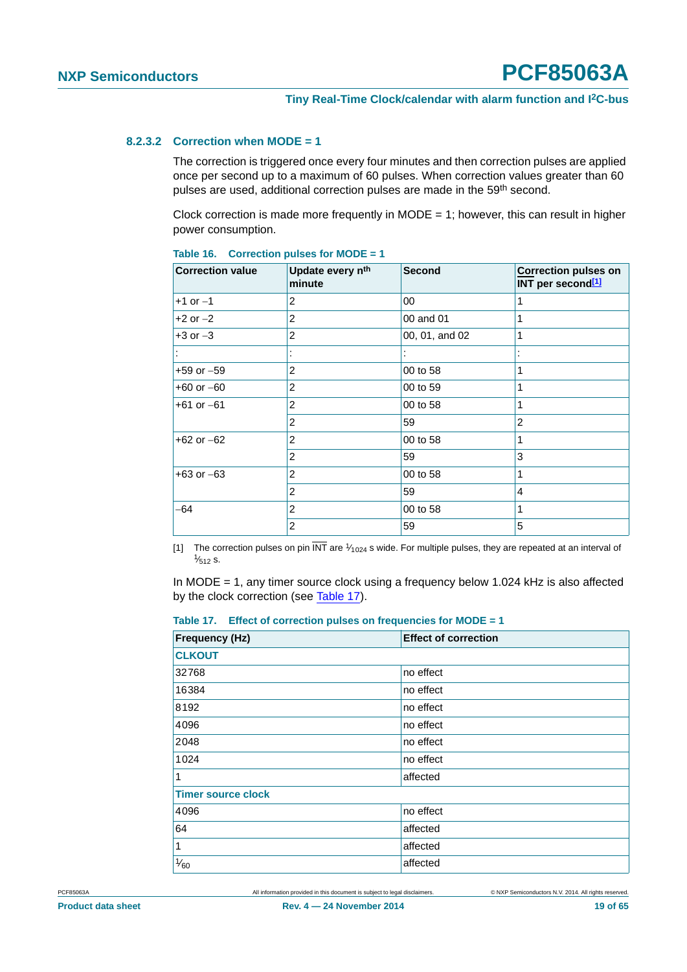#### <span id="page-18-3"></span>**8.2.3.2 Correction when MODE = 1**

The correction is triggered once every four minutes and then correction pulses are applied once per second up to a maximum of 60 pulses. When correction values greater than 60 pulses are used, additional correction pulses are made in the 59<sup>th</sup> second.

Clock correction is made more frequently in MODE = 1; however, this can result in higher power consumption.

| <b>Correction value</b> | Update every n <sup>th</sup><br>minute | Second         | <b>Correction pulses on</b><br>INT per second <sup>[1]</sup> |
|-------------------------|----------------------------------------|----------------|--------------------------------------------------------------|
| $+1$ or $-1$            | 2                                      | 00             | 1                                                            |
| $+2$ or $-2$            | 2                                      | 00 and 01      |                                                              |
| $+3$ or $-3$            | $\overline{2}$                         | 00, 01, and 02 | 1                                                            |
|                         |                                        |                |                                                              |
| $+59$ or $-59$          | 2                                      | 00 to 58       |                                                              |
| $+60$ or $-60$          | $\overline{2}$                         | 00 to 59       | 1                                                            |
| $+61$ or $-61$          | $\overline{2}$                         | 00 to 58       |                                                              |
|                         | 2                                      | 59             | 2                                                            |
| $+62$ or $-62$          | 2                                      | 00 to 58       |                                                              |
|                         | 2                                      | 59             | 3                                                            |
| $+63$ or $-63$          | $\overline{2}$                         | 00 to 58       | 1                                                            |
|                         | 2                                      | 59             | 4                                                            |
| -64                     | 2                                      | 00 to 58       | 1                                                            |
|                         | 2                                      | 59             | 5                                                            |

<span id="page-18-2"></span>**Table 16. Correction pulses for MODE = 1**

<span id="page-18-0"></span>[1] The correction pulses on pin  $\overline{\text{INT}}$  are  $\frac{1}{1024}$  s wide. For multiple pulses, they are repeated at an interval of  $\frac{1}{512}$  s.  $\frac{1}{512}$  s.

In MODE = 1, any timer source clock using a frequency below 1.024 kHz is also affected by the clock correction (see [Table 17](#page-18-1)).

<span id="page-18-1"></span>

|  |  |  |  |  | Table 17. Effect of correction pulses on frequencies for MODE = $1$ |
|--|--|--|--|--|---------------------------------------------------------------------|
|--|--|--|--|--|---------------------------------------------------------------------|

| <b>Frequency (Hz)</b>     | <b>Effect of correction</b> |
|---------------------------|-----------------------------|
| <b>CLKOUT</b>             |                             |
| 32768                     | no effect                   |
| 16384                     | no effect                   |
| 8192                      | no effect                   |
| 4096                      | no effect                   |
| 2048                      | no effect                   |
| 1024                      | no effect                   |
| 1                         | affected                    |
| <b>Timer source clock</b> |                             |
| 4096                      | no effect                   |
| 64                        | affected                    |
| $\mathbf{1}$              | affected                    |
| $\frac{1}{60}$            | affected                    |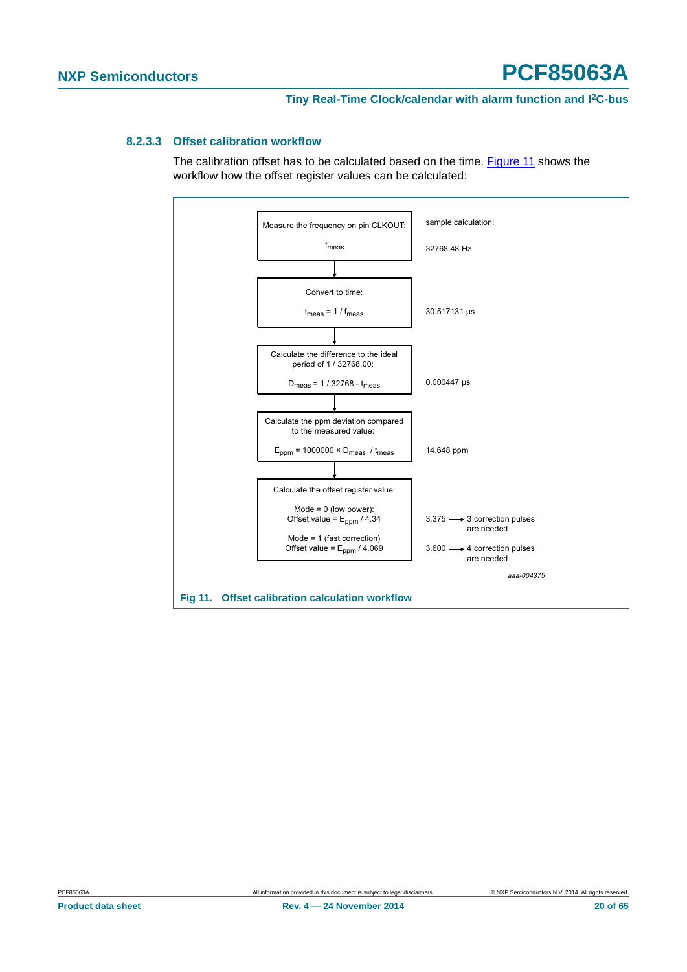#### <span id="page-19-1"></span>**8.2.3.3 Offset calibration workflow**

The calibration offset has to be calculated based on the time. [Figure 11](#page-19-0) shows the workflow how the offset register values can be calculated:



<span id="page-19-0"></span>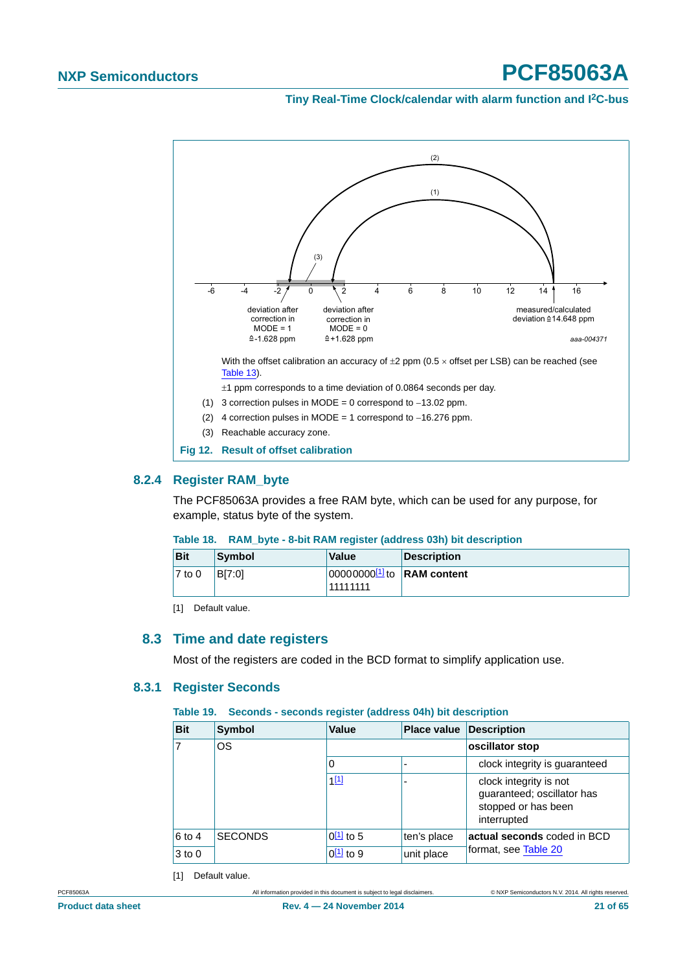<span id="page-20-1"></span><span id="page-20-0"></span>**Tiny Real-Time Clock/calendar with alarm function and I2C-bus**



#### <span id="page-20-7"></span><span id="page-20-6"></span>**8.2.4 Register RAM\_byte**

The PCF85063A provides a free RAM byte, which can be used for any purpose, for example, status byte of the system.

#### <span id="page-20-5"></span>**Table 18. RAM\_byte - 8-bit RAM register (address 03h) bit description**

| <b>Bit</b> | Symbol | <b>Value</b>                                               | <b>Description</b> |
|------------|--------|------------------------------------------------------------|--------------------|
| $7$ to 0   | BI7:01 | 000000000 <sup>[1]</sup> to <b>RAM</b> content<br>11111111 |                    |

<span id="page-20-4"></span>[1] Default value.

#### <span id="page-20-8"></span>**8.3 Time and date registers**

Most of the registers are coded in the BCD format to simplify application use.

#### <span id="page-20-9"></span>**8.3.1 Register Seconds**

#### <span id="page-20-2"></span>**Table 19. Seconds - seconds register (address 04h) bit description**

| <b>Bit</b>     | <b>Symbol</b>  | Value                  | <b>Place value</b> | Description                                                                                |  |
|----------------|----------------|------------------------|--------------------|--------------------------------------------------------------------------------------------|--|
| $\overline{7}$ | OS             |                        |                    | oscillator stop                                                                            |  |
|                |                | 0                      |                    | clock integrity is guaranteed                                                              |  |
|                |                | 1[1]                   | ۰                  | clock integrity is not<br>guaranteed; oscillator has<br>stopped or has been<br>interrupted |  |
| 6 to 4         | <b>SECONDS</b> | $0\underline{11}$ to 5 | ten's place        | actual seconds coded in BCD<br>format, see Table 20                                        |  |
| $3$ to $0$     |                | $0\underline{11}$ to 9 | unit place         |                                                                                            |  |

<span id="page-20-3"></span>[1] Default value.

PCF85063A All information provided in this document is subject to legal disclaimers. © NXP Semiconductors N.V. 2014. All rights reserved.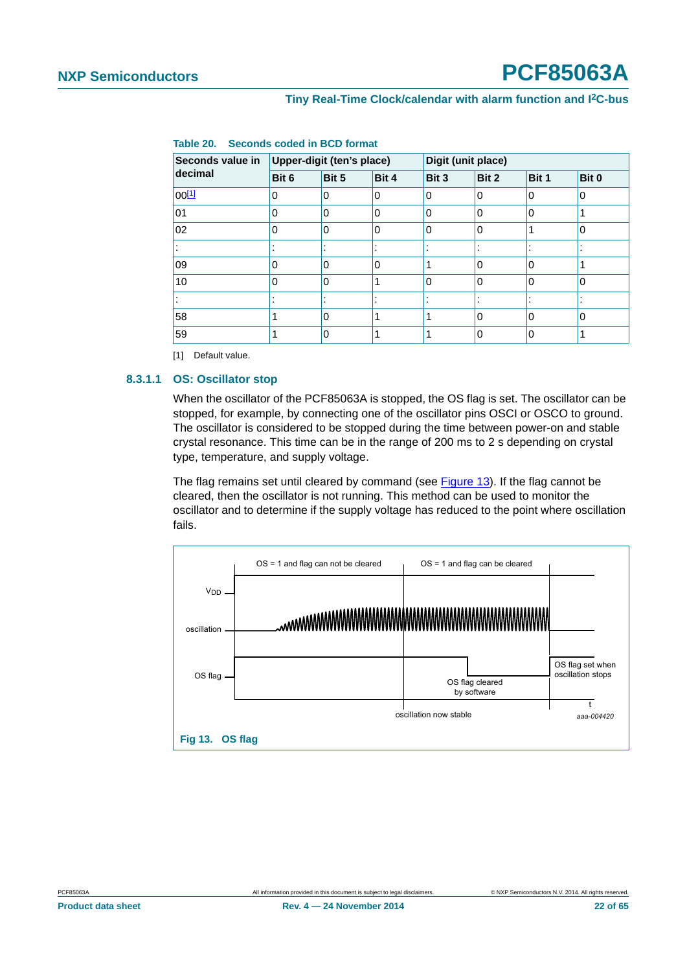| Seconds value in | Upper-digit (ten's place) |                          | Digit (unit place) |          |              |       |                          |
|------------------|---------------------------|--------------------------|--------------------|----------|--------------|-------|--------------------------|
| decimal          | Bit 6                     | Bit 5                    | Bit 4              | Bit 3    | Bit 2        | Bit 1 | Bit 0                    |
| $00^{[1]}$       | 0                         | 0                        | 0                  | 0        | 0            | l 0   | 0                        |
| 01               | 0                         | $\Omega$                 | 0                  | 0        | 0            | 0     |                          |
| 02               | 0                         | $\Omega$                 | $\Omega$           | $\Omega$ | 0            |       | $\Omega$                 |
|                  |                           | $\overline{\phantom{a}}$ |                    |          |              |       |                          |
| 09               | 0                         | $\Omega$                 | $\Omega$           | 4        | 0            | 10    |                          |
| 10               | 0                         | $\Omega$                 | 1                  | $\Omega$ | 0            | 10    | $\Omega$                 |
|                  |                           |                          |                    |          |              |       | $\overline{\phantom{a}}$ |
| 58               |                           | 0                        |                    | 4        | $\mathbf{0}$ | ۱O    | 0                        |
| 59               |                           | $\mathbf 0$              |                    |          | 0            | 0     |                          |
|                  |                           |                          |                    |          |              |       |                          |

<span id="page-21-0"></span>

|  | Table 20. Seconds coded in BCD format |  |  |  |  |
|--|---------------------------------------|--|--|--|--|
|--|---------------------------------------|--|--|--|--|

<span id="page-21-2"></span>[1] Default value.

#### <span id="page-21-3"></span>**8.3.1.1 OS: Oscillator stop**

When the oscillator of the PCF85063A is stopped, the OS flag is set. The oscillator can be stopped, for example, by connecting one of the oscillator pins OSCI or OSCO to ground. The oscillator is considered to be stopped during the time between power-on and stable crystal resonance. This time can be in the range of 200 ms to 2 s depending on crystal type, temperature, and supply voltage.

The flag remains set until cleared by command (see [Figure 13](#page-21-1)). If the flag cannot be cleared, then the oscillator is not running. This method can be used to monitor the oscillator and to determine if the supply voltage has reduced to the point where oscillation fails.

<span id="page-21-1"></span>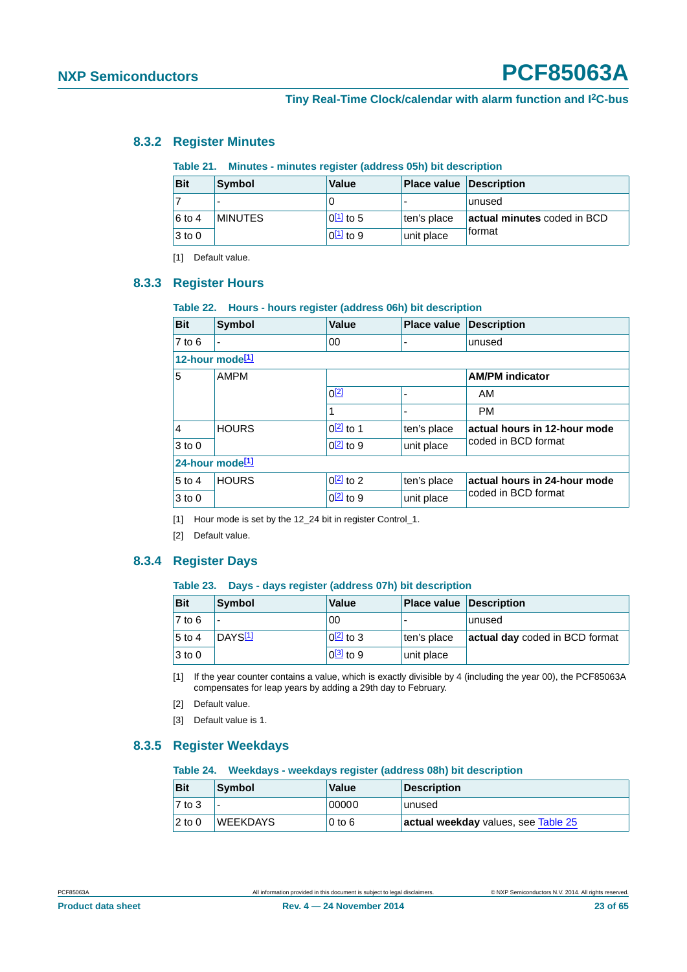#### <span id="page-22-15"></span>**8.3.2 Register Minutes**

#### <span id="page-22-11"></span><span id="page-22-3"></span><span id="page-22-2"></span>**Table 21. Minutes - minutes register (address 05h) bit description**

<span id="page-22-1"></span><span id="page-22-0"></span>

| <b>Bit</b> | Symbol         | Value          | <b>Place value Description</b> |                             |
|------------|----------------|----------------|--------------------------------|-----------------------------|
|            |                |                |                                | unused                      |
| 6 to 4     | <b>MINUTES</b> | ⊺0 $11$ to 5   | ten's place                    | actual minutes coded in BCD |
| $3$ to $0$ |                | $0^{[1]}$ to 9 | unit place                     | <b>format</b>               |

<span id="page-22-8"></span>[1] Default value.

#### <span id="page-22-4"></span>**8.3.3 Register Hours**

#### <span id="page-22-12"></span>**Table 22. Hours - hours register (address 06h) bit description**

| <b>Bit</b>                  | Symbol         | <b>Value</b>     | <b>Place value</b> | <b>Description</b>           |  |  |
|-----------------------------|----------------|------------------|--------------------|------------------------------|--|--|
| $7$ to 6                    | $\blacksquare$ | 00               |                    | unused                       |  |  |
| 12-hour mode <sup>[1]</sup> |                |                  |                    |                              |  |  |
| 5<br><b>AMPM</b>            |                |                  |                    | <b>AM/PM</b> indicator       |  |  |
|                             | $0^{[2]}$      | ۰                | AM                 |                              |  |  |
|                             |                |                  |                    | <b>PM</b>                    |  |  |
| $\vert$ 4                   | <b>HOURS</b>   | $0[2]$ to 1      | ten's place        | actual hours in 12-hour mode |  |  |
| $3$ to 0                    |                | $Q[2]$ to 9      | unit place         | coded in BCD format          |  |  |
| 24-hour mode <sup>[1]</sup> |                |                  |                    |                              |  |  |
| $5$ to 4                    | <b>HOURS</b>   | $0[2]$ to 2      | ten's place        | actual hours in 24-hour mode |  |  |
| $3$ to 0                    |                | $0\sqrt{2}$ to 9 | unit place         | coded in BCD format          |  |  |

<span id="page-22-6"></span>[1] Hour mode is set by the 12\_24 bit in register Control\_1.

<span id="page-22-7"></span>[2] Default value.

#### <span id="page-22-16"></span>**8.3.4 Register Days**

#### <span id="page-22-13"></span>**Table 23. Days - days register (address 07h) bit description**

| <b>Bit</b>          | Symbol              | <b>Value</b>     | <b>Place value Description</b> |                                |
|---------------------|---------------------|------------------|--------------------------------|--------------------------------|
| $\overline{7}$ to 6 |                     | 00               |                                | lunused                        |
| $5$ to 4            | DAYS <sup>[1]</sup> | $\sqrt{2}$ to 3  | ten's place                    | actual day coded in BCD format |
| $3$ to 0            |                     | $0\sqrt{3}$ to 9 | unit place                     |                                |

<span id="page-22-5"></span>[1] If the year counter contains a value, which is exactly divisible by 4 (including the year 00), the PCF85063A compensates for leap years by adding a 29th day to February.

- <span id="page-22-9"></span>[2] Default value.
- <span id="page-22-10"></span>[3] Default value is 1.

#### <span id="page-22-17"></span>**8.3.5 Register Weekdays**

#### <span id="page-22-14"></span>**Table 24. Weekdays - weekdays register (address 08h) bit description**

| <b>Bit</b>          | Symbol          | Value    | Description                         |
|---------------------|-----------------|----------|-------------------------------------|
| $\overline{7}$ to 3 |                 | 00000    | unused                              |
| $2$ to 0            | <b>WEEKDAYS</b> | $0$ to 6 | actual weekday values, see Table 25 |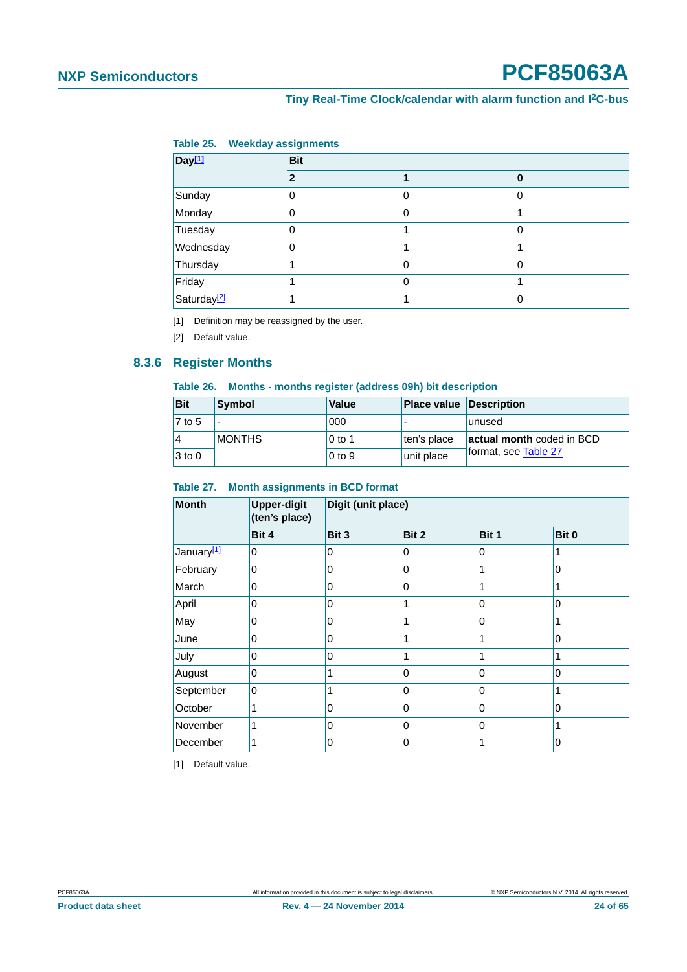#### <span id="page-23-0"></span>**Tiny Real-Time Clock/calendar with alarm function and I2C-bus**

#### <span id="page-23-1"></span>**Table 25. Weekday assignments**

| Day <sup>[1]</sup>      | <b>Bit</b> |   |   |  |  |  |
|-------------------------|------------|---|---|--|--|--|
|                         | 2          |   | 0 |  |  |  |
| Sunday                  | 0          | 0 | 0 |  |  |  |
| Monday                  | 0          | 0 |   |  |  |  |
| Tuesday                 | Ω          |   | 0 |  |  |  |
| Wednesday               | 0          |   |   |  |  |  |
| Thursday                |            | 0 | 0 |  |  |  |
| Friday                  |            | 0 |   |  |  |  |
| Saturday <sup>[2]</sup> |            |   | 0 |  |  |  |

<span id="page-23-2"></span>[1] Definition may be reassigned by the user.

<span id="page-23-3"></span>[2] Default value.

#### <span id="page-23-7"></span>**8.3.6 Register Months**

#### <span id="page-23-6"></span>**Table 26. Months - months register (address 09h) bit description**

| <b>Bit</b> | Symbol        | Value             | <b>Place value Description</b> |                           |
|------------|---------------|-------------------|--------------------------------|---------------------------|
| 7 to 5     |               | 000               |                                | lunused                   |
| 4          | <b>MONTHS</b> | $0$ to 1          | ten's place                    | actual month coded in BCD |
| $3$ to 0   |               | 0 <sub>to</sub> 9 | unit place                     | format, see Table 27      |

#### <span id="page-23-4"></span>**Table 27. Month assignments in BCD format**

| <b>Month</b>           | <b>Upper-digit</b><br>(ten's place) | Digit (unit place) |       |              |          |  |  |
|------------------------|-------------------------------------|--------------------|-------|--------------|----------|--|--|
|                        | Bit 4                               | Bit 3              | Bit 2 | Bit 1        | Bit 0    |  |  |
| January <sup>[1]</sup> | 0                                   | 0                  | 0     | 0            |          |  |  |
| February               | 0                                   | 0                  | 0     | 1            | 0        |  |  |
| March                  | 0                                   | 0                  | 0     |              |          |  |  |
| April                  | 0                                   | 0                  | 1     | 0            | 0        |  |  |
| May                    | 0                                   | 0                  |       | 0            |          |  |  |
| June                   | 0                                   | $\Omega$           | 1     | 1            | $\Omega$ |  |  |
| July                   | 0                                   | 0                  |       |              |          |  |  |
| August                 | 0                                   |                    | 0     | $\mathbf{0}$ | 0        |  |  |
| September              | 0                                   |                    | 0     | 0            |          |  |  |
| October                | 1                                   | 0                  | 0     | $\mathbf{0}$ | $\Omega$ |  |  |
| November               | 1                                   | 0                  | 0     | 0            |          |  |  |
| December               |                                     | 0                  | 0     |              | 0        |  |  |

<span id="page-23-5"></span>[1] Default value.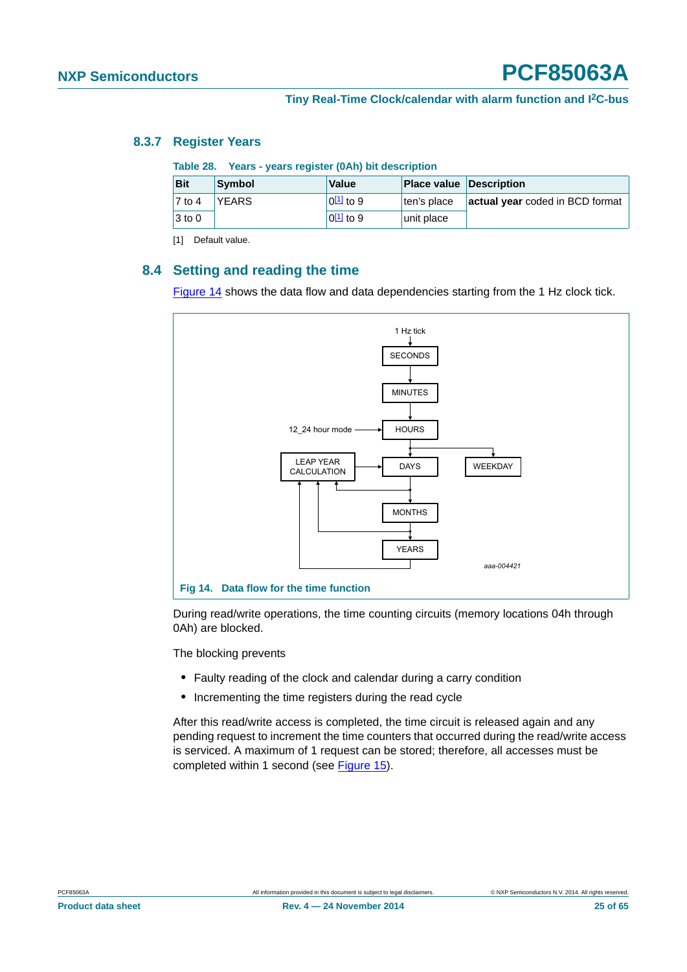#### <span id="page-24-5"></span>**8.3.7 Register Years**

<span id="page-24-4"></span><span id="page-24-1"></span>

|  | Table 28. Years - years register (0Ah) bit description |  |  |  |
|--|--------------------------------------------------------|--|--|--|
|--|--------------------------------------------------------|--|--|--|

| <b>Bit</b>      | Symbol       | Value           | <b>Place value Description</b> |                                 |
|-----------------|--------------|-----------------|--------------------------------|---------------------------------|
| $\sqrt{7}$ to 4 | <b>YEARS</b> | $ 0[1]$ to 9    | ten's place                    | actual year coded in BCD format |
| $3$ to 0        |              | $ 0^{[1]}$ to 9 | unit place                     |                                 |

<span id="page-24-3"></span>[1] Default value.

#### <span id="page-24-0"></span>**8.4 Setting and reading the time**

[Figure 14](#page-24-2) shows the data flow and data dependencies starting from the 1 Hz clock tick.



<span id="page-24-2"></span>During read/write operations, the time counting circuits (memory locations 04h through 0Ah) are blocked.

The blocking prevents

- **•** Faulty reading of the clock and calendar during a carry condition
- **•** Incrementing the time registers during the read cycle

After this read/write access is completed, the time circuit is released again and any pending request to increment the time counters that occurred during the read/write access is serviced. A maximum of 1 request can be stored; therefore, all accesses must be completed within 1 second (see [Figure 15](#page-25-1)).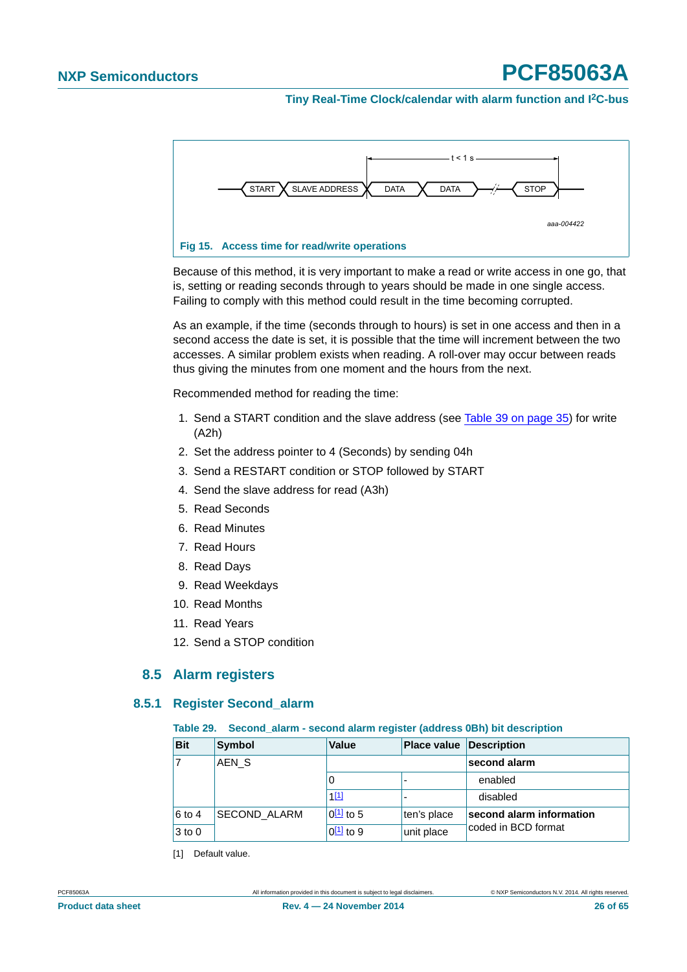<span id="page-25-0"></span>**Tiny Real-Time Clock/calendar with alarm function and I2C-bus**



<span id="page-25-1"></span>Because of this method, it is very important to make a read or write access in one go, that is, setting or reading seconds through to years should be made in one single access. Failing to comply with this method could result in the time becoming corrupted.

As an example, if the time (seconds through to hours) is set in one access and then in a second access the date is set, it is possible that the time will increment between the two accesses. A similar problem exists when reading. A roll-over may occur between reads thus giving the minutes from one moment and the hours from the next.

Recommended method for reading the time:

- 1. Send a START condition and the slave address (see [Table 39 on page 35](#page-34-0)) for write (A2h)
- 2. Set the address pointer to 4 (Seconds) by sending 04h
- 3. Send a RESTART condition or STOP followed by START
- 4. Send the slave address for read (A3h)
- 5. Read Seconds
- 6. Read Minutes
- 7. Read Hours
- 8. Read Days
- 9. Read Weekdays
- 10. Read Months
- 11. Read Years
- 12. Send a STOP condition

#### **8.5 Alarm registers**

#### <span id="page-25-4"></span><span id="page-25-3"></span>**8.5.1 Register Second\_alarm**

#### <span id="page-25-2"></span>**Table 29. Second\_alarm - second alarm register (address 0Bh) bit description**

| <b>Bit</b> | <b>Symbol</b>    | <b>Value</b>   | <b>Place value Description</b> |                          |
|------------|------------------|----------------|--------------------------------|--------------------------|
|            | AEN <sub>S</sub> |                |                                | second alarm             |
|            |                  | 0              | $\overline{\phantom{0}}$       | enabled                  |
|            |                  | $1^{[1]}$      |                                | disabled                 |
| $6$ to 4   | SECOND_ALARM     | $0^{11}$ to 5  | ten's place                    | second alarm information |
| $3$ to $0$ |                  | $0^{[1]}$ to 9 | unit place                     | coded in BCD format      |

[1] Default value.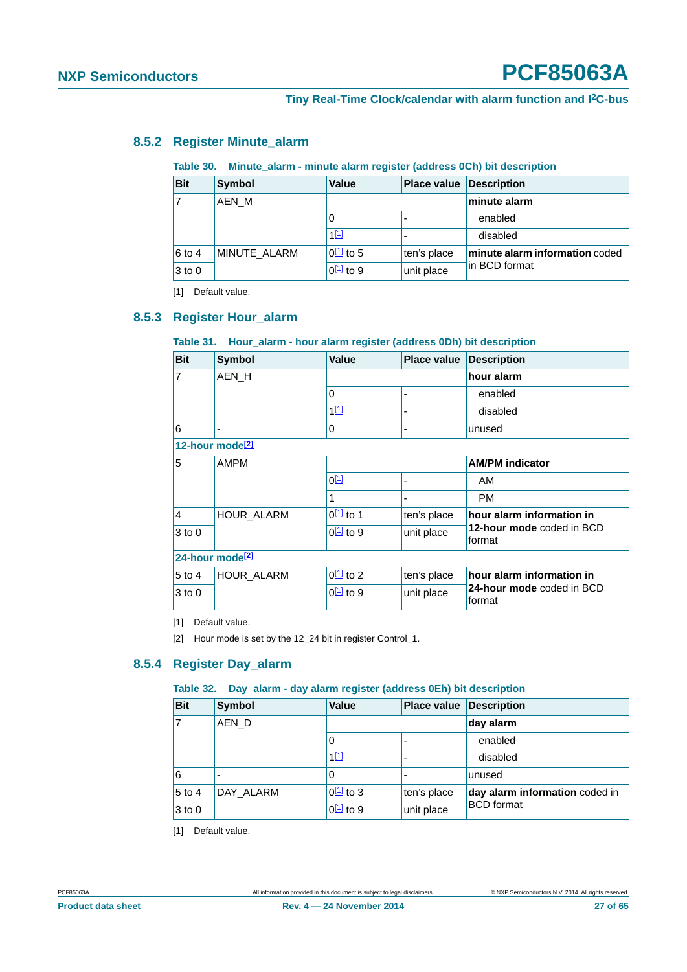#### <span id="page-26-11"></span>**8.5.2 Register Minute\_alarm**

#### <span id="page-26-8"></span><span id="page-26-2"></span><span id="page-26-1"></span>**Table 30. Minute\_alarm - minute alarm register (address 0Ch) bit description**

<span id="page-26-0"></span>

| <b>Bit</b>     | Symbol       | <b>Value</b>   | <b>Place value</b> | <b>Description</b>             |
|----------------|--------------|----------------|--------------------|--------------------------------|
| $\overline{7}$ | AEN M        |                |                    | minute alarm                   |
|                |              | O              |                    | enabled                        |
|                |              | $1^{[1]}$      |                    | disabled                       |
| 6 to 4         | MINUTE ALARM | $0^{[1]}$ to 5 | ten's place        | minute alarm information coded |
| $3$ to $0$     |              | $0^{[1]}$ to 9 | unit place         | in BCD format                  |

<span id="page-26-4"></span>[1] Default value.

#### <span id="page-26-3"></span>**8.5.3 Register Hour\_alarm**

#### <span id="page-26-9"></span>**Table 31. Hour\_alarm - hour alarm register (address 0Dh) bit description**

| <b>Bit</b>     | <b>Symbol</b>               | Value                  | Place value Description |                                     |
|----------------|-----------------------------|------------------------|-------------------------|-------------------------------------|
| $\overline{7}$ | AEN H                       |                        |                         | hour alarm                          |
|                |                             | 0                      | ٠                       | enabled                             |
|                |                             | 1[1]                   |                         | disabled                            |
| 6              | -                           | 0                      |                         | unused                              |
|                | 12-hour mode <sup>[2]</sup> |                        |                         |                                     |
| 5              | <b>AMPM</b>                 |                        |                         | <b>AM/PM indicator</b>              |
|                |                             | $0^{[1]}$              |                         | AM                                  |
|                |                             | 1                      | ٠                       | <b>PM</b>                           |
| 4              | <b>HOUR ALARM</b>           | $0^{[1]}$ to 1         | ten's place             | hour alarm information in           |
| $3$ to 0       |                             | $0\underline{11}$ to 9 | unit place              | 12-hour mode coded in BCD<br>format |
|                | 24-hour mode <sup>[2]</sup> |                        |                         |                                     |
| $5$ to 4       | HOUR_ALARM                  | $0^{[1]}$ to 2         | ten's place             | hour alarm information in           |
| $3$ to $0$     |                             | $0^{[1]}$ to 9         | unit place              | 24-hour mode coded in BCD<br>format |

<span id="page-26-5"></span>[1] Default value.

<span id="page-26-7"></span>[2] Hour mode is set by the 12\_24 bit in register Control\_1.

#### <span id="page-26-12"></span>**8.5.4 Register Day\_alarm**

#### <span id="page-26-10"></span>**Table 32. Day\_alarm - day alarm register (address 0Eh) bit description**

| <b>Bit</b> | <b>Symbol</b> | <b>Value</b>   | <b>Place value</b>       | <b>Description</b>             |
|------------|---------------|----------------|--------------------------|--------------------------------|
|            | AEN D         |                |                          | day alarm                      |
|            |               | 0              | $\overline{\phantom{a}}$ | enabled                        |
|            |               | 1[1]           | $\overline{\phantom{a}}$ | disabled                       |
| 6          |               | 0              |                          | unused                         |
| $5$ to 4   | DAY ALARM     | $0[1]$ to 3    | ten's place              | day alarm information coded in |
| $3$ to 0   |               | $0^{[1]}$ to 9 | unit place               | <b>BCD</b> format              |

<span id="page-26-6"></span>[1] Default value.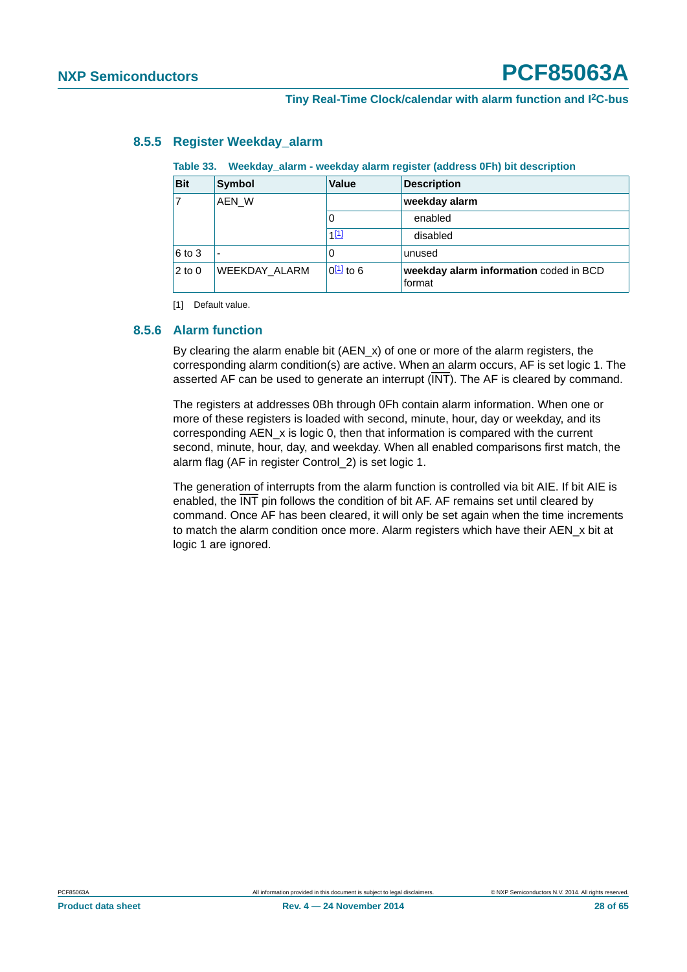|            | rapic oo. Theenaay alami theenaay alami regioter jaaareoo or il) bit acooription. |                |                                                  |  |  |  |
|------------|-----------------------------------------------------------------------------------|----------------|--------------------------------------------------|--|--|--|
| <b>Bit</b> | <b>Symbol</b>                                                                     | <b>Value</b>   | <b>Description</b>                               |  |  |  |
|            | AEN W                                                                             |                | weekday alarm                                    |  |  |  |
|            |                                                                                   | 0              | enabled                                          |  |  |  |
|            |                                                                                   | $1^{[1]}$      | disabled                                         |  |  |  |
| $6$ to 3   |                                                                                   | 0              | unused                                           |  |  |  |
| $2$ to $0$ | WEEKDAY ALARM                                                                     | $0^{[1]}$ to 6 | weekday alarm information coded in BCD<br>format |  |  |  |

#### <span id="page-27-4"></span>**8.5.5 Register Weekday\_alarm**

#### <span id="page-27-3"></span><span id="page-27-0"></span>**Table 33. Weekday\_alarm - weekday alarm register (address 0Fh) bit description**

<span id="page-27-2"></span>[1] Default value.

#### <span id="page-27-1"></span>**8.5.6 Alarm function**

By clearing the alarm enable bit (AEN\_x) of one or more of the alarm registers, the corresponding alarm condition(s) are active. When an alarm occurs, AF is set logic 1. The asserted AF can be used to generate an interrupt (INT). The AF is cleared by command.

The registers at addresses 0Bh through 0Fh contain alarm information. When one or more of these registers is loaded with second, minute, hour, day or weekday, and its corresponding AEN\_x is logic 0, then that information is compared with the current second, minute, hour, day, and weekday. When all enabled comparisons first match, the alarm flag (AF in register Control\_2) is set logic 1.

The generation of interrupts from the alarm function is controlled via bit AIE. If bit AIE is enabled, the  $\overline{\text{INT}}$  pin follows the condition of bit AF. AF remains set until cleared by command. Once AF has been cleared, it will only be set again when the time increments to match the alarm condition once more. Alarm registers which have their AEN\_x bit at logic 1 are ignored.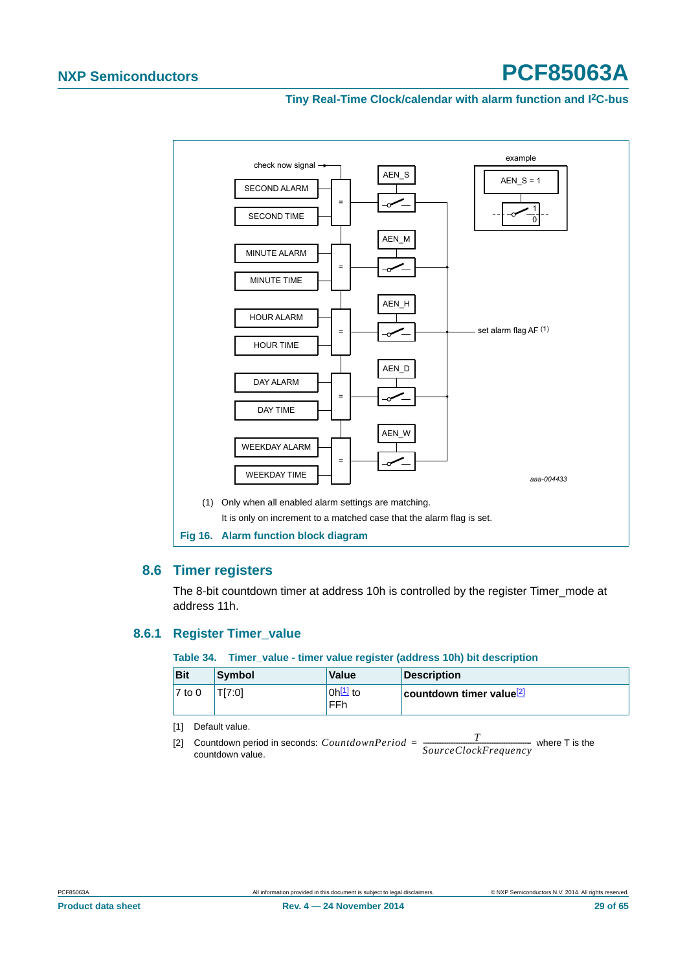#### <span id="page-28-0"></span>**Tiny Real-Time Clock/calendar with alarm function and I2C-bus**



#### <span id="page-28-5"></span><span id="page-28-4"></span>**8.6 Timer registers**

The 8-bit countdown timer at address 10h is controlled by the register Timer\_mode at address 11h.

#### <span id="page-28-6"></span>**8.6.1 Register Timer\_value**

<span id="page-28-3"></span>**Table 34. Timer\_value - timer value register (address 10h) bit description**

| <b>Bit</b> | Symbol | <b>Value</b>         | Description                          |
|------------|--------|----------------------|--------------------------------------|
| $7$ to 0   | TI7:01 | $0h^{[1]}$ to<br>FFh | countdown timer value <sup>[2]</sup> |

<span id="page-28-1"></span>[1] Default value.

<span id="page-28-2"></span>[2] Countdown period in seconds:  $CountdownPeriod = \frac{T}{SourceClockFrequency}$  where T is the countdown value countdown value.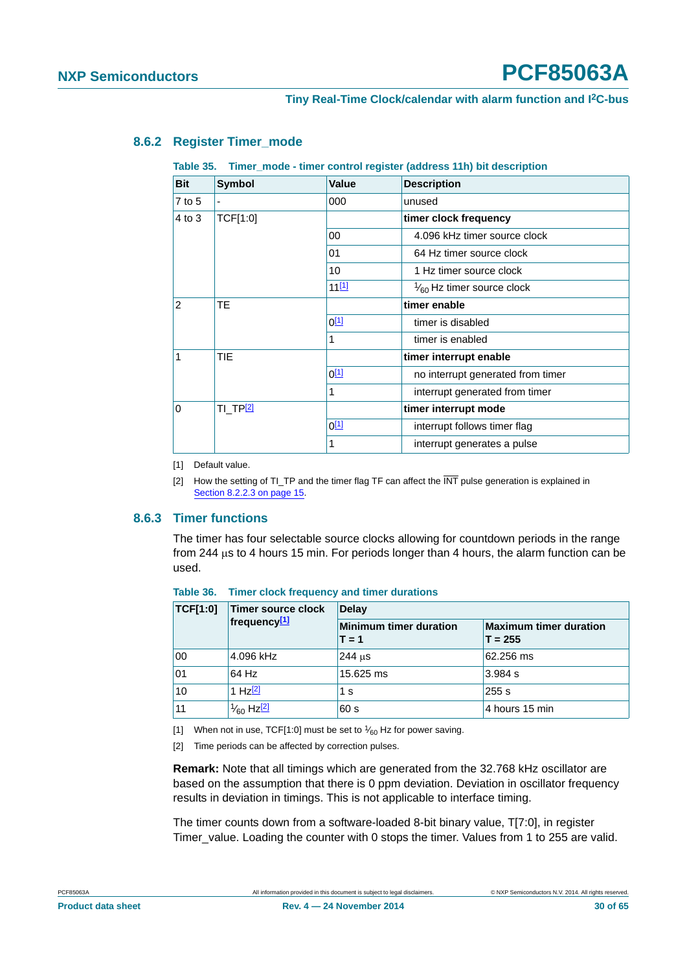#### <span id="page-29-2"></span>**8.6.2 Register Timer\_mode**

#### <span id="page-29-7"></span><span id="page-29-0"></span>**Table 35. Timer\_mode - timer control register (address 11h) bit description**

| <b>Bit</b>     | <b>Symbol</b> | Value            | <b>Description</b>                   |  |  |
|----------------|---------------|------------------|--------------------------------------|--|--|
| 7 to 5         |               | 000              | unused                               |  |  |
| 4 to 3         | TCF[1:0]      |                  | timer clock frequency                |  |  |
|                |               | 00               | 4.096 kHz timer source clock         |  |  |
|                |               | 01               | 64 Hz timer source clock             |  |  |
|                |               | 10               | 1 Hz timer source clock              |  |  |
|                |               | $11^{[1]}$       | $\frac{1}{60}$ Hz timer source clock |  |  |
| $\overline{2}$ | <b>TE</b>     |                  | timer enable                         |  |  |
| 1              |               | $0^{[1]}$        | timer is disabled                    |  |  |
|                |               | 1                | timer is enabled                     |  |  |
|                | <b>TIE</b>    |                  | timer interrupt enable               |  |  |
|                |               | 0 <sup>[1]</sup> | no interrupt generated from timer    |  |  |
|                |               | 1                | interrupt generated from timer       |  |  |
| $\Omega$       | ti_tp[2]      |                  | timer interrupt mode                 |  |  |
|                |               | $0^{[1]}$        | interrupt follows timer flag         |  |  |
|                |               | 1                | interrupt generates a pulse          |  |  |

<span id="page-29-3"></span>[1] Default value.

<span id="page-29-4"></span>[2] How the setting of TI\_TP and the timer flag TF can affect the INT pulse generation is explained in [Section 8.2.2.3 on page 15.](#page-14-0)

#### <span id="page-29-1"></span>**8.6.3 Timer functions**

The timer has four selectable source clocks allowing for countdown periods in the range from 244  $\mu$ s to 4 hours 15 min. For periods longer than 4 hours, the alarm function can be used.

| <b>TCF[1:0]</b> | Timer source clock                               | <b>Delay</b>                             |                                            |  |  |
|-----------------|--------------------------------------------------|------------------------------------------|--------------------------------------------|--|--|
|                 | frequency $[1]$                                  | <b>Minimum timer duration</b><br>$T = 1$ | <b>Maximum timer duration</b><br>$T = 255$ |  |  |
| 00              | 4.096 kHz                                        | $244$ us                                 | 62.256 ms                                  |  |  |
| 01              | 64 Hz                                            | 15.625 ms                                | 3.984 s                                    |  |  |
| 10              | 1 Hz <sup>[2]</sup>                              | 1 s                                      | 255s                                       |  |  |
| 11              | <sup>' 1</sup> ⁄ <sub>60</sub> Hz <sup>[2]</sup> | 60 s                                     | 4 hours 15 min                             |  |  |

<span id="page-29-8"></span>**Table 36. Timer clock frequency and timer durations**

<span id="page-29-5"></span>[1] When not in use, TCF[1:0] must be set to  $\frac{1}{60}$  Hz for power saving.

<span id="page-29-6"></span>[2] Time periods can be affected by correction pulses.

**Remark:** Note that all timings which are generated from the 32.768 kHz oscillator are based on the assumption that there is 0 ppm deviation. Deviation in oscillator frequency results in deviation in timings. This is not applicable to interface timing.

The timer counts down from a software-loaded 8-bit binary value, T[7:0], in register Timer\_value. Loading the counter with 0 stops the timer. Values from 1 to 255 are valid.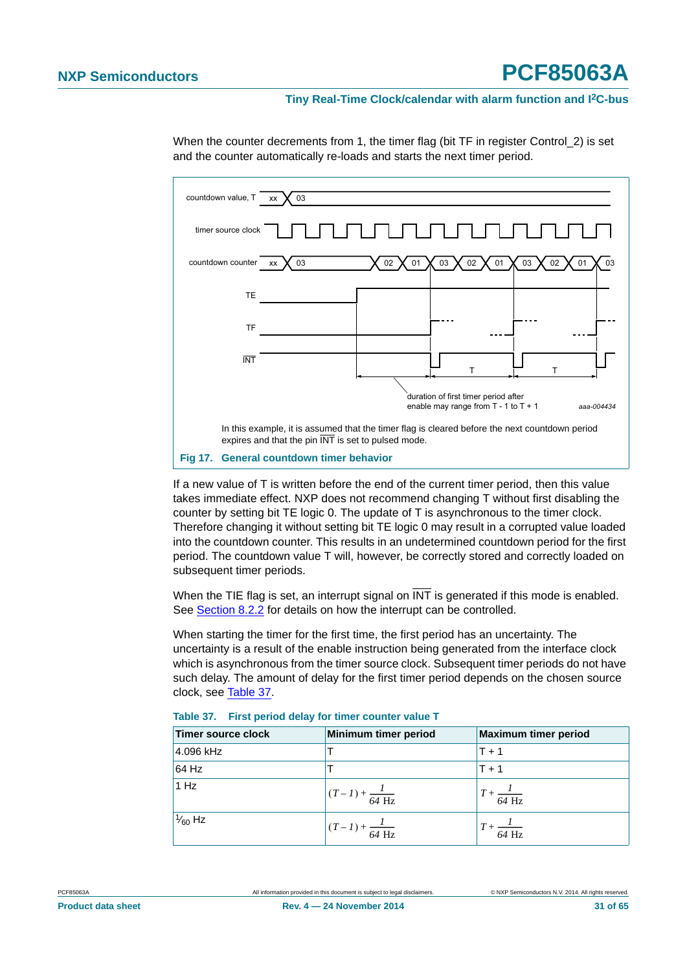#### **Tiny Real-Time Clock/calendar with alarm function and I2C-bus**



When the counter decrements from 1, the timer flag (bit TF in register Control\_2) is set and the counter automatically re-loads and starts the next timer period.

<span id="page-30-1"></span>If a new value of T is written before the end of the current timer period, then this value takes immediate effect. NXP does not recommend changing T without first disabling the counter by setting bit TE logic 0. The update of T is asynchronous to the timer clock. Therefore changing it without setting bit TE logic 0 may result in a corrupted value loaded into the countdown counter. This results in an undetermined countdown period for the first period. The countdown value T will, however, be correctly stored and correctly loaded on subsequent timer periods.

When the TIE flag is set, an interrupt signal on  $\overline{\text{INT}}$  is generated if this mode is enabled. See [Section 8.2.2](#page-12-2) for details on how the interrupt can be controlled.

When starting the timer for the first time, the first period has an uncertainty. The uncertainty is a result of the enable instruction being generated from the interface clock which is asynchronous from the timer source clock. Subsequent timer periods do not have such delay. The amount of delay for the first timer period depends on the chosen source clock, see [Table 37](#page-30-0).

| Timer source clock | Minimum timer period              | <b>Maximum timer period</b>   |
|--------------------|-----------------------------------|-------------------------------|
| 4.096 kHz          |                                   | $T + 1$                       |
| 64 Hz              |                                   | $T + 1$                       |
| 1 Hz               | $(T-I) + \frac{I}{64 \text{ Hz}}$ | $T + \frac{I}{64 \text{ Hz}}$ |
| $\frac{1}{60}$ Hz  | $(T-I) + \frac{I}{64 \text{ Hz}}$ | $T + \frac{I}{64 \text{ Hz}}$ |

<span id="page-30-0"></span>

| Table 37. First period delay for timer counter value T |  |  |  |  |
|--------------------------------------------------------|--|--|--|--|
|                                                        |  |  |  |  |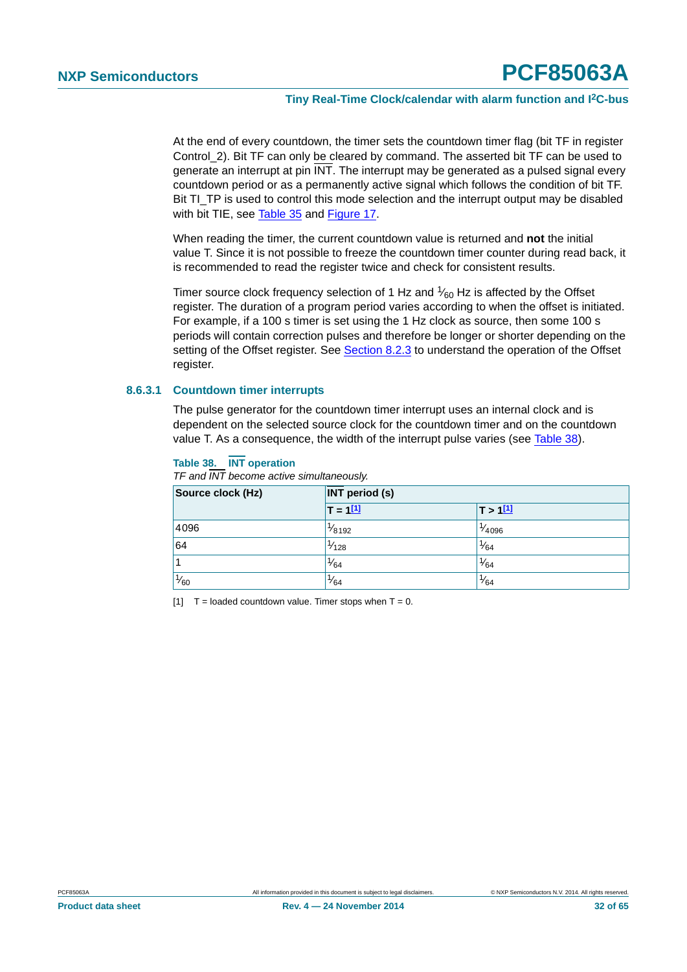At the end of every countdown, the timer sets the countdown timer flag (bit TF in register Control\_2). Bit TF can only be cleared by command. The asserted bit TF can be used to generate an interrupt at pin INT. The interrupt may be generated as a pulsed signal every countdown period or as a permanently active signal which follows the condition of bit TF. Bit TI TP is used to control this mode selection and the interrupt output may be disabled with bit TIE, see [Table 35](#page-29-7) and [Figure 17](#page-30-1).

When reading the timer, the current countdown value is returned and **not** the initial value T. Since it is not possible to freeze the countdown timer counter during read back, it is recommended to read the register twice and check for consistent results.

Timer source clock frequency selection of 1 Hz and  $\frac{1}{60}$  Hz is affected by the Offset register. The duration of a program period varies according to when the offset is initiated. For example, if a 100 s timer is set using the 1 Hz clock as source, then some 100 s periods will contain correction pulses and therefore be longer or shorter depending on the setting of the Offset register. See [Section 8.2.3](#page-16-1) to understand the operation of the Offset register.

#### <span id="page-31-2"></span>**8.6.3.1 Countdown timer interrupts**

The pulse generator for the countdown timer interrupt uses an internal clock and is dependent on the selected source clock for the countdown timer and on the countdown value T. As a consequence, the width of the interrupt pulse varies (see [Table 38](#page-31-0)).

#### <span id="page-31-0"></span>**Table 38. INT operation**

*TF and INT become active simultaneously.*

| Source clock (Hz) | <b>INT</b> period (s) |                    |  |  |  |
|-------------------|-----------------------|--------------------|--|--|--|
|                   | $T = 111$             | T > 111            |  |  |  |
| 4096              | $\frac{1}{8192}$      | <sup>1</sup> /4096 |  |  |  |
| 64                | $\frac{1}{128}$       | $\frac{1}{64}$     |  |  |  |
|                   | $\frac{1}{64}$        | $\frac{1}{64}$     |  |  |  |
| $\frac{1}{60}$    | $\frac{1}{64}$        | $\frac{1}{64}$     |  |  |  |

<span id="page-31-1"></span>[1]  $T =$  loaded countdown value. Timer stops when  $T = 0$ .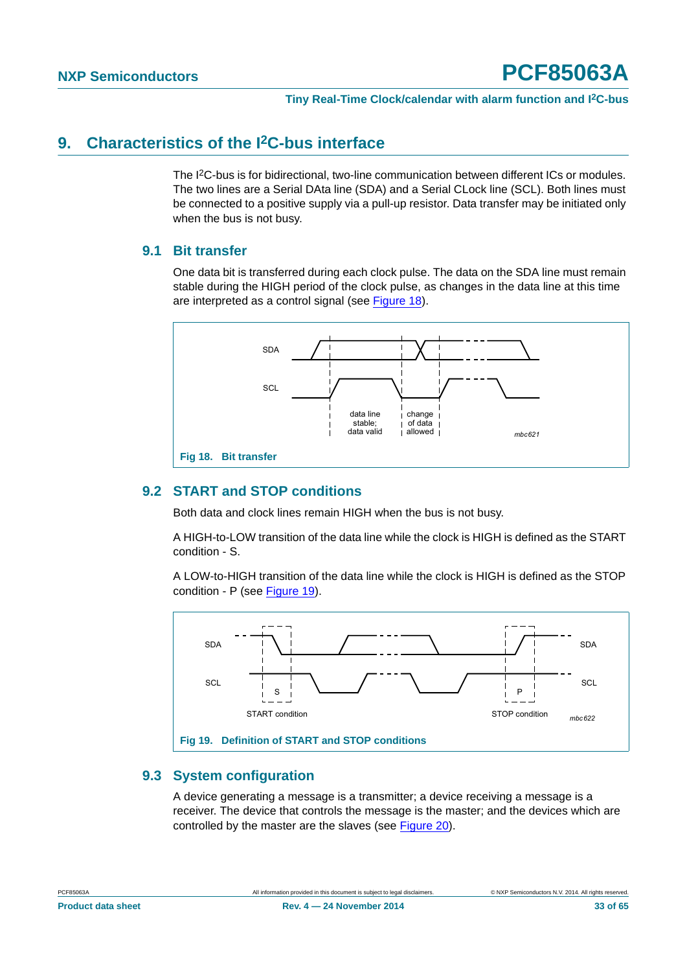#### <span id="page-32-2"></span>**9. Characteristics of the I2C-bus interface**

The I2C-bus is for bidirectional, two-line communication between different ICs or modules. The two lines are a Serial DAta line (SDA) and a Serial CLock line (SCL). Both lines must be connected to a positive supply via a pull-up resistor. Data transfer may be initiated only when the bus is not busy.

#### <span id="page-32-3"></span>**9.1 Bit transfer**

One data bit is transferred during each clock pulse. The data on the SDA line must remain stable during the HIGH period of the clock pulse, as changes in the data line at this time are interpreted as a control signal (see [Figure 18\)](#page-32-0).



#### <span id="page-32-4"></span><span id="page-32-0"></span>**9.2 START and STOP conditions**

Both data and clock lines remain HIGH when the bus is not busy.

A HIGH-to-LOW transition of the data line while the clock is HIGH is defined as the START condition - S.

A LOW-to-HIGH transition of the data line while the clock is HIGH is defined as the STOP condition - P (see [Figure 19\)](#page-32-1).



#### <span id="page-32-5"></span><span id="page-32-1"></span>**9.3 System configuration**

A device generating a message is a transmitter; a device receiving a message is a receiver. The device that controls the message is the master; and the devices which are controlled by the master are the slaves (see [Figure 20\)](#page-33-0).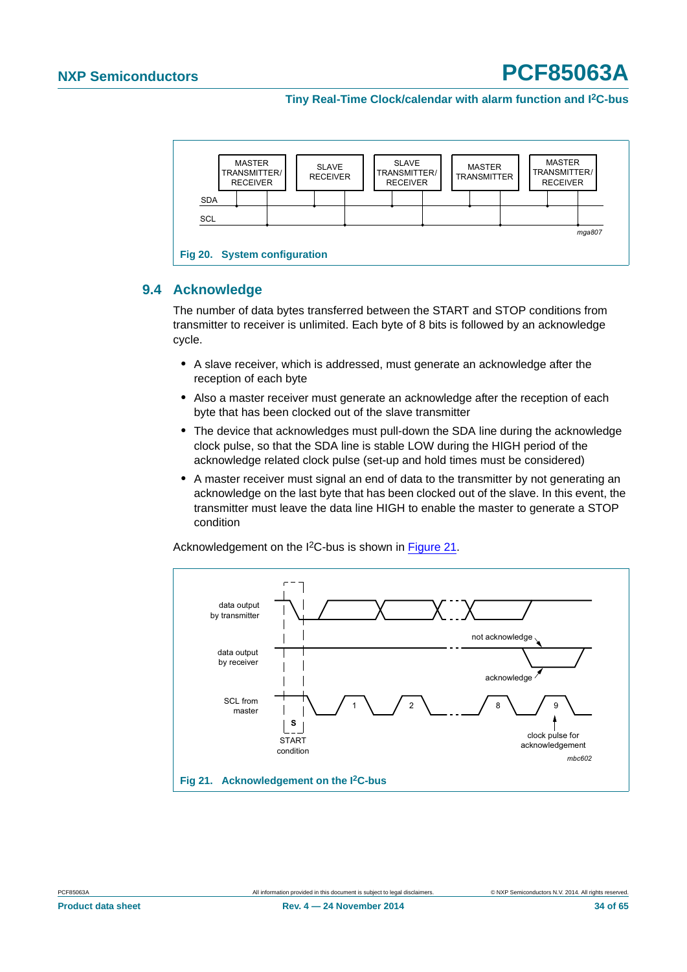

#### <span id="page-33-2"></span><span id="page-33-0"></span>**9.4 Acknowledge**

The number of data bytes transferred between the START and STOP conditions from transmitter to receiver is unlimited. Each byte of 8 bits is followed by an acknowledge cycle.

- **•** A slave receiver, which is addressed, must generate an acknowledge after the reception of each byte
- **•** Also a master receiver must generate an acknowledge after the reception of each byte that has been clocked out of the slave transmitter
- **•** The device that acknowledges must pull-down the SDA line during the acknowledge clock pulse, so that the SDA line is stable LOW during the HIGH period of the acknowledge related clock pulse (set-up and hold times must be considered)
- **•** A master receiver must signal an end of data to the transmitter by not generating an acknowledge on the last byte that has been clocked out of the slave. In this event, the transmitter must leave the data line HIGH to enable the master to generate a STOP condition

Acknowledgement on the I2C-bus is shown in [Figure 21.](#page-33-1)



<span id="page-33-1"></span>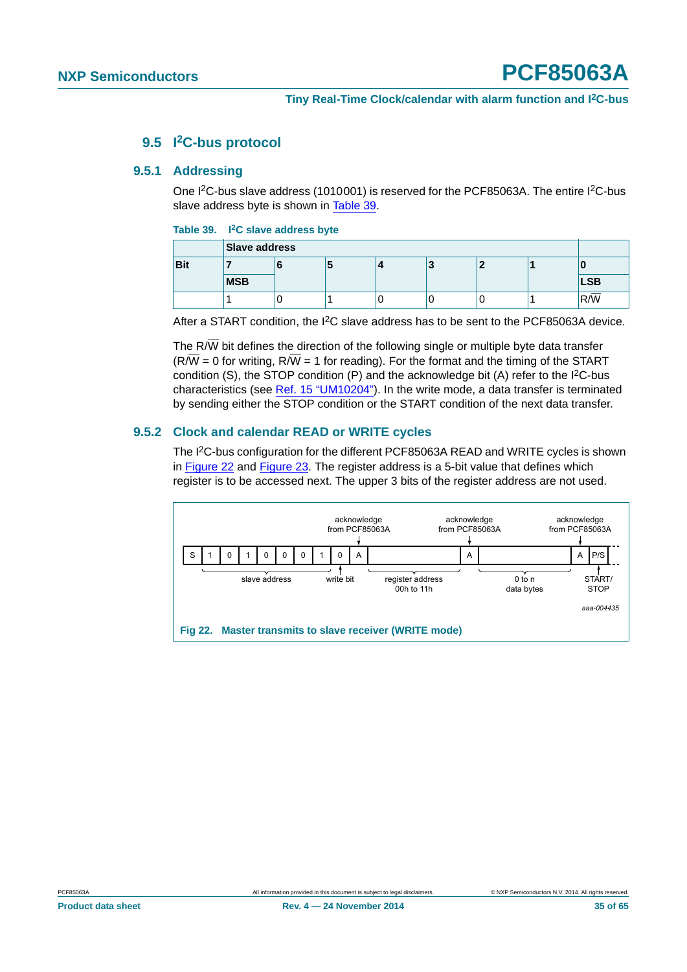#### **9.5 I2C-bus protocol**

#### <span id="page-34-3"></span><span id="page-34-2"></span>**9.5.1 Addressing**

One I<sup>2</sup>C-bus slave address (1010001) is reserved for the PCF85063A. The entire I<sup>2</sup>C-bus slave address byte is shown in [Table 39](#page-34-0).

#### <span id="page-34-0"></span>**Table 39. I2C slave address byte**

|            | Slave address |   |  |  |   |  |  |            |
|------------|---------------|---|--|--|---|--|--|------------|
| <b>Bit</b> |               |   |  |  | P |  |  |            |
|            | <b>MSB</b>    |   |  |  |   |  |  | <b>LSB</b> |
|            |               | J |  |  |   |  |  | R/W        |

After a START condition, the I2C slave address has to be sent to the PCF85063A device.

The R $\overline{W}$  bit defines the direction of the following single or multiple byte data transfer  $(R/\overline{W} = 0$  for writing,  $R/\overline{W} = 1$  for reading). For the format and the timing of the START condition (S), the STOP condition  $(P)$  and the acknowledge bit  $(A)$  refer to the  $I<sup>2</sup>C-bus$ characteristics (see [Ref. 15 "UM10204"\)](#page-58-0). In the write mode, a data transfer is terminated by sending either the STOP condition or the START condition of the next data transfer.

#### <span id="page-34-4"></span>**9.5.2 Clock and calendar READ or WRITE cycles**

The I<sup>2</sup>C-bus configuration for the different PCF85063A READ and WRITE cycles is shown in [Figure 22](#page-34-1) and [Figure 23](#page-35-0). The register address is a 5-bit value that defines which register is to be accessed next. The upper 3 bits of the register address are not used.

<span id="page-34-1"></span>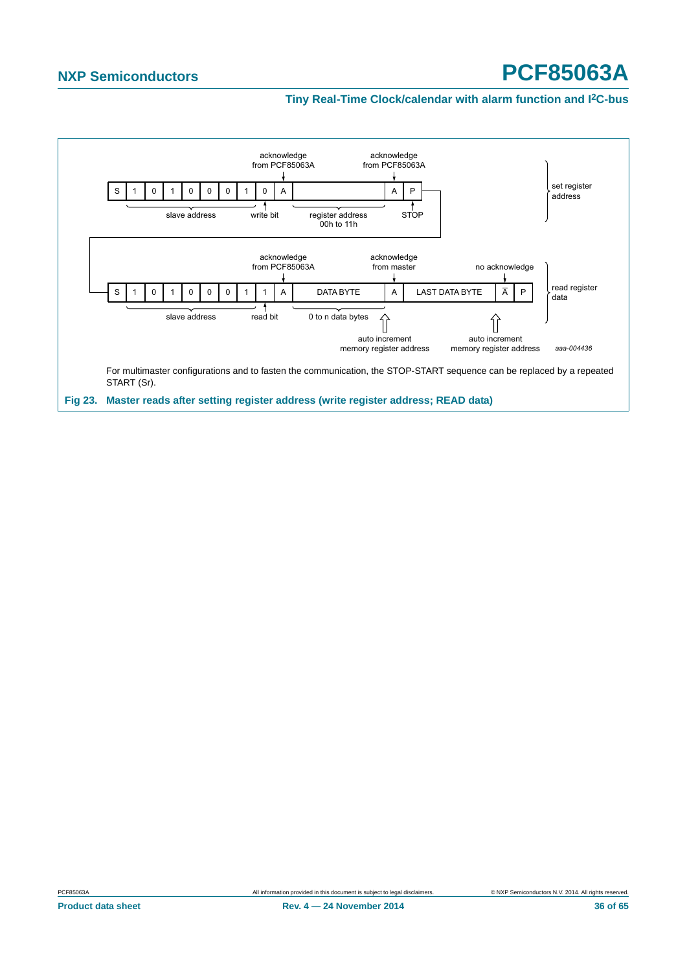<span id="page-35-0"></span>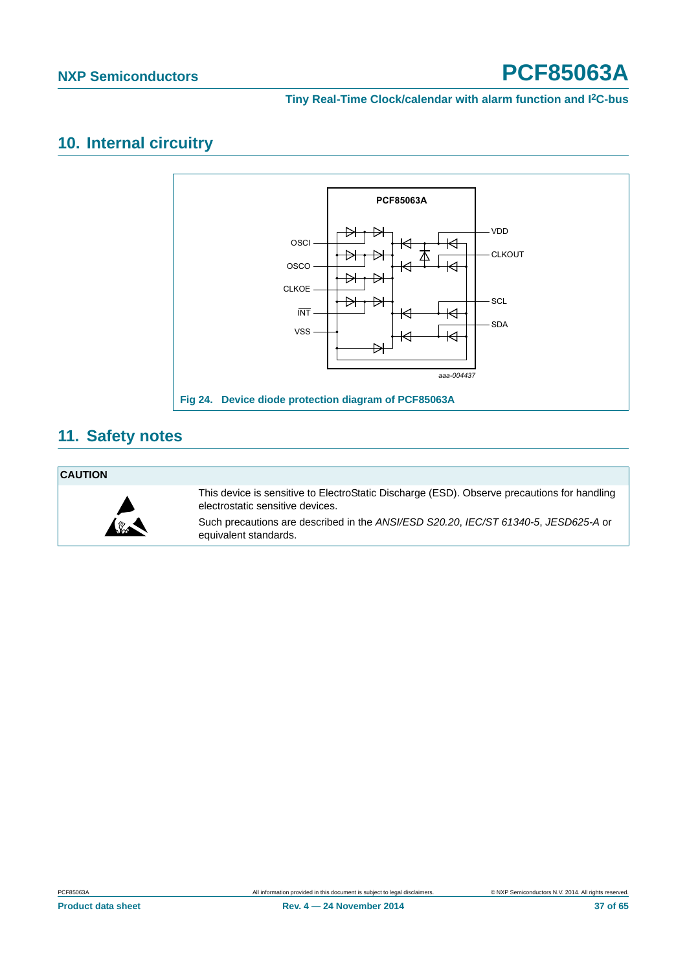#### <span id="page-36-1"></span>**10. Internal circuitry**



#### <span id="page-36-2"></span>**11. Safety notes**

#### **CAUTION**



<span id="page-36-0"></span>This device is sensitive to ElectroStatic Discharge (ESD). Observe precautions for handling electrostatic sensitive devices.

Such precautions are described in the *ANSI/ESD S20.20*, *IEC/ST 61340-5*, *JESD625-A* or equivalent standards.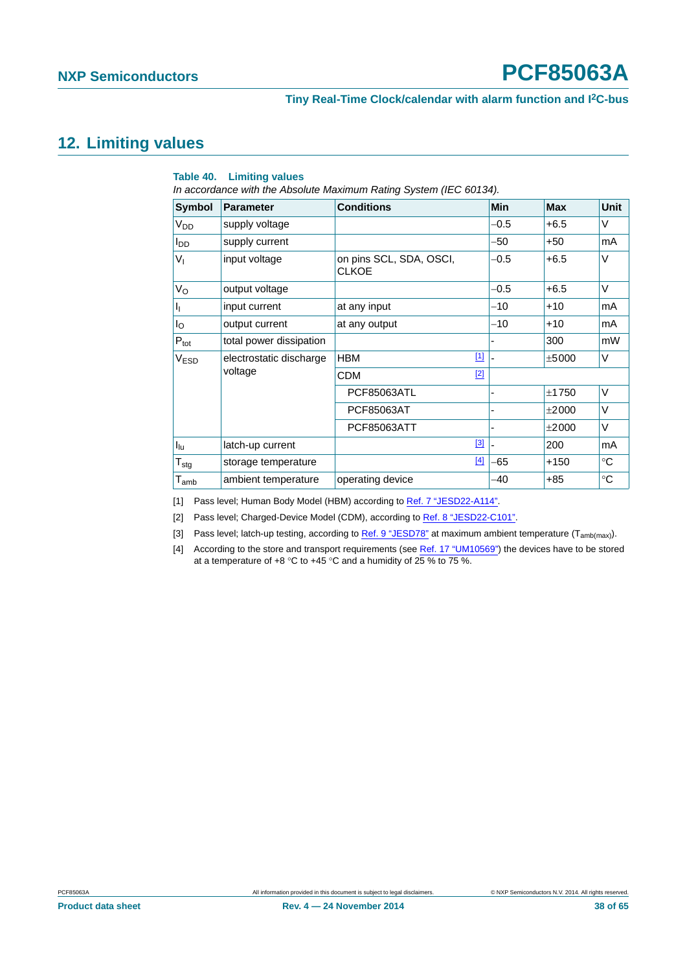#### **Tiny Real-Time Clock/calendar with alarm function and I2C-bus**

#### <span id="page-37-5"></span>**12. Limiting values**

#### <span id="page-37-4"></span>**Table 40. Limiting values**

*In accordance with the Absolute Maximum Rating System (IEC 60134).*

| Symbol                      | <b>Parameter</b>                   | <b>Conditions</b>                       | Min    | <b>Max</b> | Unit   |
|-----------------------------|------------------------------------|-----------------------------------------|--------|------------|--------|
| V <sub>DD</sub>             | supply voltage                     |                                         | $-0.5$ | $+6.5$     | V      |
| $I_{DD}$                    | supply current                     |                                         | -50    | $+50$      | mA     |
| $V_{I}$                     | input voltage                      | on pins SCL, SDA, OSCI,<br><b>CLKOE</b> | $-0.5$ | $+6.5$     | V      |
| $V_{\rm O}$                 | output voltage                     |                                         | $-0.5$ | $+6.5$     | V      |
| ı,                          | input current                      | at any input                            | $-10$  | $+10$      | mA     |
| $I_{\rm O}$                 | output current                     | at any output                           | $-10$  | $+10$      | mA     |
| $P_{\text{tot}}$            | total power dissipation            |                                         |        | 300        | mW     |
| <b>V<sub>ESD</sub></b>      | electrostatic discharge<br>voltage | $\boxed{1}$<br><b>HBM</b>               |        | ±5000      | V      |
|                             |                                    | $[2]$<br><b>CDM</b>                     |        |            |        |
|                             |                                    | <b>PCF85063ATL</b>                      | -      | ±1750      | $\vee$ |
|                             |                                    | PCF85063AT                              |        | ±2000      | V      |
|                             |                                    | PCF85063ATT                             |        | ±2000      | V      |
| $I_{\text{lu}}$             | latch-up current                   | $[3]$                                   |        | 200        | mA     |
| $T_{\text{stg}}$            | storage temperature                | $[4]$                                   | -65    | $+150$     | °C     |
| $\mathsf{T}_{\mathsf{amb}}$ | ambient temperature                | operating device                        | $-40$  | $+85$      | ℃      |

<span id="page-37-0"></span>[1] Pass level; Human Body Model (HBM) according to [Ref. 7 "JESD22-A114"](#page-58-1).

<span id="page-37-1"></span>[2] Pass level; Charged-Device Model (CDM), according to [Ref. 8 "JESD22-C101".](#page-58-2)

<span id="page-37-2"></span>[3] Pass level; latch-up testing, according to [Ref. 9 "JESD78"](#page-58-3) at maximum ambient temperature  $(T_{amb(max)}$ ).

<span id="page-37-3"></span>[4] According to the store and transport requirements (see [Ref. 17 "UM10569"\)](#page-58-4) the devices have to be stored at a temperature of  $+8$  °C to  $+45$  °C and a humidity of 25 % to 75 %.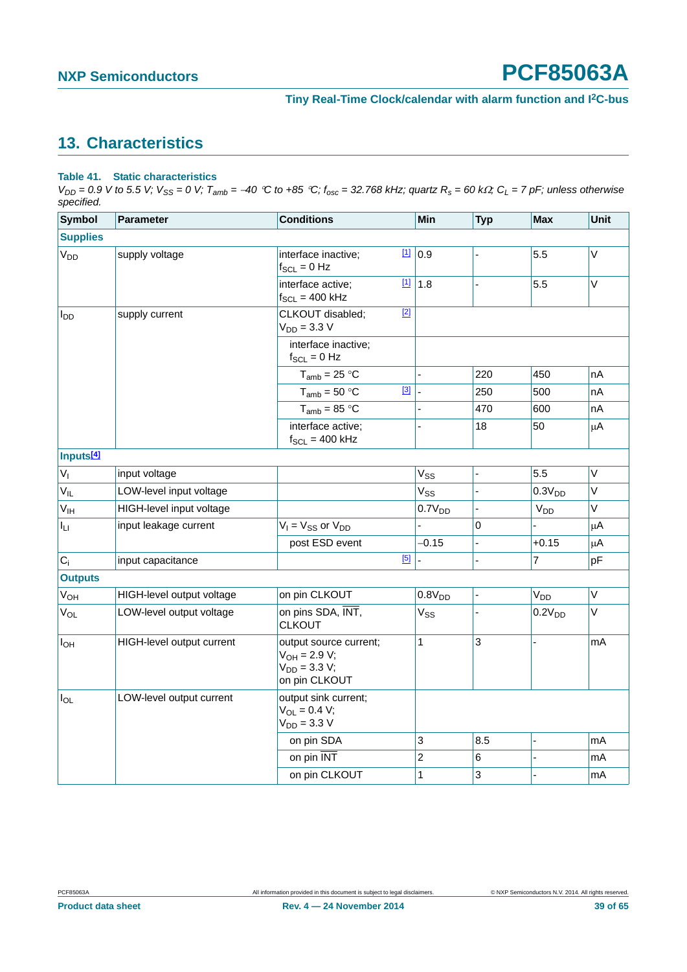#### <span id="page-38-1"></span>**13. Characteristics**

#### <span id="page-38-0"></span>**Table 41. Static characteristics**

 $V_{DD} = 0.9$  V to 5.5 V;  $V_{SS} = 0$  V;  $T_{amb} = -40$  °C to +85 °C;  $f_{osc} = 32.768$  kHz; quartz  $R_s = 60$  k $\Omega$ ;  $C_L = 7$  pF; unless otherwise *specified.*

| <b>Symbol</b>          | <b>Parameter</b>          | <b>Conditions</b>                                                                 | Min                      | <b>Typ</b> | <b>Max</b>            | Unit    |
|------------------------|---------------------------|-----------------------------------------------------------------------------------|--------------------------|------------|-----------------------|---------|
| <b>Supplies</b>        |                           |                                                                                   |                          |            |                       |         |
| V <sub>DD</sub>        | supply voltage            | $[1]$<br>interface inactive;<br>$f_{SCL} = 0$ Hz                                  | 0.9                      |            | 5.5                   | V       |
|                        |                           | $[1]$<br>interface active;<br>$f_{SCL} = 400$ kHz                                 | 1.8                      |            | 5.5                   | $\vee$  |
| <b>I</b> <sub>DD</sub> | supply current            | $[2]$<br>CLKOUT disabled;<br>$V_{DD} = 3.3 V$                                     |                          |            |                       |         |
|                        |                           | interface inactive;<br>$f_{SCL} = 0$ Hz                                           |                          |            |                       |         |
|                        |                           | $T_{amb}$ = 25 °C                                                                 |                          | 220        | 450                   | nA      |
|                        |                           | $[3]$<br>$T_{amb} = 50 °C$                                                        | $\overline{\phantom{a}}$ | 250        | 500                   | nА      |
|                        |                           | $T_{amb}$ = 85 °C                                                                 |                          | 470        | 600                   | nA      |
|                        |                           | interface active;<br>$f_{SCL} = 400$ kHz                                          | $\overline{a}$           | 18         | 50                    | $\mu$ A |
| Inputs <sup>[4]</sup>  |                           |                                                                                   |                          |            |                       |         |
| $V_{I}$                | input voltage             |                                                                                   | $V_{SS}$                 |            | 5.5                   | $\vee$  |
| $V_{IL}$               | LOW-level input voltage   |                                                                                   | V <sub>SS</sub>          |            | 0.3V <sub>DD</sub>    | V       |
| V <sub>IH</sub>        | HIGH-level input voltage  |                                                                                   | 0.7V <sub>DD</sub>       |            | <b>V<sub>DD</sub></b> | V       |
| ILI.                   | input leakage current     | $V_1 = V_{SS}$ or $V_{DD}$                                                        |                          | 0          |                       | μA      |
|                        |                           | post ESD event                                                                    | $-0.15$                  |            | $+0.15$               | $\mu$ A |
| $C_i$                  | input capacitance         | $[5]$                                                                             | ÷,                       |            | 7                     | pF      |
| <b>Outputs</b>         |                           |                                                                                   |                          |            |                       |         |
| <b>V<sub>OH</sub></b>  | HIGH-level output voltage | on pin CLKOUT                                                                     | 0.8V <sub>DD</sub>       |            | V <sub>DD</sub>       | $\vee$  |
| $V_{OL}$               | LOW-level output voltage  | on pins SDA, INT,<br><b>CLKOUT</b>                                                | $V_{SS}$                 |            | 0.2V <sub>DD</sub>    | V       |
| $I_{OH}$               | HIGH-level output current | output source current;<br>$V_{OH} = 2.9 V;$<br>$V_{DD} = 3.3 V;$<br>on pin CLKOUT | 1                        | 3          |                       | mA      |
| $I_{OL}$               | LOW-level output current  | output sink current:<br>$V_{OL} = 0.4 V;$<br>$V_{DD} = 3.3 V$                     |                          |            |                       |         |
|                        |                           | on pin SDA                                                                        | 3                        | 8.5        |                       | mA      |
|                        |                           | on pin INT                                                                        | $\overline{2}$           | 6          |                       | mA      |
|                        |                           | on pin CLKOUT                                                                     | 1                        | 3          |                       | mA      |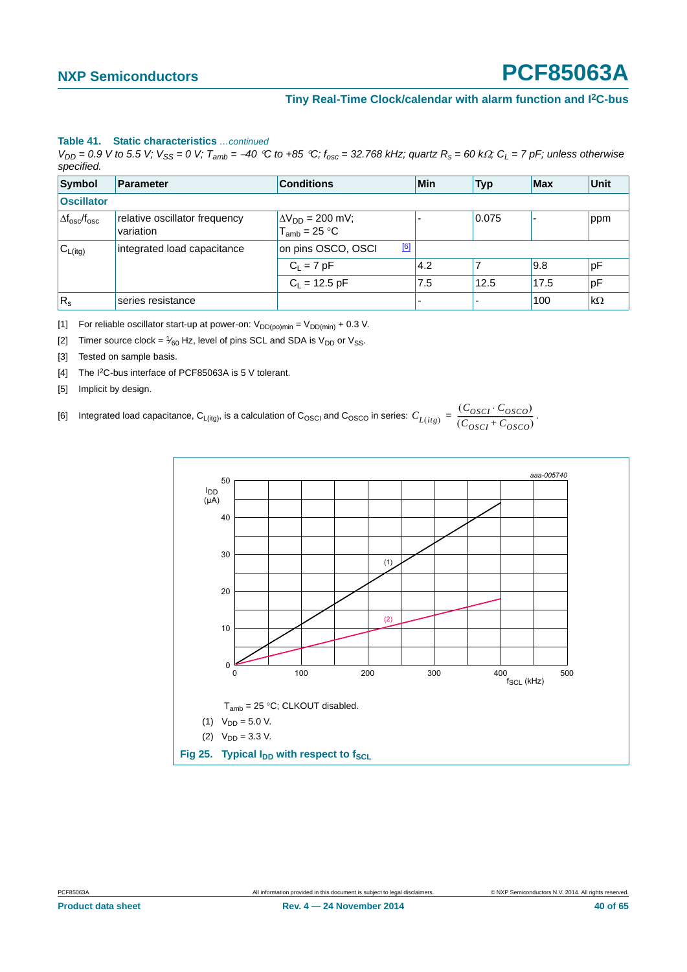#### **Table 41. Static characteristics** *…continued*

 $V_{DD} = 0.9$  V to 5.5 V;  $V_{SS} = 0$  V;  $T_{amb} = -40$  °C to +85 °C;  $f_{osc} = 32.768$  kHz; quartz  $R_s = 60$  k $\Omega$ ;  $C_L = 7$  pF; unless otherwise *specified.*

| Symbol                           | Parameter                                  | <b>Conditions</b>                                     | Min | <b>Typ</b> | <b>Max</b> | Unit      |
|----------------------------------|--------------------------------------------|-------------------------------------------------------|-----|------------|------------|-----------|
| <b>Oscillator</b>                |                                            |                                                       |     |            |            |           |
| $\Delta f_{\rm osc}/f_{\rm osc}$ | relative oscillator frequency<br>variation | $\Delta V_{DD}$ = 200 mV;<br>T <sub>amb</sub> = 25 °C |     | 0.075      |            | ppm       |
| $C_{L(itg)}$                     | integrated load capacitance                | [6]<br>on pins OSCO, OSCI                             |     |            |            |           |
|                                  |                                            | $C_L = 7 pF$                                          | 4.2 |            | 9.8        | pF        |
|                                  |                                            | $C_1 = 12.5$ pF                                       | 7.5 | 12.5       | 17.5       | pF        |
| $R_{s}$                          | series resistance                          |                                                       | -   |            | 100        | $k\Omega$ |

<span id="page-39-0"></span>[1] For reliable oscillator start-up at power-on:  $V_{DD(po)min} = V_{DD(min)} + 0.3$  V.

<span id="page-39-1"></span>[2] Timer source clock =  $\frac{1}{60}$  Hz, level of pins SCL and SDA is V<sub>DD</sub> or V<sub>SS</sub>.

- <span id="page-39-2"></span>[3] Tested on sample basis.
- <span id="page-39-3"></span>[4] The I<sup>2</sup>C-bus interface of PCF85063A is 5 V tolerant.
- <span id="page-39-5"></span><span id="page-39-4"></span>[5] Implicit by design.

[6] Integrated load capacitance,  $C_{L(itg)}$ , is a calculation of  $C_{\rm OSCQ}$  and  $C_{\rm OSCQ}$  in series:  $C_{L(itg)} = \frac{(C_{\rm OSCI} \cdot C_{\rm OSCO})}{(C_{\rm OSCI} + C_{\rm OSCO})}$ .

<span id="page-39-6"></span>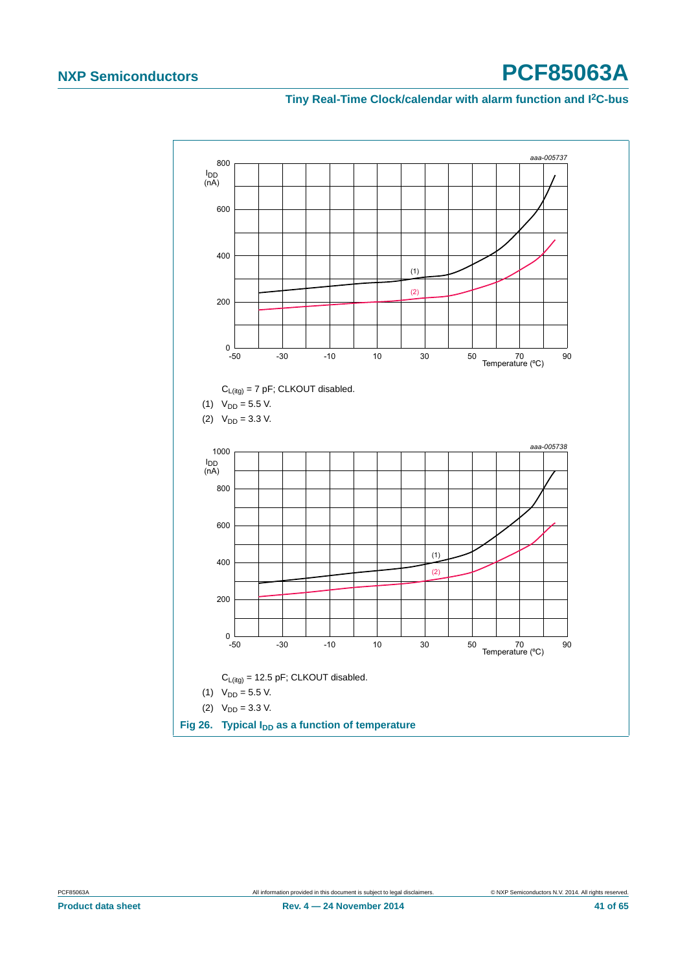<span id="page-40-0"></span>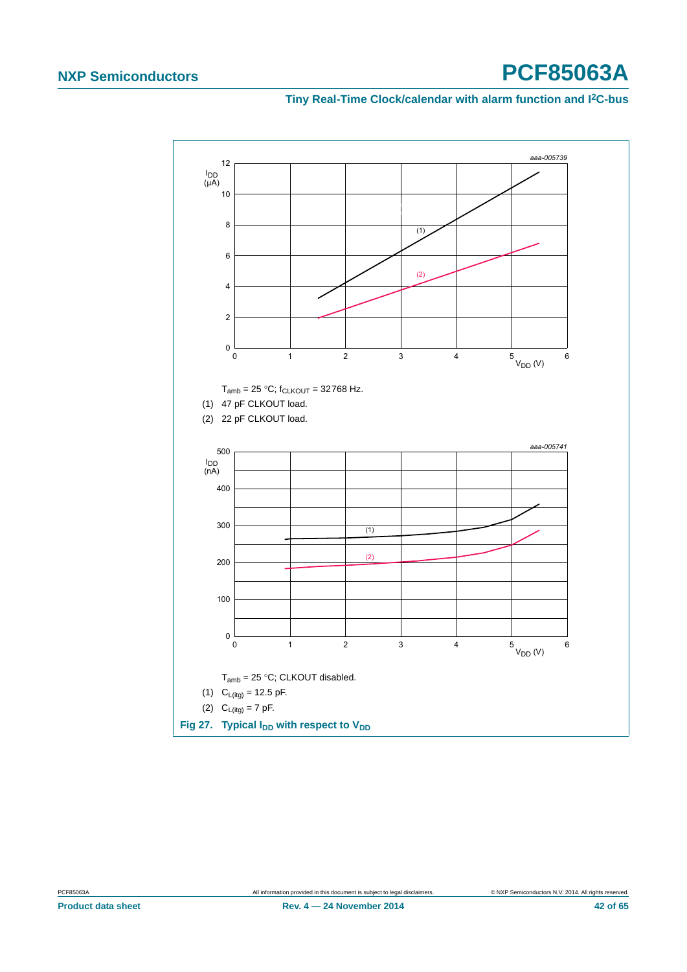<span id="page-41-0"></span>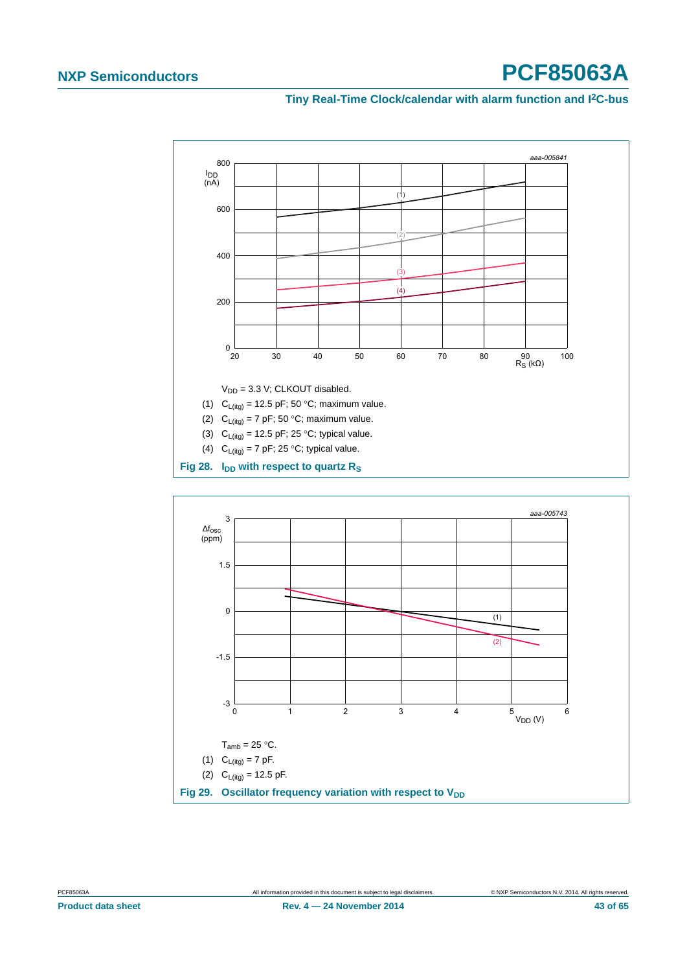

<span id="page-42-0"></span>

<span id="page-42-1"></span>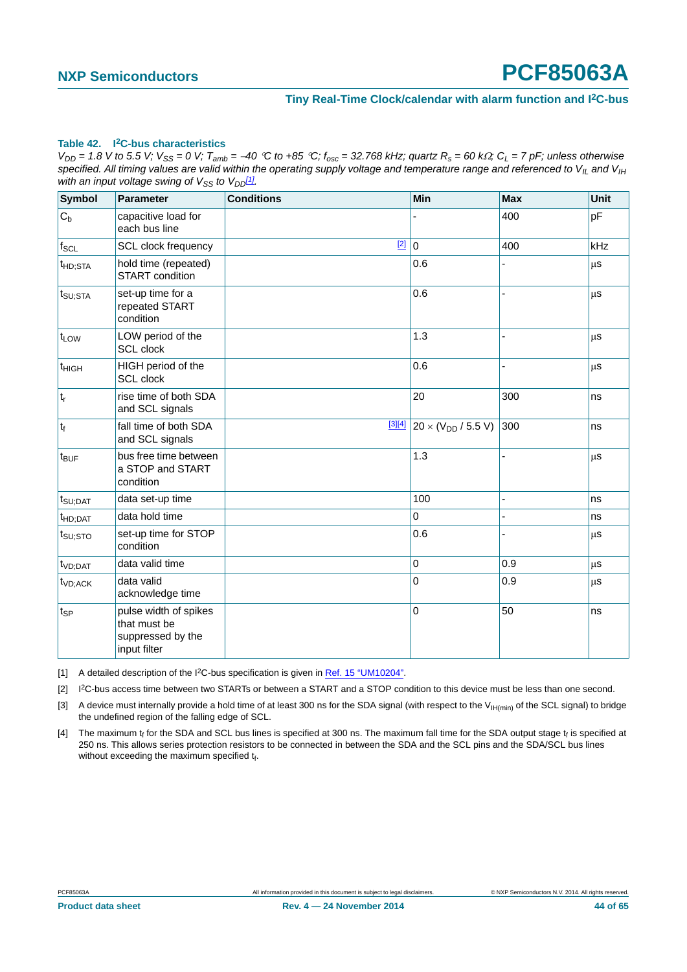#### <span id="page-43-4"></span>**Table 42. I2C-bus characteristics**

 $V_{DD}$  = 1.8 V to 5.5 V;  $V_{SS}$  = 0 V;  $T_{amb}$  = -40 °C to +85 °C;  $f_{osc}$  = 32.768 kHz; quartz  $R_s$  = 60 k $\Omega$ ;  $C_L$  = 7 pF; unless otherwise specified. All timing values are valid within the operating supply voltage and temperature range and referenced to V<sub>IL</sub> and V<sub>IH</sub> *with an input voltage swing of*  $V_{SS}$  *to*  $V_{DD}$ *[1].* 

| <b>Symbol</b>       | <b>Parameter</b>                                                           | <b>Conditions</b> | Min                          | <b>Max</b>     | Unit |
|---------------------|----------------------------------------------------------------------------|-------------------|------------------------------|----------------|------|
| $C_b$               | capacitive load for<br>each bus line                                       |                   |                              | 400            | pF   |
| $f_{SCL}$           | SCL clock frequency                                                        | $[2]$             | 10                           | 400            | kHz  |
| <sup>t</sup> HD;STA | hold time (repeated)<br><b>START</b> condition                             |                   | 0.6                          |                | μS   |
| $t_{\text{SU;STA}}$ | set-up time for a<br>repeated START<br>condition                           |                   | 0.6                          |                | μS   |
| t <sub>LOW</sub>    | LOW period of the<br><b>SCL</b> clock                                      |                   | 1.3                          |                | μS   |
| t <sub>HIGH</sub>   | HIGH period of the<br>SCL clock                                            |                   | 0.6                          | $\overline{a}$ | μS   |
| $t_r$               | rise time of both SDA<br>and SCL signals                                   |                   | 20                           | 300            | ns   |
| $ t_f $             | fall time of both SDA<br>and SCL signals                                   | [3][4]            | $20 \times (V_{DD} / 5.5 V)$ | 300            | ns   |
| $t_{\text{BUF}}$    | bus free time between<br>a STOP and START<br>condition                     |                   | 1.3                          |                | μS   |
| $t_{\text{SU;DAT}}$ | data set-up time                                                           |                   | 100                          |                | ns   |
| $t_{HD;DAT}$        | data hold time                                                             |                   | 0                            |                | ns   |
| $t_{\text{SU;STO}}$ | set-up time for STOP<br>condition                                          |                   | 0.6                          |                | μs   |
| $tVD:$ DAT          | data valid time                                                            |                   | 0                            | 0.9            | μS   |
| t <sub>VD;ACK</sub> | data valid<br>acknowledge time                                             |                   | $\overline{0}$               | 0.9            | μS   |
| ∣t <sub>SP</sub>    | pulse width of spikes<br>that must be<br>suppressed by the<br>input filter |                   | 0                            | 50             | ns   |

<span id="page-43-0"></span>[1] A detailed description of the I<sup>2</sup>C-bus specification is given in [Ref. 15 "UM10204".](#page-58-0)

<span id="page-43-1"></span>[2] I2C-bus access time between two STARTs or between a START and a STOP condition to this device must be less than one second.

<span id="page-43-2"></span>[3] A device must internally provide a hold time of at least 300 ns for the SDA signal (with respect to the V<sub>IH(min)</sub> of the SCL signal) to bridge the undefined region of the falling edge of SCL.

<span id="page-43-3"></span>[4] The maximum  $t_f$  for the SDA and SCL bus lines is specified at 300 ns. The maximum fall time for the SDA output stage  $t_f$  is specified at 250 ns. This allows series protection resistors to be connected in between the SDA and the SCL pins and the SDA/SCL bus lines without exceeding the maximum specified  $t_f$ .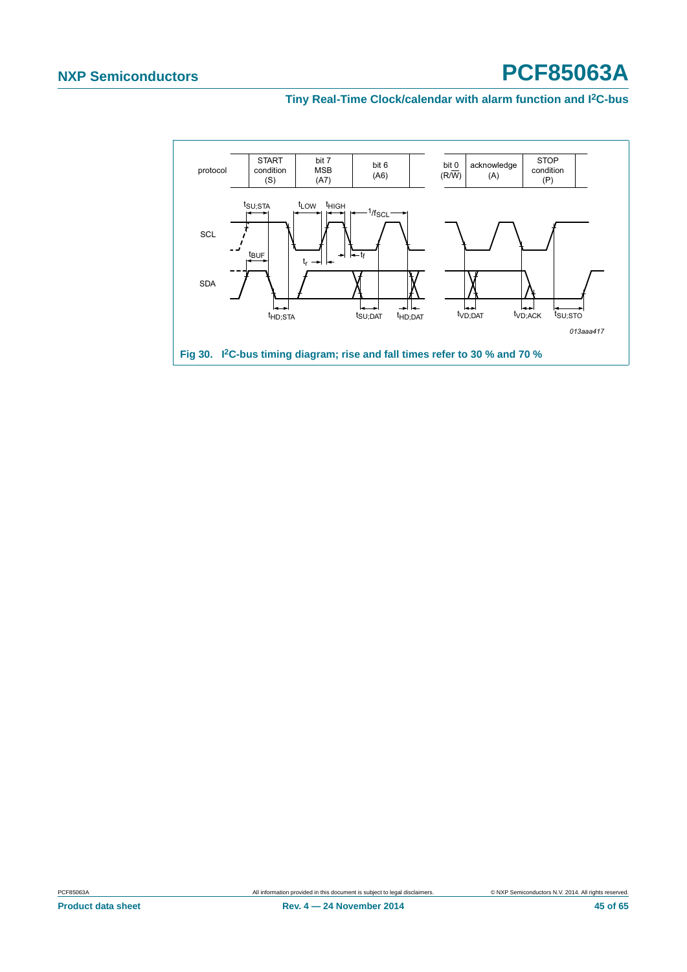<span id="page-44-0"></span>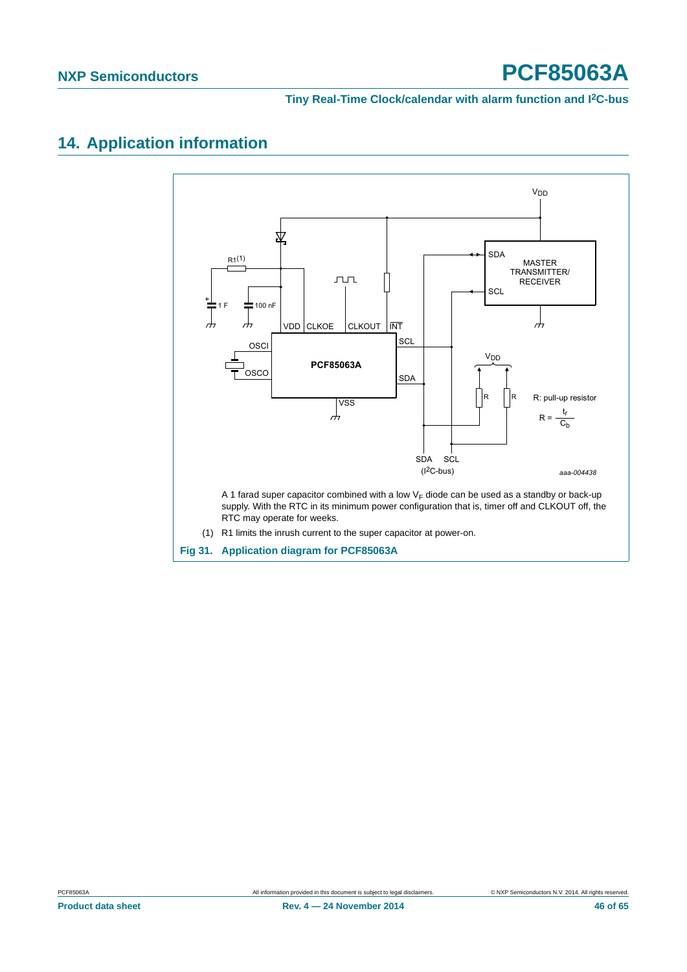#### **Tiny Real-Time Clock/calendar with alarm function and I2C-bus**

#### <span id="page-45-1"></span>**14. Application information**



<span id="page-45-0"></span>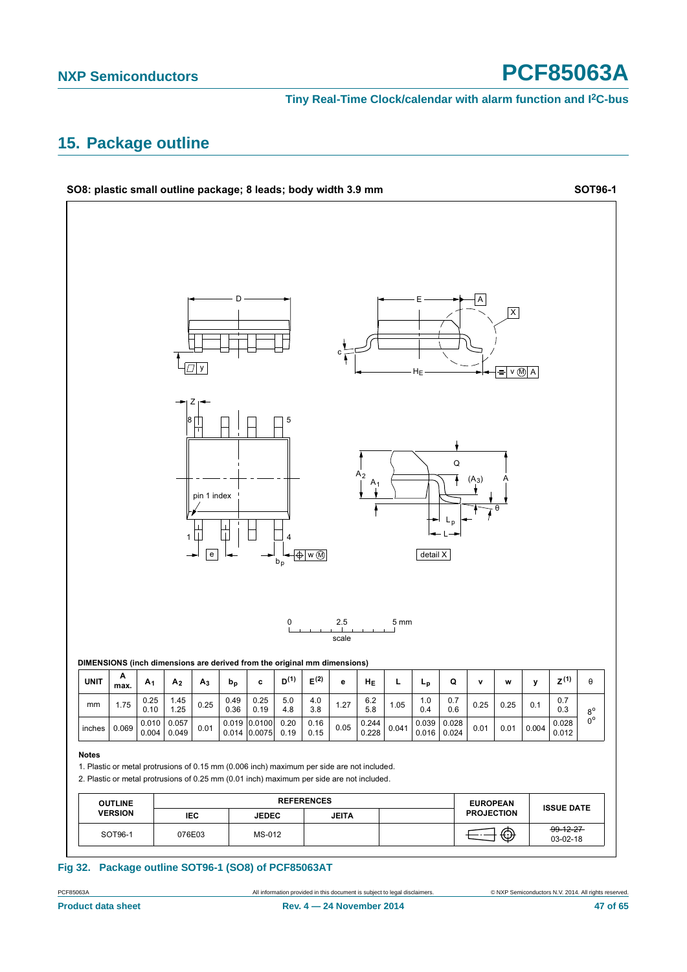**Tiny Real-Time Clock/calendar with alarm function and I2C-bus**

#### <span id="page-46-1"></span>**15. Package outline**



<span id="page-46-0"></span>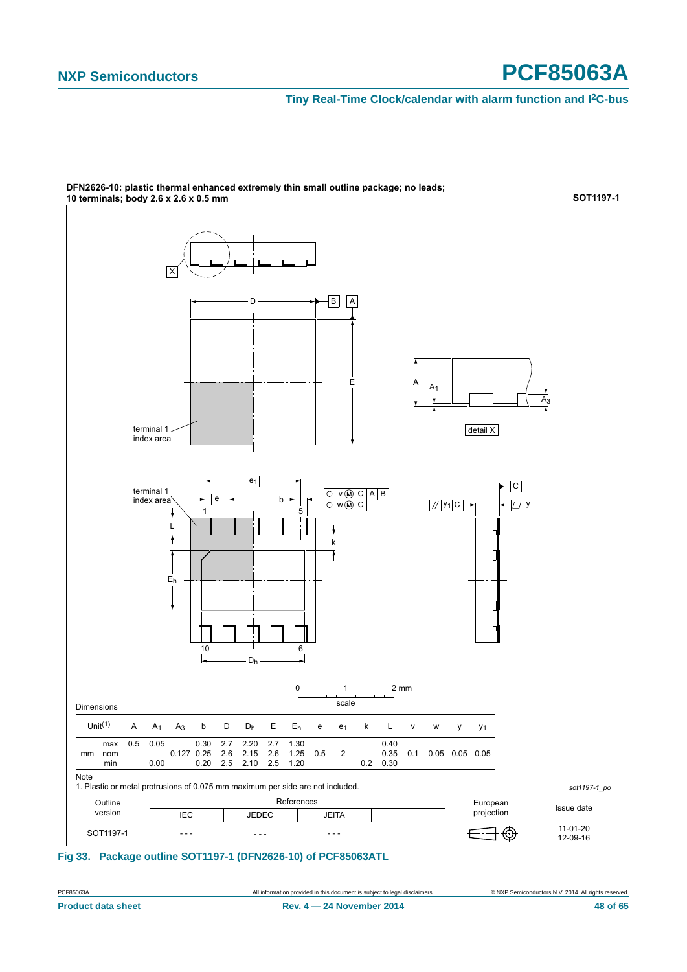#### **Tiny Real-Time Clock/calendar with alarm function and I2C-bus**



DFN2626-10: plastic thermal enhanced extremely thin small outline package; no leads;

<span id="page-47-0"></span>**Fig 33. Package outline SOT1197-1 (DFN2626-10) of PCF85063ATL**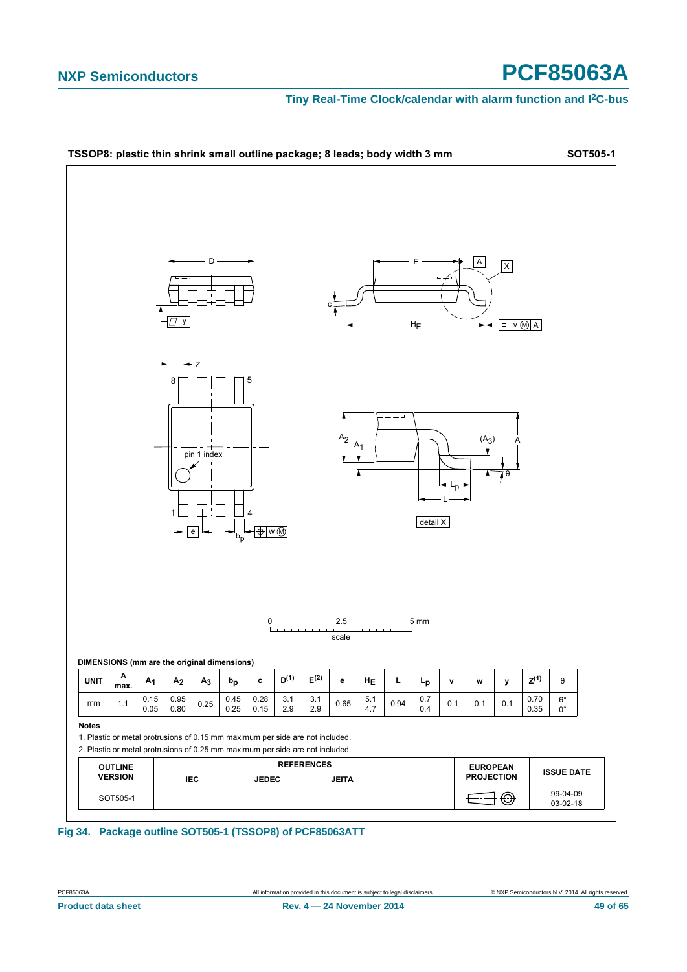#### **Tiny Real-Time Clock/calendar with alarm function and I2C-bus**



#### <span id="page-48-0"></span>**Fig 34. Package outline SOT505-1 (TSSOP8) of PCF85063ATT**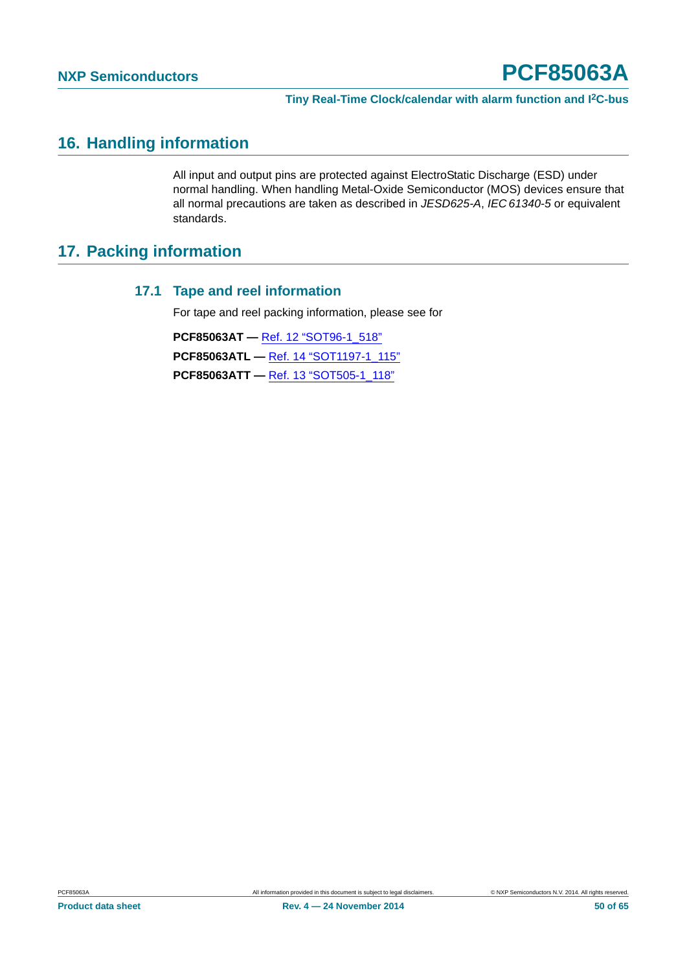#### <span id="page-49-0"></span>**16. Handling information**

All input and output pins are protected against ElectroStatic Discharge (ESD) under normal handling. When handling Metal-Oxide Semiconductor (MOS) devices ensure that all normal precautions are taken as described in *JESD625-A*, *IEC 61340-5* or equivalent standards.

#### <span id="page-49-2"></span><span id="page-49-1"></span>**17. Packing information**

#### **17.1 Tape and reel information**

For tape and reel packing information, please see for

**PCF85063AT —** [Ref. 12 "SOT96-1\\_518"](#page-58-5) **PCF85063ATL —** [Ref. 14 "SOT1197-1\\_115"](#page-58-7) **PCF85063ATT —** [Ref. 13 "SOT505-1\\_118"](#page-58-6)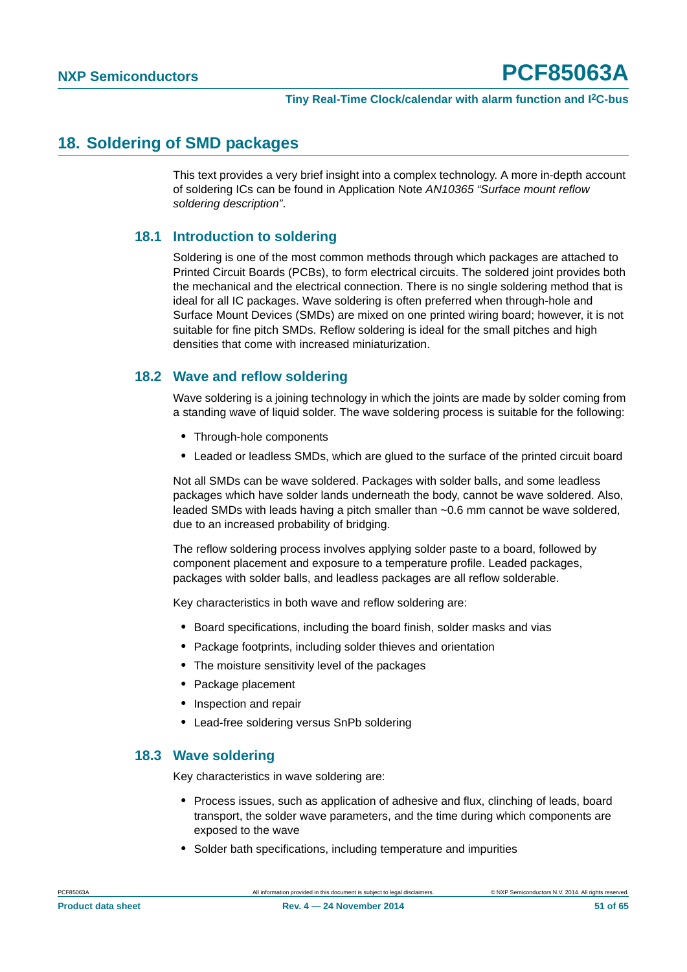#### <span id="page-50-0"></span>**18. Soldering of SMD packages**

This text provides a very brief insight into a complex technology. A more in-depth account of soldering ICs can be found in Application Note *AN10365 "Surface mount reflow soldering description"*.

#### <span id="page-50-1"></span>**18.1 Introduction to soldering**

Soldering is one of the most common methods through which packages are attached to Printed Circuit Boards (PCBs), to form electrical circuits. The soldered joint provides both the mechanical and the electrical connection. There is no single soldering method that is ideal for all IC packages. Wave soldering is often preferred when through-hole and Surface Mount Devices (SMDs) are mixed on one printed wiring board; however, it is not suitable for fine pitch SMDs. Reflow soldering is ideal for the small pitches and high densities that come with increased miniaturization.

#### <span id="page-50-2"></span>**18.2 Wave and reflow soldering**

Wave soldering is a joining technology in which the joints are made by solder coming from a standing wave of liquid solder. The wave soldering process is suitable for the following:

- **•** Through-hole components
- **•** Leaded or leadless SMDs, which are glued to the surface of the printed circuit board

Not all SMDs can be wave soldered. Packages with solder balls, and some leadless packages which have solder lands underneath the body, cannot be wave soldered. Also, leaded SMDs with leads having a pitch smaller than ~0.6 mm cannot be wave soldered, due to an increased probability of bridging.

The reflow soldering process involves applying solder paste to a board, followed by component placement and exposure to a temperature profile. Leaded packages, packages with solder balls, and leadless packages are all reflow solderable.

Key characteristics in both wave and reflow soldering are:

- **•** Board specifications, including the board finish, solder masks and vias
- **•** Package footprints, including solder thieves and orientation
- **•** The moisture sensitivity level of the packages
- **•** Package placement
- **•** Inspection and repair
- **•** Lead-free soldering versus SnPb soldering

#### <span id="page-50-3"></span>**18.3 Wave soldering**

Key characteristics in wave soldering are:

- **•** Process issues, such as application of adhesive and flux, clinching of leads, board transport, the solder wave parameters, and the time during which components are exposed to the wave
- **•** Solder bath specifications, including temperature and impurities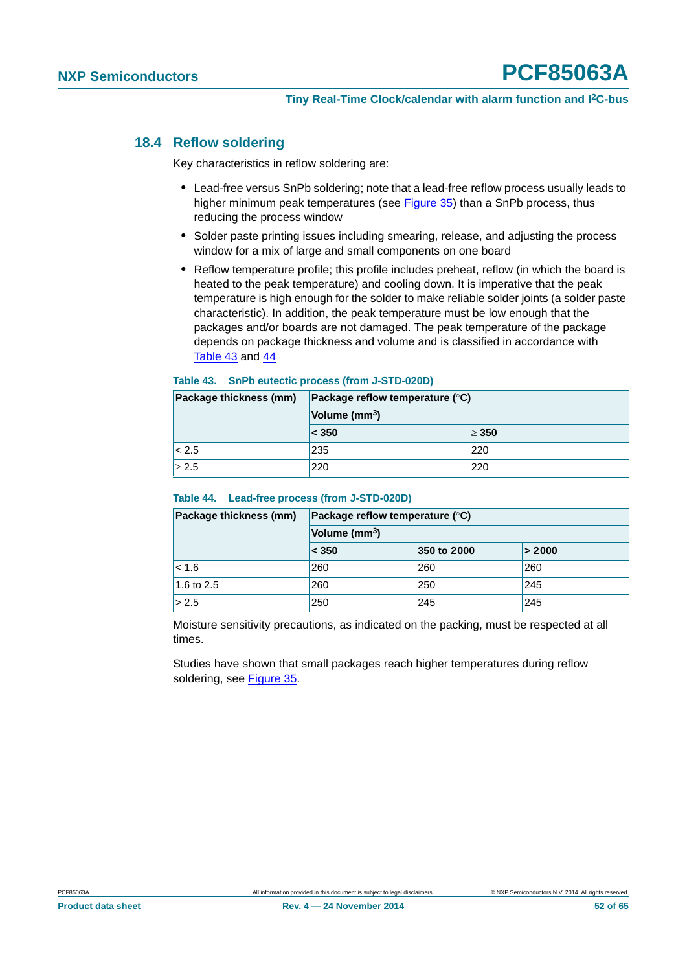#### <span id="page-51-2"></span>**18.4 Reflow soldering**

Key characteristics in reflow soldering are:

- **•** Lead-free versus SnPb soldering; note that a lead-free reflow process usually leads to higher minimum peak temperatures (see [Figure 35\)](#page-52-0) than a SnPb process, thus reducing the process window
- **•** Solder paste printing issues including smearing, release, and adjusting the process window for a mix of large and small components on one board
- **•** Reflow temperature profile; this profile includes preheat, reflow (in which the board is heated to the peak temperature) and cooling down. It is imperative that the peak temperature is high enough for the solder to make reliable solder joints (a solder paste characteristic). In addition, the peak temperature must be low enough that the packages and/or boards are not damaged. The peak temperature of the package depends on package thickness and volume and is classified in accordance with [Table 43](#page-51-0) and [44](#page-51-1)

#### <span id="page-51-0"></span>**Table 43. SnPb eutectic process (from J-STD-020D)**

| Package thickness (mm) | Package reflow temperature ( $\degree$ C) |            |  |  |  |
|------------------------|-------------------------------------------|------------|--|--|--|
|                        | Volume (mm <sup>3</sup> )                 |            |  |  |  |
|                        | < 350                                     | $\geq 350$ |  |  |  |
| < 2.5                  | 235                                       | 220        |  |  |  |
| $\geq 2.5$             | 220                                       | 220        |  |  |  |

#### <span id="page-51-1"></span>**Table 44. Lead-free process (from J-STD-020D)**

| Package thickness (mm) | <b>Package reflow temperature (<math>\degree</math>C)</b> |             |        |  |  |  |
|------------------------|-----------------------------------------------------------|-------------|--------|--|--|--|
|                        | Volume (mm <sup>3</sup> )                                 |             |        |  |  |  |
|                        | $\leq 350$                                                | 350 to 2000 | > 2000 |  |  |  |
| < 1.6                  | 260                                                       | 260         | 260    |  |  |  |
| 1.6 to 2.5             | 260                                                       | 250         | 245    |  |  |  |
| > 2.5                  | 250                                                       | 245         | 245    |  |  |  |

Moisture sensitivity precautions, as indicated on the packing, must be respected at all times.

Studies have shown that small packages reach higher temperatures during reflow soldering, see [Figure 35](#page-52-0).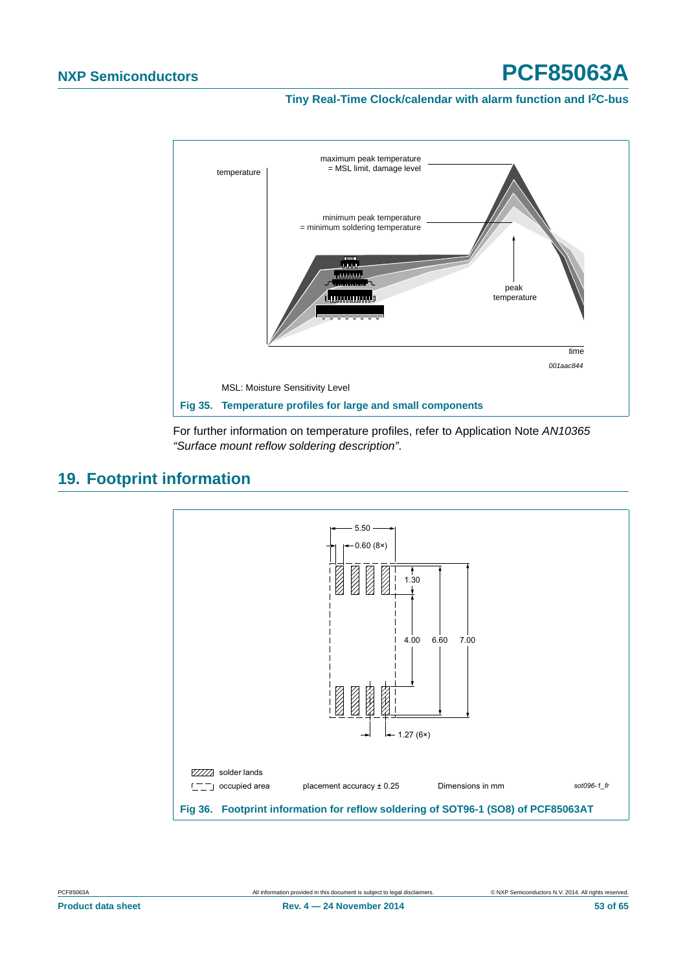**Tiny Real-Time Clock/calendar with alarm function and I2C-bus**



<span id="page-52-0"></span>For further information on temperature profiles, refer to Application Note *AN10365 "Surface mount reflow soldering description"*.

#### <span id="page-52-2"></span>**19. Footprint information**



<span id="page-52-1"></span>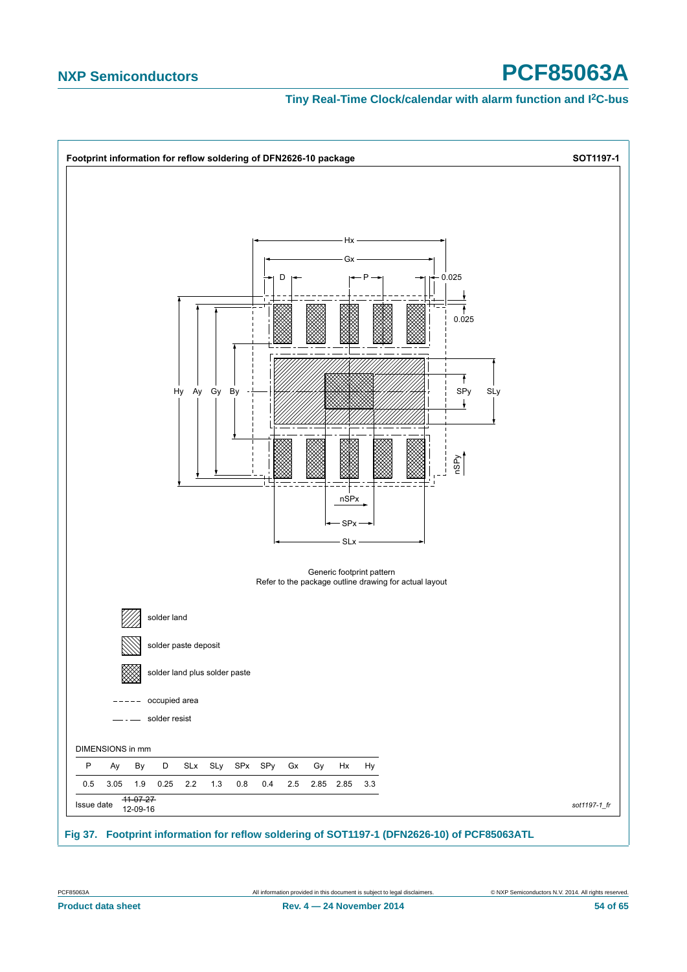<span id="page-53-0"></span>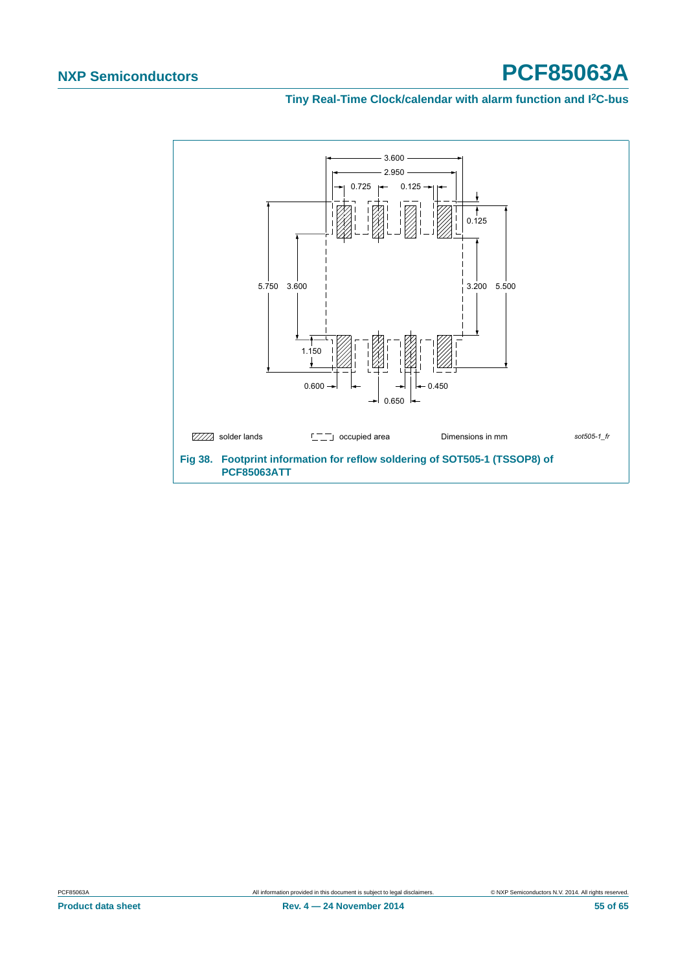#### **Tiny Real-Time Clock/calendar with alarm function and I2C-bus**

<span id="page-54-0"></span>

**Product data sheet Rev. 4 — 24 November 2014 55 of 65**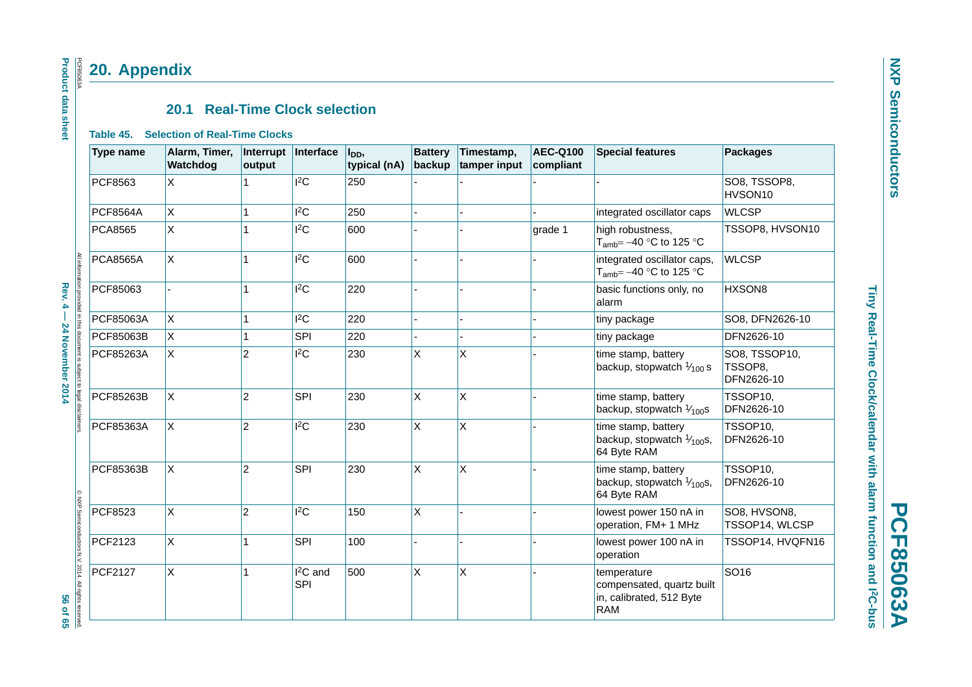# **NXP Semiconductors NXP Semiconductors**

# **PCF85063A PCF85063A**

# Tiny Real-Time Clock/calendar with alarm function and I<sup>2</sup>C-bus **Tiny Real-Time Clock/calendar with alarm function and I2C-bus**

#### **20.1 Real-Time Clock selection**

#### **Table 45. Selection of Real-Time Clocks**

**20. Appendix**

<span id="page-55-2"></span><span id="page-55-1"></span><span id="page-55-0"></span>

|                                                                            | <b>Type name</b> | Alarm, Timer,<br>Watchdog | Interrupt<br>output | Interface        | I <sub>DD</sub> ,<br>typical (nA) | <b>Battery</b><br>backup | Timestamp,<br>tamper input | <b>AEC-Q100</b><br>compliant | <b>Special features</b>                                                            | <b>Packages</b>                        |
|----------------------------------------------------------------------------|------------------|---------------------------|---------------------|------------------|-----------------------------------|--------------------------|----------------------------|------------------------------|------------------------------------------------------------------------------------|----------------------------------------|
|                                                                            | PCF8563          | X                         | 1                   | $ {}^{12}$ C     | 250                               |                          |                            |                              |                                                                                    | SO8, TSSOP8,<br>HVSON10                |
|                                                                            | <b>PCF8564A</b>  | X                         | 1                   | $l^2C$           | 250                               |                          |                            |                              | integrated oscillator caps                                                         | <b>WLCSP</b>                           |
|                                                                            | <b>PCA8565</b>   | X                         | 1                   | $ ^{2}C$         | 600                               |                          |                            | grade 1                      | high robustness,<br>$T_{\text{amb}} = -40$ °C to 125 °C                            | TSSOP8, HVSON10                        |
| informat                                                                   | <b>PCA8565A</b>  | X                         | 1                   | $ {}^{12}$ C     | 600                               |                          |                            |                              | integrated oscillator caps,<br>$T_{amb} = -40$ °C to 125 °C                        | <b>WLCSP</b>                           |
| $Rew.4 -$                                                                  | PCF85063         |                           | 1                   | $ ^{2}C$         | 220                               |                          |                            |                              | basic functions only, no<br>alarm                                                  | HXSON8                                 |
|                                                                            | PCF85063A        | X.                        | 1                   | $ ^{2}C$         | 220                               |                          |                            |                              | tiny package                                                                       | SO8, DFN2626-10                        |
|                                                                            | PCF85063B        | $\mathsf{X}$              | 1                   | SPI              | 220                               |                          |                            |                              | tiny package                                                                       | DFN2626-10                             |
| provided in this document is subject<br>24 November 2014<br>$\overline{5}$ | PCF85263A        | X.                        | $\overline{2}$      | $ {}^{12}$ C     | 230                               | X                        | X                          |                              | time stamp, battery<br>backup, stopwatch $\frac{1}{100}$ s                         | SO8, TSSOP10,<br>TSSOP8,<br>DFN2626-10 |
|                                                                            | PCF85263B        | X                         | $ 2\rangle$         | SPI              | 230                               | X                        | X                          |                              | time stamp, battery<br>backup, stopwatch $\frac{1}{100}$ s                         | TSSOP10.<br>DFN2626-10                 |
|                                                                            | PCF85363A        | X                         | $ 2\rangle$         | $ {}^{2}C$       | 230                               | X                        | X                          |                              | time stamp, battery<br>backup, stopwatch $\frac{1}{100}$ s,<br>64 Byte RAM         | TSSOP10,<br>DFN2626-10                 |
| $^{\circ}$<br>NSP                                                          | PCF85363B        | X                         | $ 2\rangle$         | SPI              | 230                               | X                        | X                          |                              | time stamp, battery<br>backup, stopwatch $\frac{1}{100}$ s,<br>64 Byte RAM         | TSSOP10,<br>DFN2626-10                 |
|                                                                            | PCF8523          | X                         | $ 2\rangle$         | 12C              | 150                               | X                        |                            |                              | lowest power 150 nA in<br>operation, FM+ 1 MHz                                     | SO8, HVSON8,<br>TSSOP14, WLCSP         |
|                                                                            | PCF2123          | X.                        | 1                   | SPI              | 100                               |                          |                            |                              | lowest power 100 nA in<br>operation                                                | TSSOP14, HVQFN16                       |
| Semiconductors N.V. 2014. All rights reserved<br>56 of 65                  | PCF2127          | X                         | 1                   | $I2C$ and<br>SPI | 500                               | X                        | X                          |                              | temperature<br>compensated, quartz built<br>in, calibrated, 512 Byte<br><b>RAM</b> | SO <sub>16</sub>                       |

#### **Product data sheet Product data sheet PCF850634** PCF85063A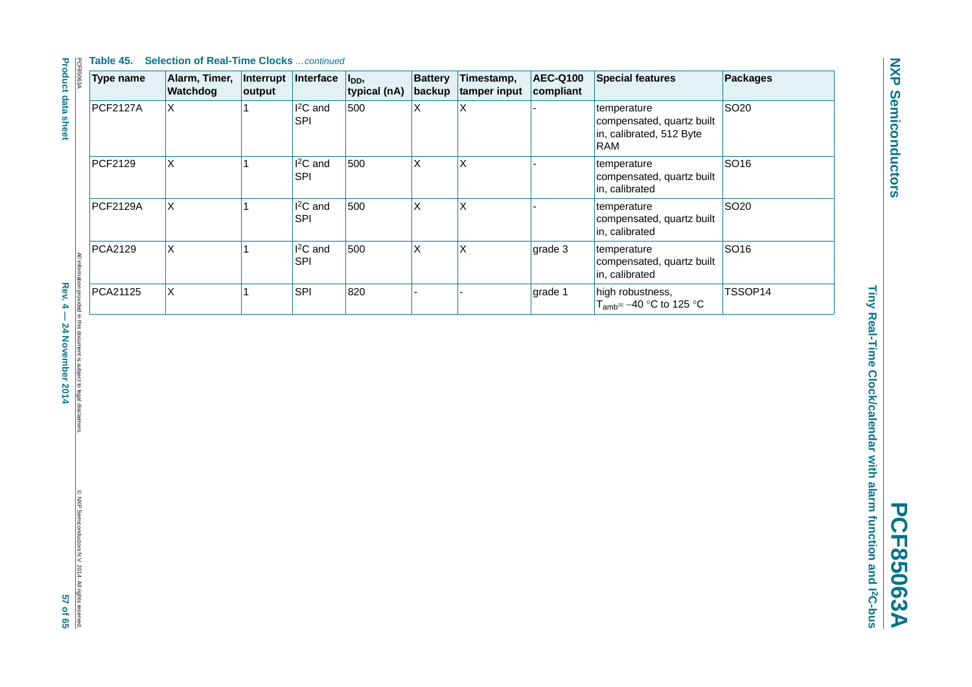**NXP Semiconductors NXP Semiconductors**

# **PCF85063A PCF85063A**

Tiny Real-Time Clock/calendar with alarm function and 12C-bus **Tiny Real-Time Clock/calendar with alarm function and I2C-bus**

| Type name       | Alarm, Timer,<br>Watchdog | Interrupt<br>output | Interface                          | l <sub>DD</sub> ,<br>typical (nA) | <b>Battery</b><br>backup | Timestamp,<br>tamper input | <b>AEC-Q100</b><br>compliant | <b>Special features</b>                                                            | <b>Packages</b>  |
|-----------------|---------------------------|---------------------|------------------------------------|-----------------------------------|--------------------------|----------------------------|------------------------------|------------------------------------------------------------------------------------|------------------|
| <b>PCF2127A</b> | X                         |                     | I <sup>2</sup> C and<br><b>SPI</b> | 500                               | Χ                        | X                          |                              | temperature<br>compensated, quartz built<br>in, calibrated, 512 Byte<br><b>RAM</b> | SO <sub>20</sub> |
| PCF2129         | X                         |                     | I <sup>2</sup> C and<br><b>SPI</b> | 500                               | X                        | $\pmb{\times}$             |                              | temperature<br>compensated, quartz built<br>in, calibrated                         | SO16             |
| <b>PCF2129A</b> | X                         |                     | I <sup>2</sup> C and<br><b>SPI</b> | 500                               | X                        | Χ                          |                              | temperature<br>compensated, quartz built<br>in, calibrated                         | SO <sub>20</sub> |
| PCA2129         | $\mathsf{X}$              |                     | $I2C$ and<br><b>SPI</b>            | 500                               | X                        | $\sf X$                    | grade 3                      | temperature<br>compensated, quartz built<br>in, calibrated                         | SO16             |
| PCA21125        | X                         |                     | <b>SPI</b>                         | 820                               |                          |                            | grade 1                      | high robustness,<br>$T_{amb} = -40$ °C to 125 °C                                   | TSSOP14          |

ion provided in this document is subject to legal disclaimers<br>Rev. 4 — 24 November 2014 Rev. 4 — 24 November 2014 57 of 658 and 7 of 658 of 658 of 658 of 658 of 658 of 65

**Product data sheet**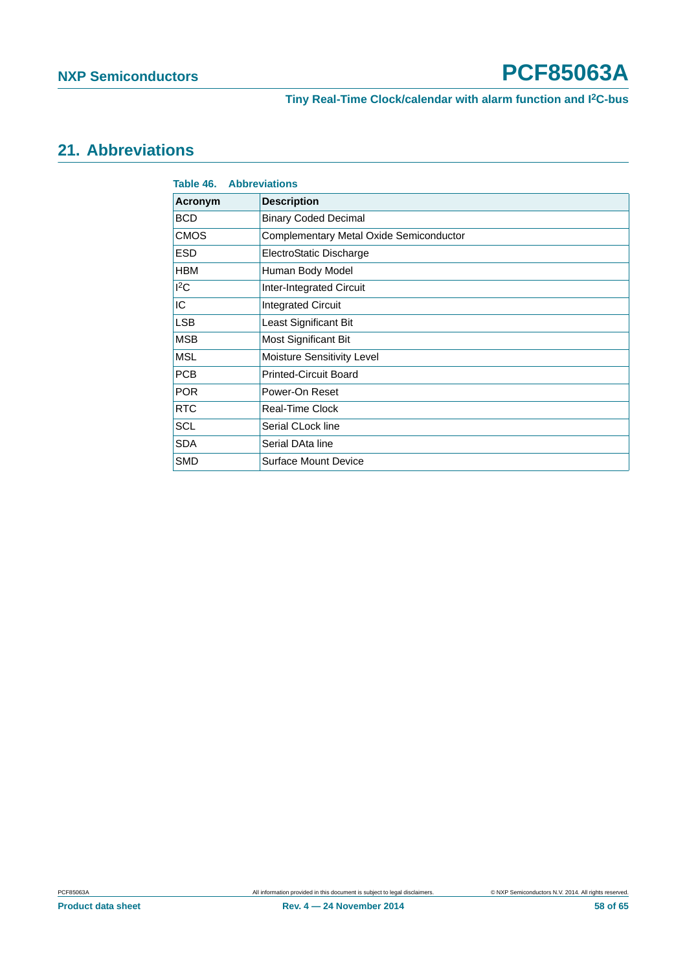**Tiny Real-Time Clock/calendar with alarm function and I2C-bus**

#### <span id="page-57-0"></span>**21. Abbreviations**

<span id="page-57-1"></span>

| Table 46.<br><b>Abbreviations</b> |                                         |  |  |  |  |
|-----------------------------------|-----------------------------------------|--|--|--|--|
| Acronym                           | <b>Description</b>                      |  |  |  |  |
| <b>BCD</b>                        | <b>Binary Coded Decimal</b>             |  |  |  |  |
| <b>CMOS</b>                       | Complementary Metal Oxide Semiconductor |  |  |  |  |
| <b>ESD</b>                        | ElectroStatic Discharge                 |  |  |  |  |
| <b>HBM</b>                        | Human Body Model                        |  |  |  |  |
| ${}^{12}$ C                       | <b>Inter-Integrated Circuit</b>         |  |  |  |  |
| IC                                | <b>Integrated Circuit</b>               |  |  |  |  |
| <b>LSB</b>                        | Least Significant Bit                   |  |  |  |  |
| <b>MSB</b>                        | Most Significant Bit                    |  |  |  |  |
| <b>MSL</b>                        | Moisture Sensitivity Level              |  |  |  |  |
| <b>PCB</b>                        | <b>Printed-Circuit Board</b>            |  |  |  |  |
| <b>POR</b>                        | Power-On Reset                          |  |  |  |  |
| <b>RTC</b>                        | Real-Time Clock                         |  |  |  |  |
| <b>SCL</b>                        | Serial CLock line                       |  |  |  |  |
| <b>SDA</b>                        | Serial DAta line                        |  |  |  |  |
| <b>SMD</b>                        | <b>Surface Mount Device</b>             |  |  |  |  |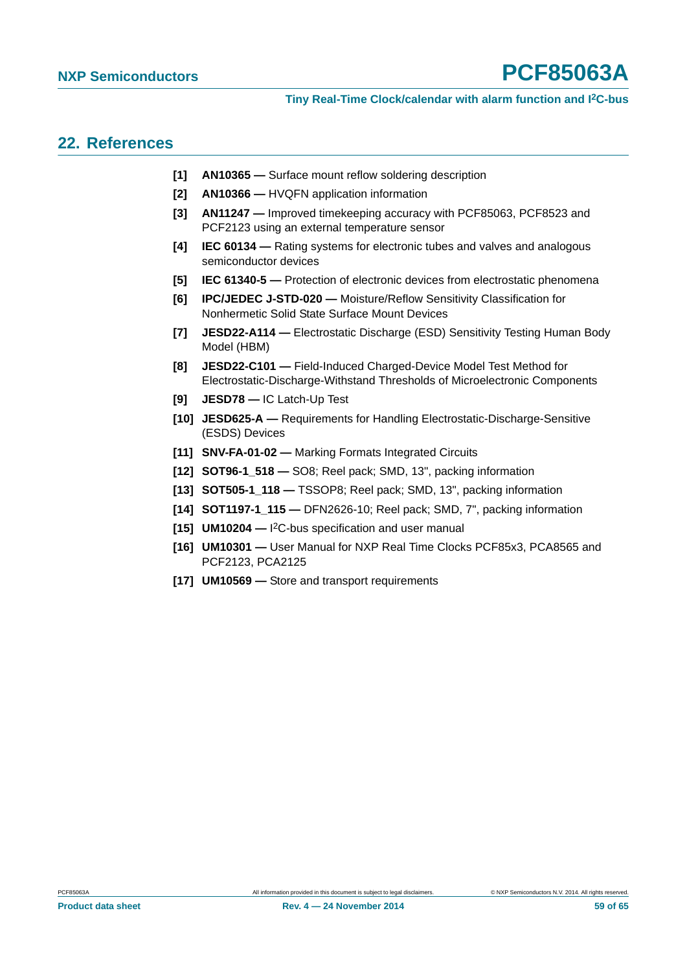#### <span id="page-58-8"></span>**22. References**

- **[1] AN10365** Surface mount reflow soldering description
- **[2] AN10366** HVQFN application information
- **[3] AN11247** Improved timekeeping accuracy with PCF85063, PCF8523 and PCF2123 using an external temperature sensor
- **[4] IEC 60134** Rating systems for electronic tubes and valves and analogous semiconductor devices
- **[5] IEC 61340-5** Protection of electronic devices from electrostatic phenomena
- **[6] IPC/JEDEC J-STD-020** Moisture/Reflow Sensitivity Classification for Nonhermetic Solid State Surface Mount Devices
- <span id="page-58-1"></span>**[7] JESD22-A114 —** Electrostatic Discharge (ESD) Sensitivity Testing Human Body Model (HBM)
- <span id="page-58-2"></span>**[8] JESD22-C101 —** Field-Induced Charged-Device Model Test Method for Electrostatic-Discharge-Withstand Thresholds of Microelectronic Components
- <span id="page-58-3"></span>**[9] JESD78 —** IC Latch-Up Test
- **[10] JESD625-A** Requirements for Handling Electrostatic-Discharge-Sensitive (ESDS) Devices
- **[11] SNV-FA-01-02** Marking Formats Integrated Circuits
- <span id="page-58-5"></span>**[12] SOT96-1\_518 —** SO8; Reel pack; SMD, 13", packing information
- <span id="page-58-6"></span>**[13] SOT505-1\_118 —** TSSOP8; Reel pack; SMD, 13", packing information
- <span id="page-58-7"></span>**[14] SOT1197-1\_115 —** DFN2626-10; Reel pack; SMD, 7", packing information
- <span id="page-58-0"></span>**[15] UM10204 —** I 2C-bus specification and user manual
- **[16] UM10301** User Manual for NXP Real Time Clocks PCF85x3, PCA8565 and PCF2123, PCA2125
- <span id="page-58-4"></span>**[17] UM10569 —** Store and transport requirements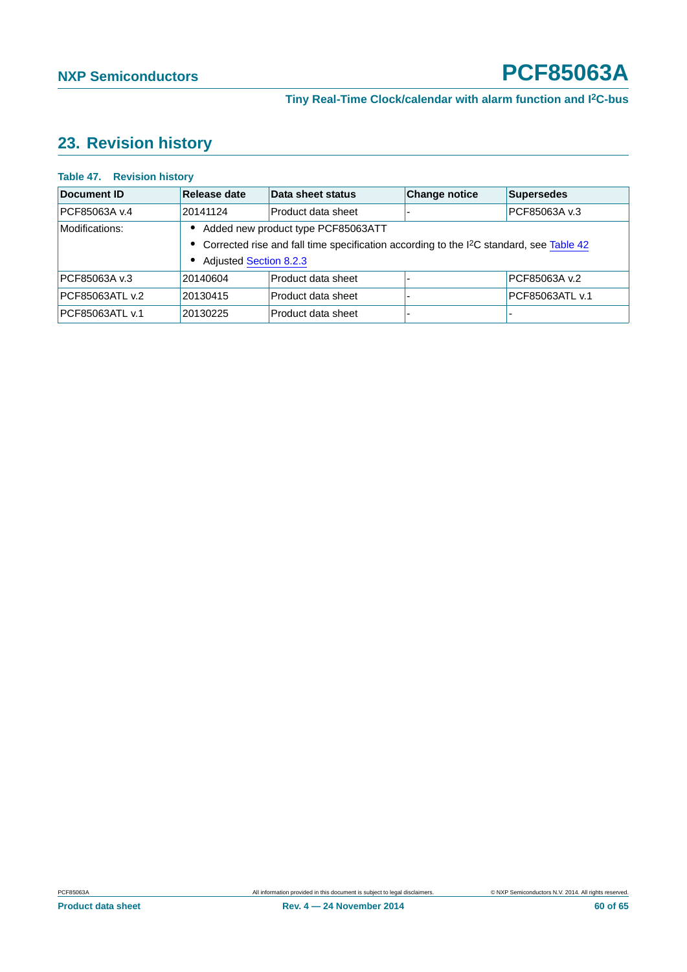#### <span id="page-59-1"></span>**23. Revision history**

| $1800 \pm 1$ . Revision mstoly |                               |                                                                                                       |                      |                   |
|--------------------------------|-------------------------------|-------------------------------------------------------------------------------------------------------|----------------------|-------------------|
| <b>Document ID</b>             | Release date                  | Data sheet status                                                                                     | <b>Change notice</b> | <b>Supersedes</b> |
| PCF85063A v.4                  | 20141124                      | Product data sheet                                                                                    |                      | PCF85063A v.3     |
| Modifications:                 |                               | Added new product type PCF85063ATT                                                                    |                      |                   |
|                                |                               | • Corrected rise and fall time specification according to the I <sup>2</sup> C standard, see Table 42 |                      |                   |
|                                | <b>Adjusted Section 8.2.3</b> |                                                                                                       |                      |                   |
| IPCF85063A v.3                 | 20140604                      | Product data sheet                                                                                    |                      | PCF85063A v.2     |
| PCF85063ATL v.2                | 20130415                      | Product data sheet                                                                                    |                      | PCF85063ATL v.1   |
| PCF85063ATL v.1                | 20130225                      | Product data sheet                                                                                    |                      | -                 |
|                                |                               |                                                                                                       |                      |                   |

#### <span id="page-59-0"></span>**Table 47. Revision history**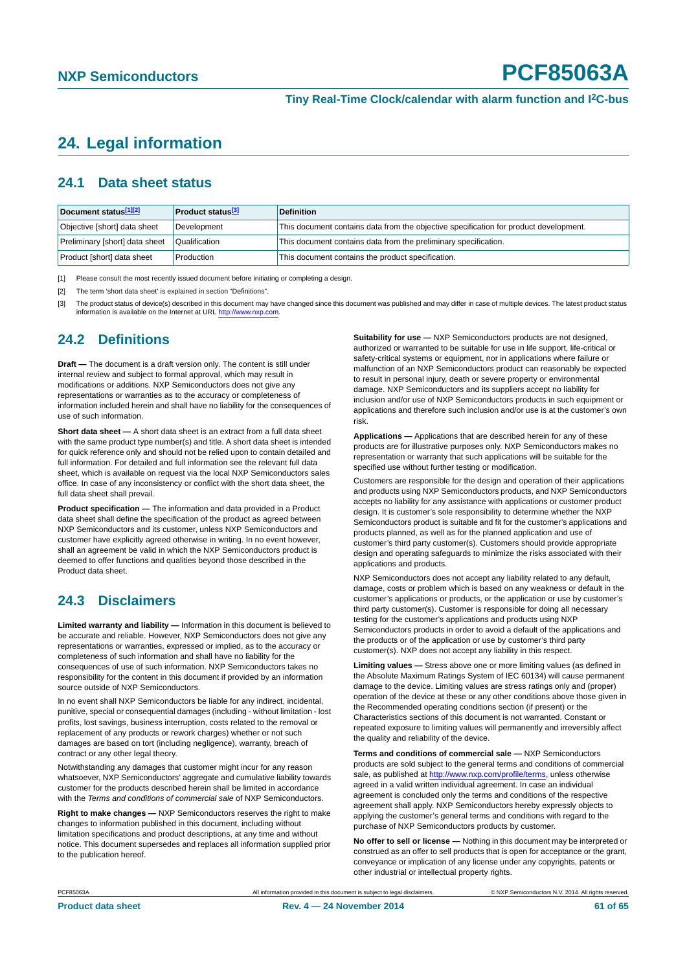#### <span id="page-60-3"></span>**24. Legal information**

#### <span id="page-60-4"></span>**24.1 Data sheet status**

| Document status[1][2]          | <b>Product status</b> <sup>[3]</sup> | <b>Definition</b>                                                                     |
|--------------------------------|--------------------------------------|---------------------------------------------------------------------------------------|
| Objective [short] data sheet   | Development                          | This document contains data from the objective specification for product development. |
| Preliminary [short] data sheet | Qualification                        | This document contains data from the preliminary specification.                       |
| Product [short] data sheet     | Production                           | This document contains the product specification.                                     |

<span id="page-60-0"></span>[1] Please consult the most recently issued document before initiating or completing a design.

<span id="page-60-1"></span>[2] The term 'short data sheet' is explained in section "Definitions".

<span id="page-60-2"></span>[3] The product status of device(s) described in this document may have changed since this document was published and may differ in case of multiple devices. The latest product status<br>information is available on the Intern

#### <span id="page-60-5"></span>**24.2 Definitions**

**Draft —** The document is a draft version only. The content is still under internal review and subject to formal approval, which may result in modifications or additions. NXP Semiconductors does not give any representations or warranties as to the accuracy or completeness of information included herein and shall have no liability for the consequences of use of such information.

**Short data sheet —** A short data sheet is an extract from a full data sheet with the same product type number(s) and title. A short data sheet is intended for quick reference only and should not be relied upon to contain detailed and full information. For detailed and full information see the relevant full data sheet, which is available on request via the local NXP Semiconductors sales office. In case of any inconsistency or conflict with the short data sheet, the full data sheet shall prevail.

**Product specification —** The information and data provided in a Product data sheet shall define the specification of the product as agreed between NXP Semiconductors and its customer, unless NXP Semiconductors and customer have explicitly agreed otherwise in writing. In no event however, shall an agreement be valid in which the NXP Semiconductors product is deemed to offer functions and qualities beyond those described in the Product data sheet.

#### <span id="page-60-6"></span>**24.3 Disclaimers**

**Limited warranty and liability —** Information in this document is believed to be accurate and reliable. However, NXP Semiconductors does not give any representations or warranties, expressed or implied, as to the accuracy or completeness of such information and shall have no liability for the consequences of use of such information. NXP Semiconductors takes no responsibility for the content in this document if provided by an information source outside of NXP Semiconductors.

In no event shall NXP Semiconductors be liable for any indirect, incidental, punitive, special or consequential damages (including - without limitation - lost profits, lost savings, business interruption, costs related to the removal or replacement of any products or rework charges) whether or not such damages are based on tort (including negligence), warranty, breach of contract or any other legal theory.

Notwithstanding any damages that customer might incur for any reason whatsoever, NXP Semiconductors' aggregate and cumulative liability towards customer for the products described herein shall be limited in accordance with the *Terms and conditions of commercial sale* of NXP Semiconductors.

**Right to make changes —** NXP Semiconductors reserves the right to make changes to information published in this document, including without limitation specifications and product descriptions, at any time and without notice. This document supersedes and replaces all information supplied prior to the publication hereof.

**Suitability for use —** NXP Semiconductors products are not designed, authorized or warranted to be suitable for use in life support, life-critical or safety-critical systems or equipment, nor in applications where failure or malfunction of an NXP Semiconductors product can reasonably be expected to result in personal injury, death or severe property or environmental damage. NXP Semiconductors and its suppliers accept no liability for inclusion and/or use of NXP Semiconductors products in such equipment or applications and therefore such inclusion and/or use is at the customer's own risk.

**Applications —** Applications that are described herein for any of these products are for illustrative purposes only. NXP Semiconductors makes no representation or warranty that such applications will be suitable for the specified use without further testing or modification.

Customers are responsible for the design and operation of their applications and products using NXP Semiconductors products, and NXP Semiconductors accepts no liability for any assistance with applications or customer product design. It is customer's sole responsibility to determine whether the NXP Semiconductors product is suitable and fit for the customer's applications and products planned, as well as for the planned application and use of customer's third party customer(s). Customers should provide appropriate design and operating safeguards to minimize the risks associated with their applications and products.

NXP Semiconductors does not accept any liability related to any default. damage, costs or problem which is based on any weakness or default in the customer's applications or products, or the application or use by customer's third party customer(s). Customer is responsible for doing all necessary testing for the customer's applications and products using NXP Semiconductors products in order to avoid a default of the applications and the products or of the application or use by customer's third party customer(s). NXP does not accept any liability in this respect.

**Limiting values —** Stress above one or more limiting values (as defined in the Absolute Maximum Ratings System of IEC 60134) will cause permanent damage to the device. Limiting values are stress ratings only and (proper) operation of the device at these or any other conditions above those given in the Recommended operating conditions section (if present) or the Characteristics sections of this document is not warranted. Constant or repeated exposure to limiting values will permanently and irreversibly affect the quality and reliability of the device.

**Terms and conditions of commercial sale —** NXP Semiconductors products are sold subject to the general terms and conditions of commercial sale, as published at<http://www.nxp.com/profile/terms>, unless otherwise agreed in a valid written individual agreement. In case an individual agreement is concluded only the terms and conditions of the respective agreement shall apply. NXP Semiconductors hereby expressly objects to applying the customer's general terms and conditions with regard to the purchase of NXP Semiconductors products by customer.

**No offer to sell or license —** Nothing in this document may be interpreted or construed as an offer to sell products that is open for acceptance or the grant, conveyance or implication of any license under any copyrights, patents or other industrial or intellectual property rights.

PCF85063A All information provided in this document is subject to legal disclaimers. © NXP Semiconductors N.V. 2014. All rights reserved.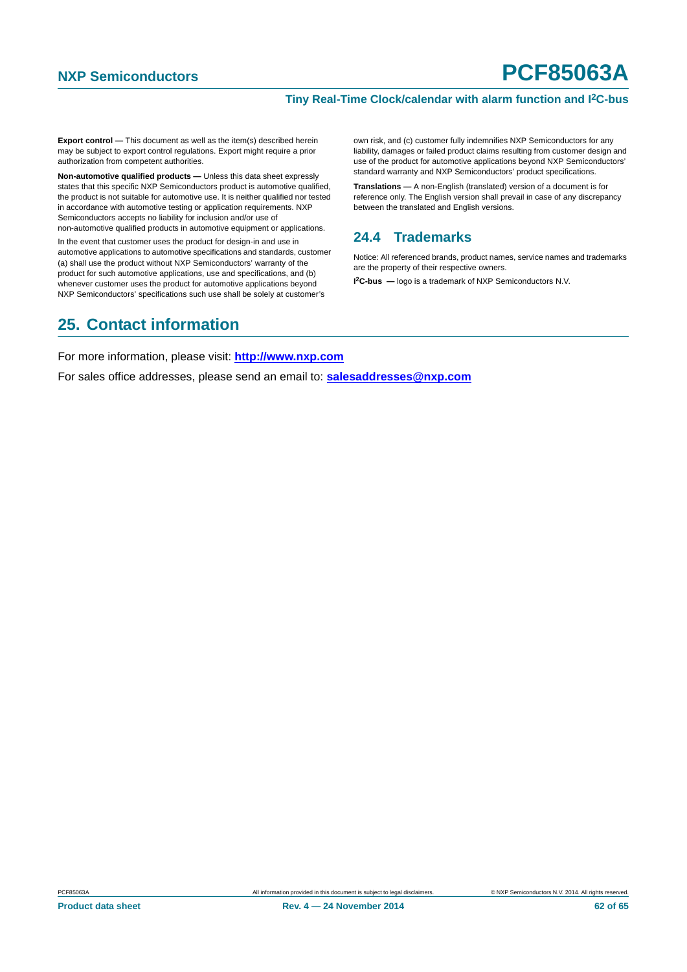#### **Tiny Real-Time Clock/calendar with alarm function and I2C-bus**

**Export control —** This document as well as the item(s) described herein may be subject to export control regulations. Export might require a prior authorization from competent authorities.

**Non-automotive qualified products —** Unless this data sheet expressly states that this specific NXP Semiconductors product is automotive qualified, the product is not suitable for automotive use. It is neither qualified nor tested in accordance with automotive testing or application requirements. NXP Semiconductors accepts no liability for inclusion and/or use of non-automotive qualified products in automotive equipment or applications.

In the event that customer uses the product for design-in and use in automotive applications to automotive specifications and standards, customer (a) shall use the product without NXP Semiconductors' warranty of the product for such automotive applications, use and specifications, and (b) whenever customer uses the product for automotive applications beyond NXP Semiconductors' specifications such use shall be solely at customer's

own risk, and (c) customer fully indemnifies NXP Semiconductors for any liability, damages or failed product claims resulting from customer design and use of the product for automotive applications beyond NXP Semiconductors' standard warranty and NXP Semiconductors' product specifications.

**Translations —** A non-English (translated) version of a document is for reference only. The English version shall prevail in case of any discrepancy between the translated and English versions.

#### <span id="page-61-0"></span>**24.4 Trademarks**

Notice: All referenced brands, product names, service names and trademarks are the property of their respective owners.

**I 2C-bus —** logo is a trademark of NXP Semiconductors N.V.

#### <span id="page-61-1"></span>**25. Contact information**

For more information, please visit: **http://www.nxp.com**

For sales office addresses, please send an email to: **salesaddresses@nxp.com**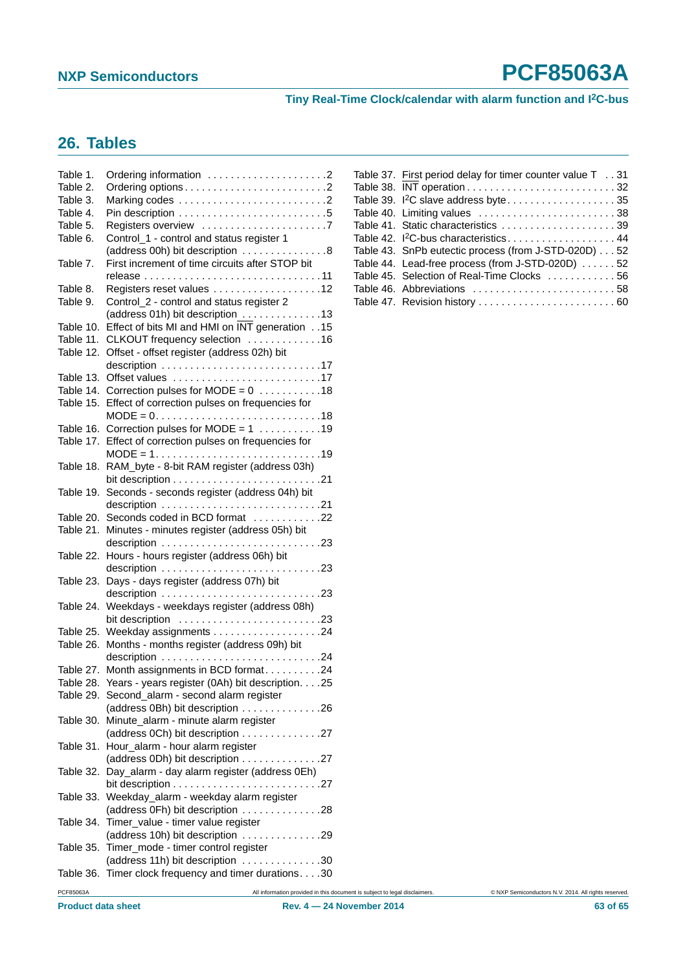**Tiny Real-Time Clock/calendar with alarm function and I2C-bus**

#### <span id="page-62-0"></span>**26. Tables**

| Table 1.<br>Table 2.<br>Table 3.<br>Table 4. |                                                                                   |                                                                            | Table 37. First period delay for timer counter value T 31<br>Table 39. I <sup>2</sup> C slave address byte35<br>Table 40. Limiting values 38 |  |
|----------------------------------------------|-----------------------------------------------------------------------------------|----------------------------------------------------------------------------|----------------------------------------------------------------------------------------------------------------------------------------------|--|
| Table 5.                                     |                                                                                   |                                                                            | Table 41. Static characteristics 39                                                                                                          |  |
| Table 6.                                     | Control_1 - control and status register 1                                         |                                                                            | Table 42. <sup>2</sup> C-bus characteristics44                                                                                               |  |
|                                              | (address 00h) bit description 8                                                   |                                                                            | Table 43. SnPb eutectic process (from J-STD-020D) 52                                                                                         |  |
| Table 7.                                     | First increment of time circuits after STOP bit                                   |                                                                            | Table 44. Lead-free process (from J-STD-020D) 52                                                                                             |  |
|                                              |                                                                                   |                                                                            | Table 45. Selection of Real-Time Clocks 56                                                                                                   |  |
| Table 8.                                     | Registers reset values 12                                                         |                                                                            | Table 46. Abbreviations 58                                                                                                                   |  |
| Table 9.                                     | Control_2 - control and status register 2                                         |                                                                            |                                                                                                                                              |  |
|                                              | (address 01h) bit description 13                                                  |                                                                            |                                                                                                                                              |  |
|                                              | Table 10. Effect of bits MI and HMI on INT generation 15                          |                                                                            |                                                                                                                                              |  |
|                                              | Table 11. CLKOUT frequency selection 16                                           |                                                                            |                                                                                                                                              |  |
|                                              | Table 12. Offset - offset register (address 02h) bit                              |                                                                            |                                                                                                                                              |  |
|                                              | description $\ldots \ldots \ldots \ldots \ldots \ldots \ldots \ldots \ldots$ . 17 |                                                                            |                                                                                                                                              |  |
|                                              | Table 13. Offset values 17                                                        |                                                                            |                                                                                                                                              |  |
|                                              | Table 14. Correction pulses for MODE = $0$ 18                                     |                                                                            |                                                                                                                                              |  |
|                                              | Table 15. Effect of correction pulses on frequencies for                          |                                                                            |                                                                                                                                              |  |
|                                              | $MODE = 0. \dots 1. \dots 18$                                                     |                                                                            |                                                                                                                                              |  |
|                                              | Table 16. Correction pulses for MODE = $1$ 19                                     |                                                                            |                                                                                                                                              |  |
|                                              | Table 17. Effect of correction pulses on frequencies for                          |                                                                            |                                                                                                                                              |  |
|                                              | $MODE = 1. 19$                                                                    |                                                                            |                                                                                                                                              |  |
|                                              | Table 18. RAM_byte - 8-bit RAM register (address 03h)                             |                                                                            |                                                                                                                                              |  |
|                                              | bit description $\ldots \ldots \ldots \ldots \ldots \ldots \ldots \ldots 21$      |                                                                            |                                                                                                                                              |  |
|                                              | Table 19. Seconds - seconds register (address 04h) bit                            |                                                                            |                                                                                                                                              |  |
|                                              |                                                                                   |                                                                            |                                                                                                                                              |  |
|                                              | Table 20. Seconds coded in BCD format 22                                          |                                                                            |                                                                                                                                              |  |
|                                              | Table 21. Minutes - minutes register (address 05h) bit                            |                                                                            |                                                                                                                                              |  |
|                                              | Table 22. Hours - hours register (address 06h) bit                                |                                                                            |                                                                                                                                              |  |
|                                              |                                                                                   |                                                                            |                                                                                                                                              |  |
|                                              | Table 23. Days - days register (address 07h) bit                                  |                                                                            |                                                                                                                                              |  |
|                                              | description $\ldots \ldots \ldots \ldots \ldots \ldots \ldots \ldots \ldots$ . 23 |                                                                            |                                                                                                                                              |  |
|                                              | Table 24. Weekdays - weekdays register (address 08h)                              |                                                                            |                                                                                                                                              |  |
|                                              | bit description 23                                                                |                                                                            |                                                                                                                                              |  |
|                                              |                                                                                   |                                                                            |                                                                                                                                              |  |
|                                              | Table 26. Months - months register (address 09h) bit                              |                                                                            |                                                                                                                                              |  |
|                                              | description $\ldots \ldots \ldots \ldots \ldots \ldots \ldots \ldots 24$          |                                                                            |                                                                                                                                              |  |
|                                              | Table 27. Month assignments in BCD format24                                       |                                                                            |                                                                                                                                              |  |
|                                              | Table 28. Years - years register (0Ah) bit description. 25                        |                                                                            |                                                                                                                                              |  |
|                                              | Table 29. Second_alarm - second alarm register                                    |                                                                            |                                                                                                                                              |  |
|                                              | (address 0Bh) bit description 26                                                  |                                                                            |                                                                                                                                              |  |
|                                              | Table 30. Minute_alarm - minute alarm register                                    |                                                                            |                                                                                                                                              |  |
|                                              | (address 0Ch) bit description 27                                                  |                                                                            |                                                                                                                                              |  |
|                                              | Table 31. Hour_alarm - hour alarm register                                        |                                                                            |                                                                                                                                              |  |
|                                              | (address 0Dh) bit description 27                                                  |                                                                            |                                                                                                                                              |  |
|                                              | Table 32. Day_alarm - day alarm register (address 0Eh)                            |                                                                            |                                                                                                                                              |  |
|                                              |                                                                                   |                                                                            |                                                                                                                                              |  |
|                                              | Table 33. Weekday_alarm - weekday alarm register                                  |                                                                            |                                                                                                                                              |  |
|                                              | (address 0Fh) bit description 28                                                  |                                                                            |                                                                                                                                              |  |
|                                              | Table 34. Timer_value - timer value register                                      |                                                                            |                                                                                                                                              |  |
|                                              | (address 10h) bit description 29                                                  |                                                                            |                                                                                                                                              |  |
|                                              | Table 35. Timer_mode - timer control register                                     |                                                                            |                                                                                                                                              |  |
|                                              | (address 11h) bit description 30                                                  |                                                                            |                                                                                                                                              |  |
|                                              | Table 36. Timer clock frequency and timer durations30                             |                                                                            |                                                                                                                                              |  |
| PCF85063A                                    |                                                                                   | All information provided in this document is subject to legal disclaimers. | C NXP Semiconductors N.V. 2014. All rights reserved                                                                                          |  |

| Table 37. First period delay for timer counter value T 31 |
|-----------------------------------------------------------|
|                                                           |
| Table 39. <sup>2</sup> C slave address byte35             |
|                                                           |
| Table 41. Static characteristics  39                      |
| Table 42. <sup>2</sup> C-bus characteristics 44           |
| Table 43. SnPb eutectic process (from J-STD-020D) 52      |
| Table 44. Lead-free process (from J-STD-020D) 52          |
| Table 45. Selection of Real-Time Clocks 56                |
| Table 46. Abbreviations 58                                |
| Table 47. Revision history  60                            |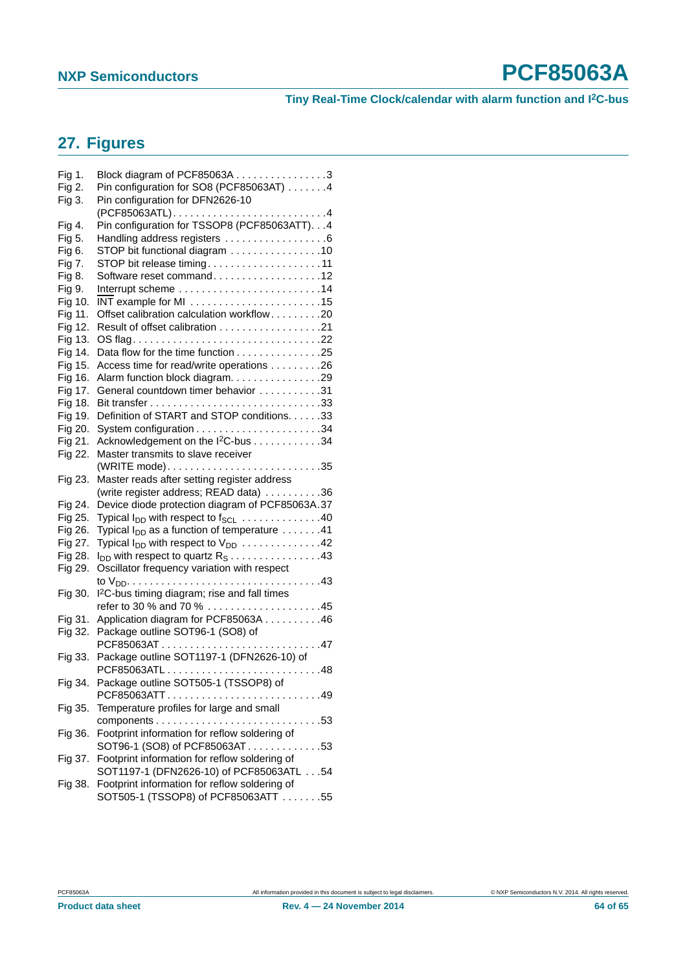**Tiny Real-Time Clock/calendar with alarm function and I2C-bus**

#### <span id="page-63-0"></span>**27. Figures**

| Fig 1.  | Block diagram of PCF85063A 3                                                                     |
|---------|--------------------------------------------------------------------------------------------------|
| Fig 2.  | Pin configuration for SO8 (PCF85063AT) 4                                                         |
| Fig 3.  | Pin configuration for DFN2626-10<br>(PCF85063ATL)4                                               |
| Fig 4.  | Pin configuration for TSSOP8 (PCF85063ATT). 4                                                    |
| Fig 5.  | Handling address registers 6                                                                     |
| Fig 6.  | STOP bit functional diagram 10                                                                   |
| Fig 7.  | STOP bit release timing11                                                                        |
| Fig 8.  | Software reset command12                                                                         |
| Fig 9.  |                                                                                                  |
| Fig 10. | INT example for MI 15                                                                            |
| Fig 11. | Offset calibration calculation workflow20                                                        |
| Fig 12. |                                                                                                  |
| Fig 13. |                                                                                                  |
| Fig 14. | Data flow for the time function 25                                                               |
| Fig 15. | Access time for read/write operations 26                                                         |
| Fig 16. | Alarm function block diagram. 29                                                                 |
| Fig 17. | General countdown timer behavior 31                                                              |
| Fig 18. |                                                                                                  |
| Fig 19. | Definition of START and STOP conditions. 33                                                      |
| Fig 20. |                                                                                                  |
| Fig 21. | Acknowledgement on the I <sup>2</sup> C-bus 34                                                   |
| Fig 22. | Master transmits to slave receiver                                                               |
|         |                                                                                                  |
| Fig 23. | Master reads after setting register address                                                      |
|         | (write register address; READ data) 36                                                           |
| Fig 24. | Device diode protection diagram of PCF85063A.37                                                  |
| Fig 25. | Typical I <sub>DD</sub> with respect to f <sub>SCL</sub> $\ldots \ldots \ldots \ldots \ldots 40$ |
| Fig 26. | Typical $I_{DD}$ as a function of temperature $\dots \dots 41$                                   |
| Fig 27. | Typical $I_{DD}$ with respect to $V_{DD}$ 42                                                     |
| Fig 28. | $I_{DD}$ with respect to quartz $R_S \ldots \ldots \ldots \ldots \ldots 43$                      |
| Fig 29. | Oscillator frequency variation with respect                                                      |
|         |                                                                                                  |
| Fig 30. | I <sup>2</sup> C-bus timing diagram; rise and fall times                                         |
|         | refer to 30 % and 70 % 45                                                                        |
| Fig 31. | Application diagram for PCF85063A 46                                                             |
| Fig 32. | Package outline SOT96-1 (SO8) of                                                                 |
|         | PCF85063AT47                                                                                     |
| Fig 33. | Package outline SOT1197-1 (DFN2626-10) of                                                        |
|         | PCF85063ATL48                                                                                    |
| Fig 34. | Package outline SOT505-1 (TSSOP8) of                                                             |
|         | PCF85063ATT49                                                                                    |
| Fig 35. | Temperature profiles for large and small                                                         |
|         |                                                                                                  |
| Fig 36. | Footprint information for reflow soldering of                                                    |
|         | SOT96-1 (SO8) of PCF85063AT53                                                                    |
| Fig 37. | Footprint information for reflow soldering of                                                    |
|         | SOT1197-1 (DFN2626-10) of PCF85063ATL 54                                                         |
| Fig 38. | Footprint information for reflow soldering of<br>SOT505-1 (TSSOP8) of PCF85063ATT 55             |